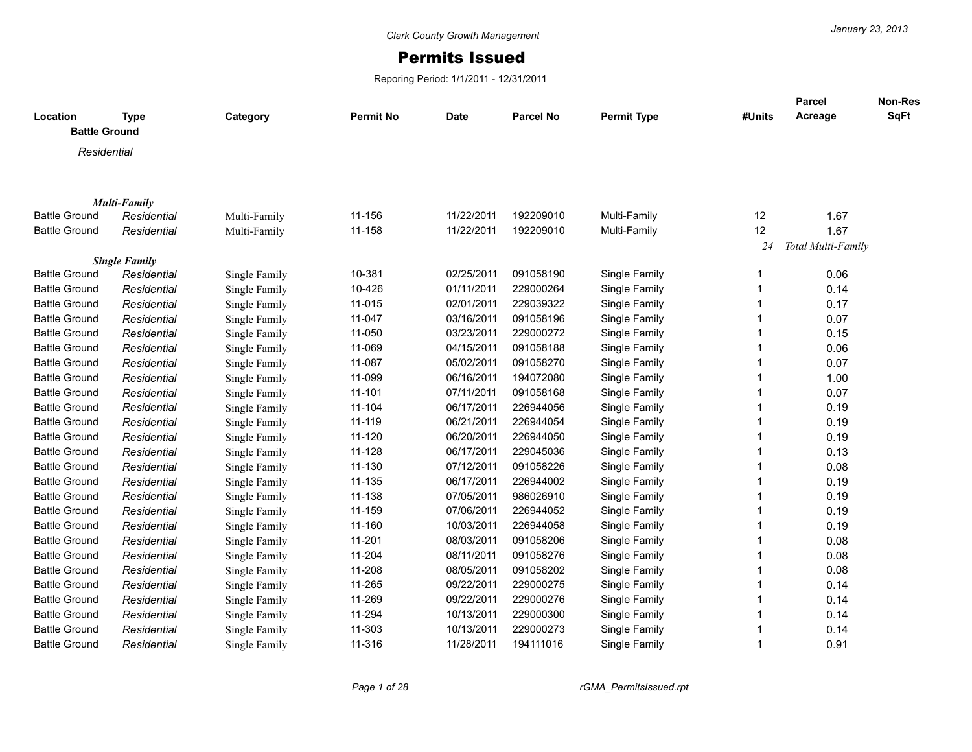## Permits Issued

Reporing Period: 1/1/2011 - 12/31/2011

| Location<br><b>Battle Ground</b> | <b>Type</b>          | Category      | <b>Permit No</b> | Date       | <b>Parcel No</b> | <b>Permit Type</b> | #Units | <b>Parcel</b><br>Acreage | Non-Res<br>SqFt |
|----------------------------------|----------------------|---------------|------------------|------------|------------------|--------------------|--------|--------------------------|-----------------|
|                                  |                      |               |                  |            |                  |                    |        |                          |                 |
| Residential                      |                      |               |                  |            |                  |                    |        |                          |                 |
|                                  |                      |               |                  |            |                  |                    |        |                          |                 |
|                                  | <b>Multi-Family</b>  |               |                  |            |                  |                    |        |                          |                 |
| <b>Battle Ground</b>             | Residential          | Multi-Family  | 11-156           | 11/22/2011 | 192209010        | Multi-Family       | 12     | 1.67                     |                 |
| <b>Battle Ground</b>             | Residential          | Multi-Family  | 11-158           | 11/22/2011 | 192209010        | Multi-Family       | 12     | 1.67                     |                 |
|                                  |                      |               |                  |            |                  |                    | 24     | Total Multi-Family       |                 |
|                                  | <b>Single Family</b> |               |                  |            |                  |                    |        |                          |                 |
| <b>Battle Ground</b>             | Residential          | Single Family | 10-381           | 02/25/2011 | 091058190        | Single Family      |        | 0.06                     |                 |
| <b>Battle Ground</b>             | Residential          | Single Family | 10-426           | 01/11/2011 | 229000264        | Single Family      |        | 0.14                     |                 |
| <b>Battle Ground</b>             | Residential          | Single Family | 11-015           | 02/01/2011 | 229039322        | Single Family      |        | 0.17                     |                 |
| <b>Battle Ground</b>             | Residential          | Single Family | 11-047           | 03/16/2011 | 091058196        | Single Family      |        | 0.07                     |                 |
| <b>Battle Ground</b>             | Residential          | Single Family | 11-050           | 03/23/2011 | 229000272        | Single Family      |        | 0.15                     |                 |
| <b>Battle Ground</b>             | Residential          | Single Family | 11-069           | 04/15/2011 | 091058188        | Single Family      |        | 0.06                     |                 |
| <b>Battle Ground</b>             | Residential          | Single Family | 11-087           | 05/02/2011 | 091058270        | Single Family      |        | 0.07                     |                 |
| <b>Battle Ground</b>             | Residential          | Single Family | 11-099           | 06/16/2011 | 194072080        | Single Family      |        | 1.00                     |                 |
| <b>Battle Ground</b>             | Residential          | Single Family | $11 - 101$       | 07/11/2011 | 091058168        | Single Family      |        | 0.07                     |                 |
| <b>Battle Ground</b>             | Residential          | Single Family | 11-104           | 06/17/2011 | 226944056        | Single Family      |        | 0.19                     |                 |
| <b>Battle Ground</b>             | Residential          | Single Family | 11-119           | 06/21/2011 | 226944054        | Single Family      |        | 0.19                     |                 |
| <b>Battle Ground</b>             | Residential          | Single Family | 11-120           | 06/20/2011 | 226944050        | Single Family      |        | 0.19                     |                 |
| <b>Battle Ground</b>             | Residential          | Single Family | 11-128           | 06/17/2011 | 229045036        | Single Family      |        | 0.13                     |                 |
| <b>Battle Ground</b>             | Residential          | Single Family | 11-130           | 07/12/2011 | 091058226        | Single Family      |        | 0.08                     |                 |
| <b>Battle Ground</b>             | Residential          | Single Family | 11-135           | 06/17/2011 | 226944002        | Single Family      |        | 0.19                     |                 |
| <b>Battle Ground</b>             | Residential          | Single Family | 11-138           | 07/05/2011 | 986026910        | Single Family      |        | 0.19                     |                 |
| <b>Battle Ground</b>             | Residential          | Single Family | 11-159           | 07/06/2011 | 226944052        | Single Family      |        | 0.19                     |                 |
| <b>Battle Ground</b>             | Residential          | Single Family | 11-160           | 10/03/2011 | 226944058        | Single Family      |        | 0.19                     |                 |
| <b>Battle Ground</b>             | Residential          | Single Family | 11-201           | 08/03/2011 | 091058206        | Single Family      |        | 0.08                     |                 |
| <b>Battle Ground</b>             | Residential          | Single Family | 11-204           | 08/11/2011 | 091058276        | Single Family      |        | 0.08                     |                 |
| <b>Battle Ground</b>             | Residential          | Single Family | 11-208           | 08/05/2011 | 091058202        | Single Family      |        | 0.08                     |                 |
| <b>Battle Ground</b>             | Residential          | Single Family | 11-265           | 09/22/2011 | 229000275        | Single Family      |        | 0.14                     |                 |
| <b>Battle Ground</b>             | Residential          | Single Family | 11-269           | 09/22/2011 | 229000276        | Single Family      |        | 0.14                     |                 |
| <b>Battle Ground</b>             | Residential          | Single Family | 11-294           | 10/13/2011 | 229000300        | Single Family      |        | 0.14                     |                 |
| <b>Battle Ground</b>             | Residential          | Single Family | 11-303           | 10/13/2011 | 229000273        | Single Family      |        | 0.14                     |                 |
| <b>Battle Ground</b>             | Residential          | Single Family | 11-316           | 11/28/2011 | 194111016        | Single Family      |        | 0.91                     |                 |
|                                  |                      |               |                  |            |                  |                    |        |                          |                 |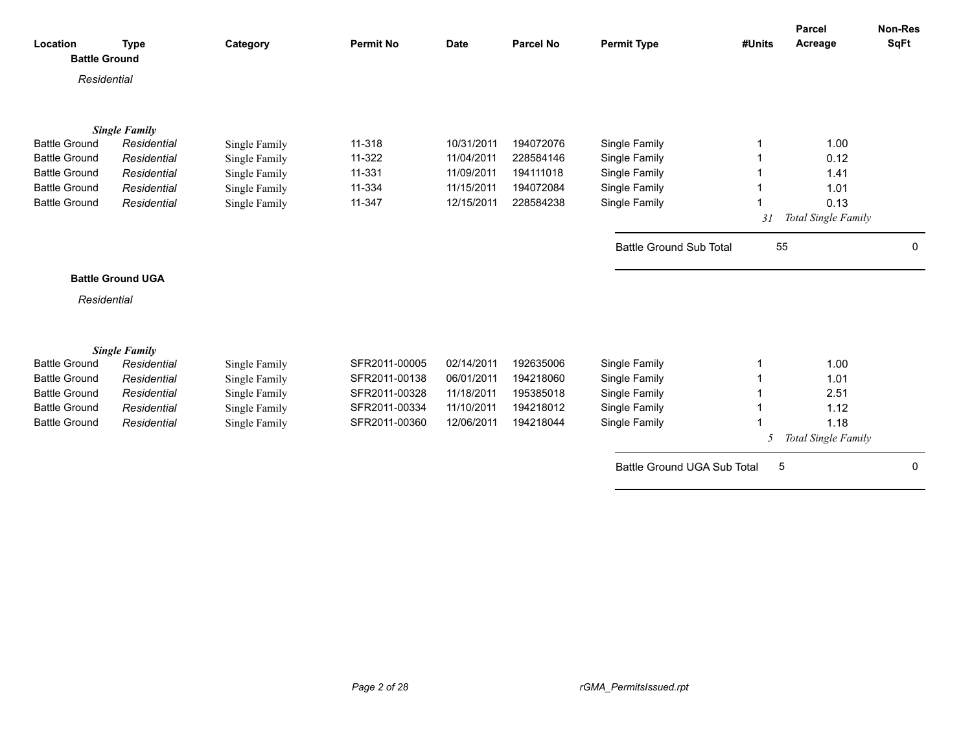|                                  |                                     |               |                  |             |                  |                                |        | <b>Parcel</b>       | Non-Res      |
|----------------------------------|-------------------------------------|---------------|------------------|-------------|------------------|--------------------------------|--------|---------------------|--------------|
| Location<br><b>Battle Ground</b> | <b>Type</b>                         | Category      | <b>Permit No</b> | <b>Date</b> | <b>Parcel No</b> | <b>Permit Type</b>             | #Units | Acreage             | <b>SqFt</b>  |
|                                  |                                     |               |                  |             |                  |                                |        |                     |              |
| Residential                      |                                     |               |                  |             |                  |                                |        |                     |              |
|                                  |                                     |               |                  |             |                  |                                |        |                     |              |
|                                  |                                     |               |                  |             |                  |                                |        |                     |              |
| <b>Battle Ground</b>             | <b>Single Family</b><br>Residential | Single Family | 11-318           | 10/31/2011  | 194072076        | Single Family                  |        | 1.00                |              |
| <b>Battle Ground</b>             | Residential                         | Single Family | 11-322           | 11/04/2011  | 228584146        | Single Family                  |        | 0.12                |              |
| <b>Battle Ground</b>             | Residential                         | Single Family | 11-331           | 11/09/2011  | 194111018        | Single Family                  |        | 1.41                |              |
| <b>Battle Ground</b>             | Residential                         | Single Family | 11-334           | 11/15/2011  | 194072084        | Single Family                  |        | 1.01                |              |
| <b>Battle Ground</b>             | Residential                         | Single Family | 11-347           | 12/15/2011  | 228584238        | Single Family                  |        | 0.13                |              |
|                                  |                                     |               |                  |             |                  |                                | 31     | Total Single Family |              |
|                                  |                                     |               |                  |             |                  |                                |        |                     |              |
|                                  |                                     |               |                  |             |                  | <b>Battle Ground Sub Total</b> | 55     |                     | $\mathbf{0}$ |
|                                  |                                     |               |                  |             |                  |                                |        |                     |              |
|                                  | <b>Battle Ground UGA</b>            |               |                  |             |                  |                                |        |                     |              |
| Residential                      |                                     |               |                  |             |                  |                                |        |                     |              |
|                                  |                                     |               |                  |             |                  |                                |        |                     |              |
|                                  |                                     |               |                  |             |                  |                                |        |                     |              |
|                                  | <b>Single Family</b>                |               |                  |             |                  |                                |        |                     |              |
| <b>Battle Ground</b>             | Residential                         | Single Family | SFR2011-00005    | 02/14/2011  | 192635006        | Single Family                  |        | 1.00                |              |
| <b>Battle Ground</b>             | Residential                         | Single Family | SFR2011-00138    | 06/01/2011  | 194218060        | Single Family                  |        | 1.01                |              |
| <b>Battle Ground</b>             | Residential                         | Single Family | SFR2011-00328    | 11/18/2011  | 195385018        | Single Family                  |        | 2.51                |              |
| <b>Battle Ground</b>             | Residential                         | Single Family | SFR2011-00334    | 11/10/2011  | 194218012        | Single Family                  |        | 1.12                |              |
| <b>Battle Ground</b>             | Residential                         | Single Family | SFR2011-00360    | 12/06/2011  | 194218044        | Single Family                  |        | 1.18                |              |
|                                  |                                     |               |                  |             |                  |                                | 5      | Total Single Family |              |
|                                  |                                     |               |                  |             |                  | Battle Ground UGA Sub Total    | 5      |                     | $\mathbf{0}$ |
|                                  |                                     |               |                  |             |                  |                                |        |                     |              |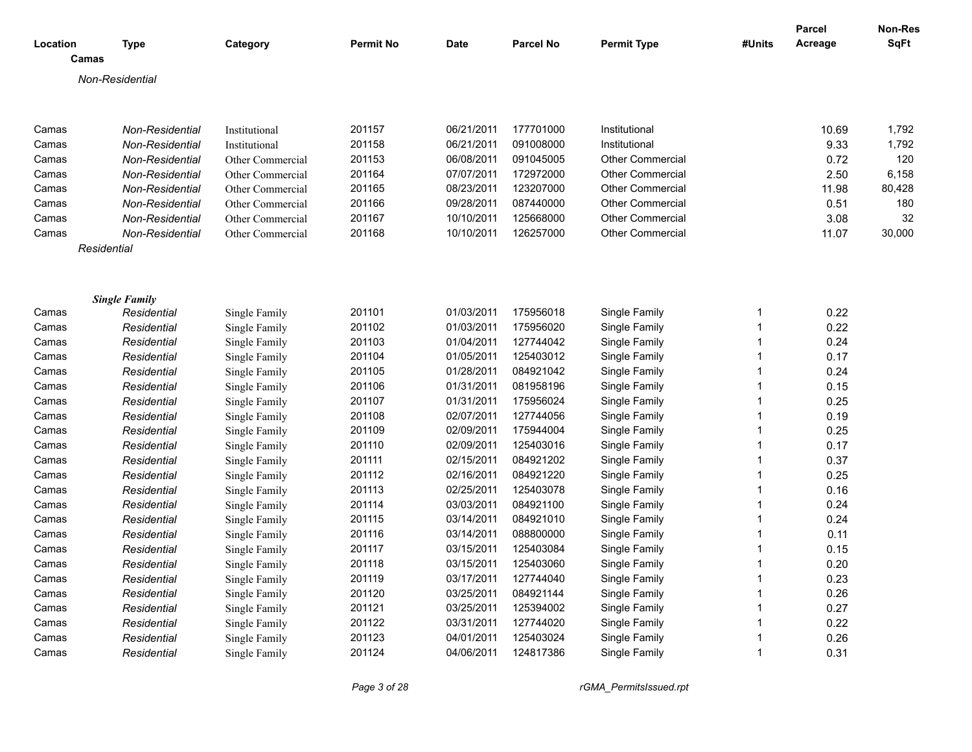| Location | <b>Type</b><br>Camas | Category         | <b>Permit No</b> | <b>Date</b> | <b>Parcel No</b> | <b>Permit Type</b>      | #Units | <b>Parcel</b><br>Acreage | Non-Res<br><b>SqFt</b> |
|----------|----------------------|------------------|------------------|-------------|------------------|-------------------------|--------|--------------------------|------------------------|
|          |                      |                  |                  |             |                  |                         |        |                          |                        |
|          | Non-Residential      |                  |                  |             |                  |                         |        |                          |                        |
|          |                      |                  |                  |             |                  |                         |        |                          |                        |
| Camas    | Non-Residential      | Institutional    | 201157           | 06/21/2011  | 177701000        | Institutional           |        | 10.69                    | 1,792                  |
| Camas    | Non-Residential      | Institutional    | 201158           | 06/21/2011  | 091008000        | Institutional           |        | 9.33                     | 1,792                  |
| Camas    | Non-Residential      | Other Commercial | 201153           | 06/08/2011  | 091045005        | <b>Other Commercial</b> |        | 0.72                     | 120                    |
| Camas    | Non-Residential      | Other Commercial | 201164           | 07/07/2011  | 172972000        | <b>Other Commercial</b> |        | 2.50                     | 6,158                  |
| Camas    | Non-Residential      | Other Commercial | 201165           | 08/23/2011  | 123207000        | <b>Other Commercial</b> |        | 11.98                    | 80,428                 |
| Camas    | Non-Residential      | Other Commercial | 201166           | 09/28/2011  | 087440000        | <b>Other Commercial</b> |        | 0.51                     | 180                    |
| Camas    | Non-Residential      | Other Commercial | 201167           | 10/10/2011  | 125668000        | <b>Other Commercial</b> |        | 3.08                     | 32                     |
| Camas    | Non-Residential      | Other Commercial | 201168           | 10/10/2011  | 126257000        | <b>Other Commercial</b> |        | 11.07                    | 30,000                 |
|          | Residential          |                  |                  |             |                  |                         |        |                          |                        |
|          |                      |                  |                  |             |                  |                         |        |                          |                        |
|          | <b>Single Family</b> |                  |                  |             |                  |                         |        |                          |                        |
| Camas    | Residential          | Single Family    | 201101           | 01/03/2011  | 175956018        | Single Family           | 1      | 0.22                     |                        |
| Camas    | Residential          | Single Family    | 201102           | 01/03/2011  | 175956020        | Single Family           | 1      | 0.22                     |                        |
| Camas    | Residential          | Single Family    | 201103           | 01/04/2011  | 127744042        | Single Family           | 1      | 0.24                     |                        |
| Camas    | Residential          | Single Family    | 201104           | 01/05/2011  | 125403012        | Single Family           | 1      | 0.17                     |                        |
| Camas    | Residential          | Single Family    | 201105           | 01/28/2011  | 084921042        | Single Family           | 1      | 0.24                     |                        |
| Camas    | Residential          | Single Family    | 201106           | 01/31/2011  | 081958196        | Single Family           | 1      | 0.15                     |                        |
| Camas    | Residential          | Single Family    | 201107           | 01/31/2011  | 175956024        | Single Family           | 1      | 0.25                     |                        |
| Camas    | Residential          | Single Family    | 201108           | 02/07/2011  | 127744056        | Single Family           | 1      | 0.19                     |                        |
| Camas    | Residential          | Single Family    | 201109           | 02/09/2011  | 175944004        | Single Family           | 1      | 0.25                     |                        |
| Camas    | Residential          | Single Family    | 201110           | 02/09/2011  | 125403016        | Single Family           | 1      | 0.17                     |                        |
| Camas    | Residential          | Single Family    | 201111           | 02/15/2011  | 084921202        | Single Family           | 1      | 0.37                     |                        |
| Camas    | Residential          | Single Family    | 201112           | 02/16/2011  | 084921220        | Single Family           | 1      | 0.25                     |                        |
| Camas    | Residential          | Single Family    | 201113           | 02/25/2011  | 125403078        | Single Family           | 1      | 0.16                     |                        |
| Camas    | Residential          | Single Family    | 201114           | 03/03/2011  | 084921100        | Single Family           | 1      | 0.24                     |                        |
| Camas    | Residential          | Single Family    | 201115           | 03/14/2011  | 084921010        | Single Family           | 1      | 0.24                     |                        |
| Camas    | Residential          | Single Family    | 201116           | 03/14/2011  | 088800000        | Single Family           | 1      | 0.11                     |                        |
| Camas    | Residential          | Single Family    | 201117           | 03/15/2011  | 125403084        | Single Family           | 1      | 0.15                     |                        |
| Camas    | Residential          | Single Family    | 201118           | 03/15/2011  | 125403060        | Single Family           | 1      | 0.20                     |                        |
| Camas    | Residential          | Single Family    | 201119           | 03/17/2011  | 127744040        | Single Family           | 1      | 0.23                     |                        |
| Camas    | Residential          | Single Family    | 201120           | 03/25/2011  | 084921144        | Single Family           |        | 0.26                     |                        |
| Camas    | Residential          | Single Family    | 201121           | 03/25/2011  | 125394002        | Single Family           |        | 0.27                     |                        |
| Camas    | Residential          | Single Family    | 201122           | 03/31/2011  | 127744020        | Single Family           |        | 0.22                     |                        |
| Camas    | Residential          | Single Family    | 201123           | 04/01/2011  | 125403024        | Single Family           |        | 0.26                     |                        |
| Camas    | Residential          | Single Family    | 201124           | 04/06/2011  | 124817386        | Single Family           | 1      | 0.31                     |                        |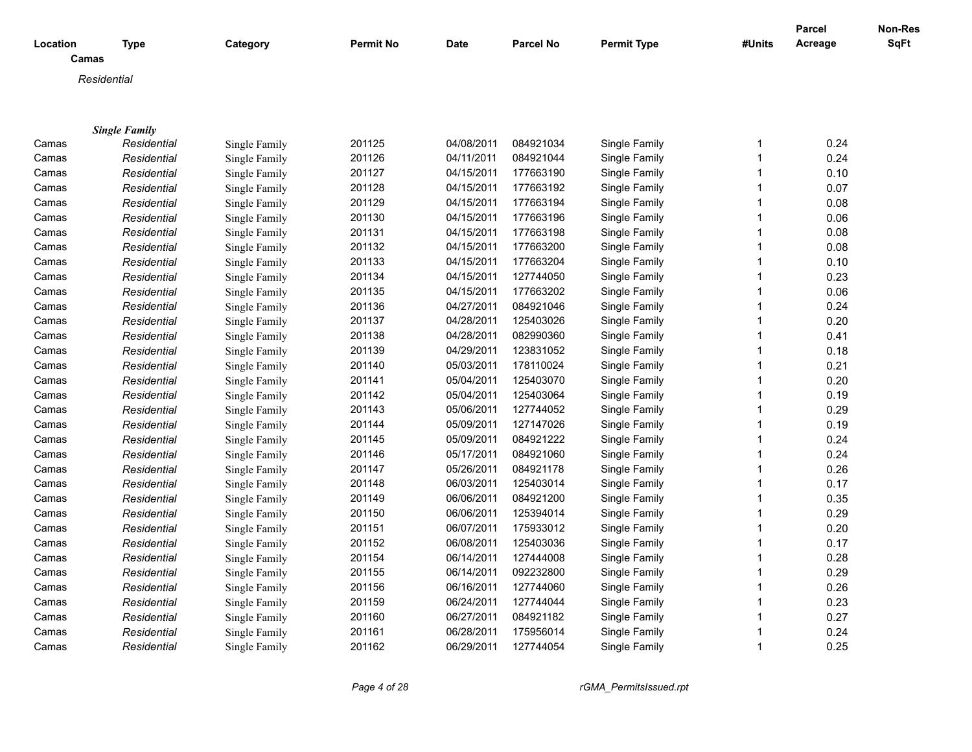|                   |                      |               |                  |            |                  |                    |        | <b>Parcel</b> | Non-Res     |
|-------------------|----------------------|---------------|------------------|------------|------------------|--------------------|--------|---------------|-------------|
| Location<br>Camas | <b>Type</b>          | Category      | <b>Permit No</b> | Date       | <b>Parcel No</b> | <b>Permit Type</b> | #Units | Acreage       | <b>SqFt</b> |
|                   |                      |               |                  |            |                  |                    |        |               |             |
|                   | Residential          |               |                  |            |                  |                    |        |               |             |
|                   |                      |               |                  |            |                  |                    |        |               |             |
|                   |                      |               |                  |            |                  |                    |        |               |             |
|                   | <b>Single Family</b> |               |                  |            |                  |                    |        |               |             |
| Camas             | Residential          | Single Family | 201125           | 04/08/2011 | 084921034        | Single Family      | 1      | 0.24          |             |
| Camas             | Residential          | Single Family | 201126           | 04/11/2011 | 084921044        | Single Family      | 1      | 0.24          |             |
| Camas             | Residential          | Single Family | 201127           | 04/15/2011 | 177663190        | Single Family      | 1      | 0.10          |             |
| Camas             | Residential          | Single Family | 201128           | 04/15/2011 | 177663192        | Single Family      | 1      | 0.07          |             |
| Camas             | Residential          | Single Family | 201129           | 04/15/2011 | 177663194        | Single Family      | 1      | 0.08          |             |
| Camas             | Residential          | Single Family | 201130           | 04/15/2011 | 177663196        | Single Family      | 1      | 0.06          |             |
| Camas             | Residential          | Single Family | 201131           | 04/15/2011 | 177663198        | Single Family      | 1      | 0.08          |             |
| Camas             | Residential          | Single Family | 201132           | 04/15/2011 | 177663200        | Single Family      | 1      | 0.08          |             |
| Camas             | Residential          | Single Family | 201133           | 04/15/2011 | 177663204        | Single Family      | 1      | 0.10          |             |
| Camas             | Residential          | Single Family | 201134           | 04/15/2011 | 127744050        | Single Family      | 1      | 0.23          |             |
| Camas             | Residential          | Single Family | 201135           | 04/15/2011 | 177663202        | Single Family      | 1      | 0.06          |             |
| Camas             | Residential          | Single Family | 201136           | 04/27/2011 | 084921046        | Single Family      | 1      | 0.24          |             |
| Camas             | Residential          | Single Family | 201137           | 04/28/2011 | 125403026        | Single Family      | 1      | 0.20          |             |
| Camas             | Residential          | Single Family | 201138           | 04/28/2011 | 082990360        | Single Family      | 1      | 0.41          |             |
| Camas             | Residential          | Single Family | 201139           | 04/29/2011 | 123831052        | Single Family      | 1      | 0.18          |             |
| Camas             | Residential          | Single Family | 201140           | 05/03/2011 | 178110024        | Single Family      | 1      | 0.21          |             |
| Camas             | Residential          | Single Family | 201141           | 05/04/2011 | 125403070        | Single Family      | 1      | 0.20          |             |
| Camas             | Residential          | Single Family | 201142           | 05/04/2011 | 125403064        | Single Family      | 1      | 0.19          |             |
| Camas             | Residential          | Single Family | 201143           | 05/06/2011 | 127744052        | Single Family      | 1      | 0.29          |             |
| Camas             | Residential          | Single Family | 201144           | 05/09/2011 | 127147026        | Single Family      | 1      | 0.19          |             |
| Camas             | Residential          | Single Family | 201145           | 05/09/2011 | 084921222        | Single Family      | 1      | 0.24          |             |
| Camas             | Residential          | Single Family | 201146           | 05/17/2011 | 084921060        | Single Family      | 1      | 0.24          |             |
| Camas             | Residential          | Single Family | 201147           | 05/26/2011 | 084921178        | Single Family      | 1      | 0.26          |             |
| Camas             | Residential          | Single Family | 201148           | 06/03/2011 | 125403014        | Single Family      | 1      | 0.17          |             |
| Camas             | Residential          | Single Family | 201149           | 06/06/2011 | 084921200        | Single Family      | 1      | 0.35          |             |
| Camas             | Residential          | Single Family | 201150           | 06/06/2011 | 125394014        | Single Family      | 1      | 0.29          |             |
| Camas             | Residential          | Single Family | 201151           | 06/07/2011 | 175933012        | Single Family      | 1      | 0.20          |             |
| Camas             | Residential          | Single Family | 201152           | 06/08/2011 | 125403036        | Single Family      | 1      | 0.17          |             |
| Camas             | Residential          | Single Family | 201154           | 06/14/2011 | 127444008        | Single Family      | 1      | 0.28          |             |
| Camas             | Residential          | Single Family | 201155           | 06/14/2011 | 092232800        | Single Family      | 1      | 0.29          |             |
| Camas             | Residential          | Single Family | 201156           | 06/16/2011 | 127744060        | Single Family      | 1      | 0.26          |             |
| Camas             | Residential          | Single Family | 201159           | 06/24/2011 | 127744044        | Single Family      | 1      | 0.23          |             |
| Camas             | Residential          | Single Family | 201160           | 06/27/2011 | 084921182        | Single Family      | 1      | 0.27          |             |
| Camas             | Residential          | Single Family | 201161           | 06/28/2011 | 175956014        | Single Family      | 1      | 0.24          |             |
|                   |                      |               | 201162           | 06/29/2011 | 127744054        | Single Family      | 1      | 0.25          |             |
| Camas             | Residential          | Single Family |                  |            |                  |                    |        |               |             |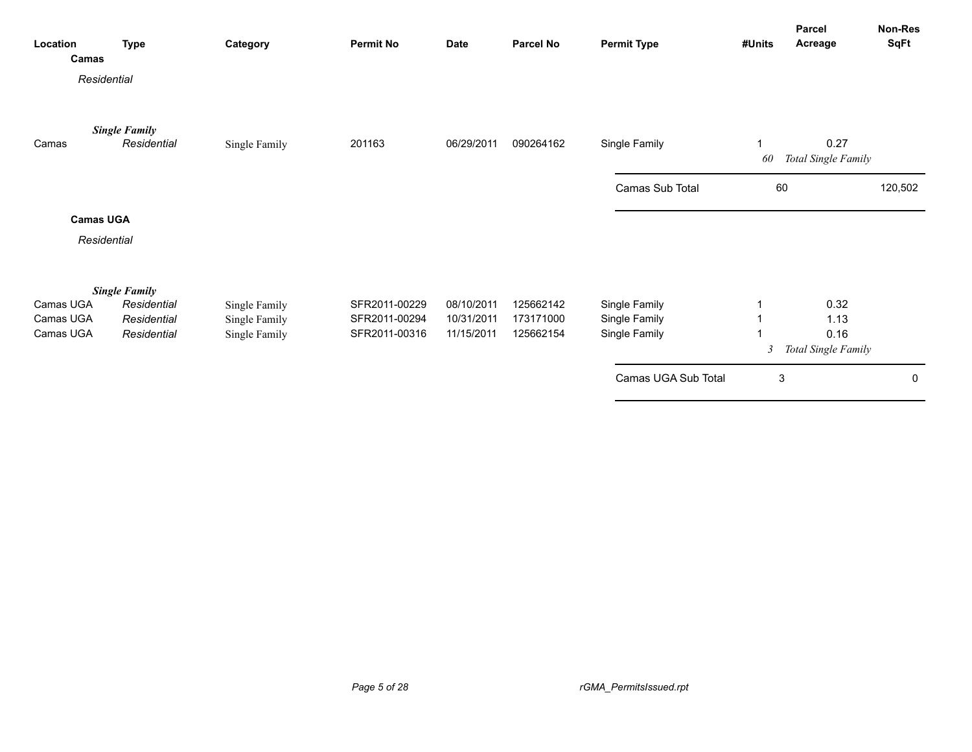| Location<br>Camas      | <b>Type</b>                         | Category                       | <b>Permit No</b>               | <b>Date</b>              | Parcel No              | <b>Permit Type</b>             | #Units         | Parcel<br>Acreage           | Non-Res<br><b>SqFt</b> |
|------------------------|-------------------------------------|--------------------------------|--------------------------------|--------------------------|------------------------|--------------------------------|----------------|-----------------------------|------------------------|
|                        | Residential                         |                                |                                |                          |                        |                                |                |                             |                        |
| Camas                  | <b>Single Family</b><br>Residential | Single Family                  | 201163                         | 06/29/2011               | 090264162              | Single Family                  | 1<br>60        | 0.27<br>Total Single Family |                        |
|                        |                                     |                                |                                |                          |                        | Camas Sub Total                | 60             |                             | 120,502                |
|                        | <b>Camas UGA</b>                    |                                |                                |                          |                        |                                |                |                             |                        |
|                        | Residential                         |                                |                                |                          |                        |                                |                |                             |                        |
|                        | <b>Single Family</b>                |                                |                                |                          |                        |                                |                |                             |                        |
| Camas UGA<br>Camas UGA | Residential<br>Residential          | Single Family<br>Single Family | SFR2011-00229<br>SFR2011-00294 | 08/10/2011<br>10/31/2011 | 125662142<br>173171000 | Single Family<br>Single Family |                | 0.32<br>1.13                |                        |
| Camas UGA              | Residential                         | Single Family                  | SFR2011-00316                  | 11/15/2011               | 125662154              | Single Family                  |                | 0.16                        |                        |
|                        |                                     |                                |                                |                          |                        |                                | $\mathfrak{Z}$ | Total Single Family         |                        |
|                        |                                     |                                |                                |                          |                        | Camas UGA Sub Total            | 3              |                             | 0                      |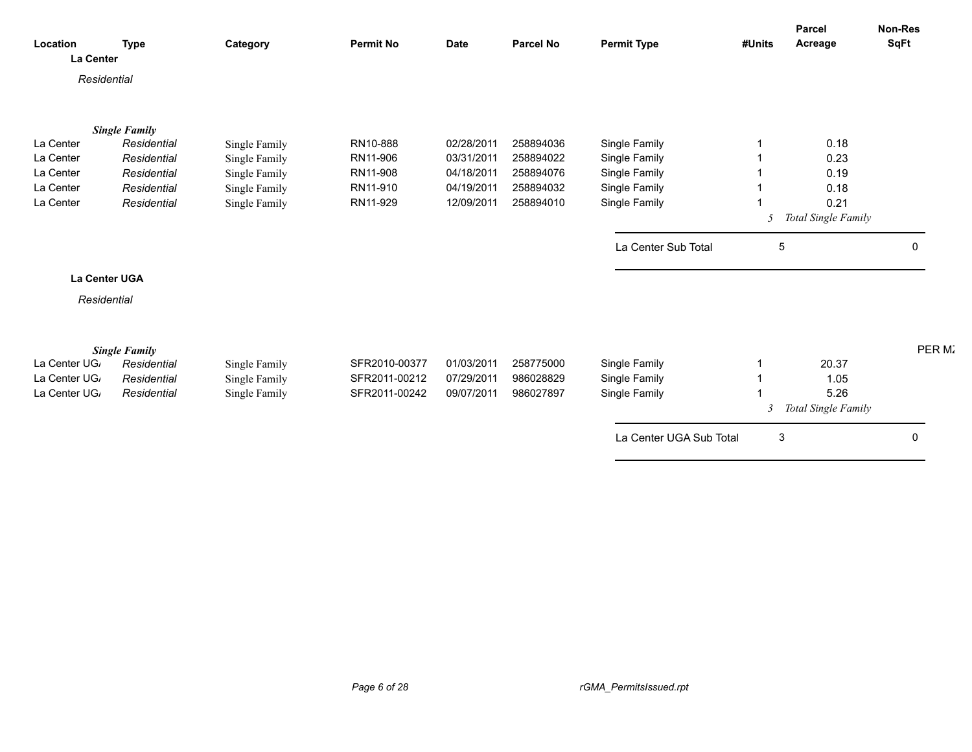| Location      | <b>Type</b>          | Category      | <b>Permit No</b> | <b>Date</b> | <b>Parcel No</b> | <b>Permit Type</b>      | #Units       | <b>Parcel</b><br>Acreage | <b>Non-Res</b><br><b>SqFt</b> |
|---------------|----------------------|---------------|------------------|-------------|------------------|-------------------------|--------------|--------------------------|-------------------------------|
| La Center     |                      |               |                  |             |                  |                         |              |                          |                               |
| Residential   |                      |               |                  |             |                  |                         |              |                          |                               |
|               |                      |               |                  |             |                  |                         |              |                          |                               |
|               | <b>Single Family</b> |               |                  |             |                  |                         |              |                          |                               |
| La Center     | Residential          | Single Family | RN10-888         | 02/28/2011  | 258894036        | Single Family           |              | 0.18                     |                               |
| La Center     | Residential          | Single Family | RN11-906         | 03/31/2011  | 258894022        | Single Family           |              | 0.23                     |                               |
| La Center     | Residential          | Single Family | RN11-908         | 04/18/2011  | 258894076        | Single Family           |              | 0.19                     |                               |
| La Center     | Residential          | Single Family | RN11-910         | 04/19/2011  | 258894032        | Single Family           |              | 0.18                     |                               |
| La Center     | Residential          | Single Family | RN11-929         | 12/09/2011  | 258894010        | Single Family           |              | 0.21                     |                               |
|               |                      |               |                  |             |                  |                         | -5           | Total Single Family      |                               |
|               |                      |               |                  |             |                  | La Center Sub Total     | -5           |                          | $\Omega$                      |
|               | La Center UGA        |               |                  |             |                  |                         |              |                          |                               |
| Residential   |                      |               |                  |             |                  |                         |              |                          |                               |
|               |                      |               |                  |             |                  |                         |              |                          |                               |
|               | <b>Single Family</b> |               |                  |             |                  |                         |              |                          | PER M.                        |
| La Center UG, | Residential          | Single Family | SFR2010-00377    | 01/03/2011  | 258775000        | Single Family           |              | 20.37                    |                               |
| La Center UG, | Residential          | Single Family | SFR2011-00212    | 07/29/2011  | 986028829        | Single Family           |              | 1.05                     |                               |
| La Center UG, | Residential          | Single Family | SFR2011-00242    | 09/07/2011  | 986027897        | Single Family           |              | 5.26                     |                               |
|               |                      |               |                  |             |                  |                         | 3            | Total Single Family      |                               |
|               |                      |               |                  |             |                  | La Center UGA Sub Total | $\mathbf{3}$ |                          | $\Omega$                      |
|               |                      |               |                  |             |                  |                         |              |                          |                               |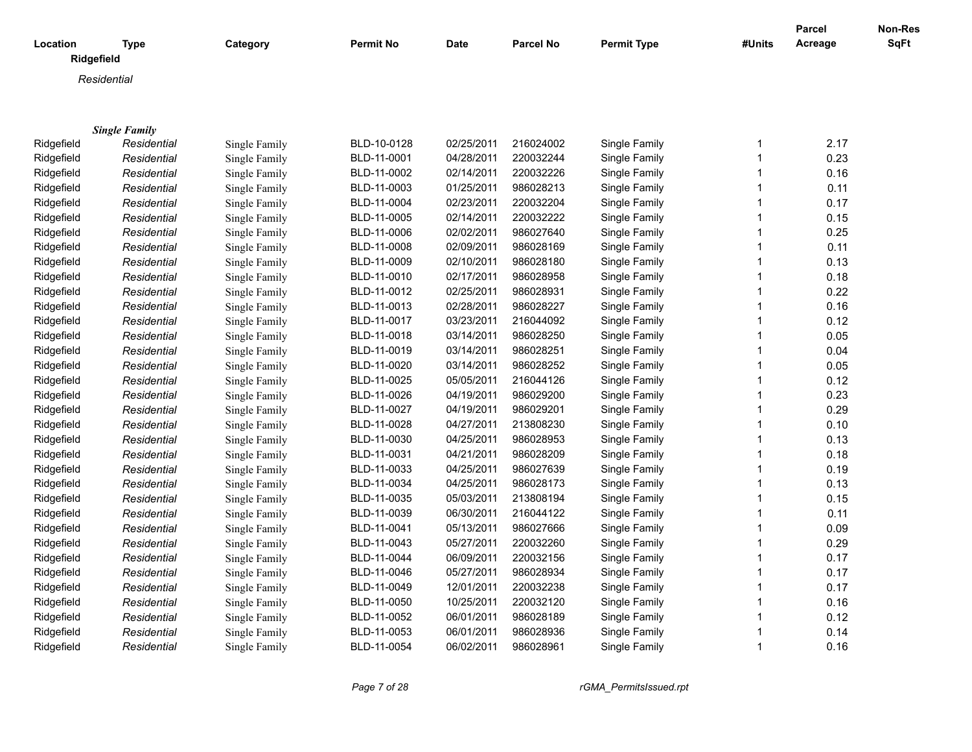| Location   | <b>Type</b>          | Category      | <b>Permit No</b> | Date       | <b>Parcel No</b> | <b>Permit Type</b> | #Units       | <b>Parcel</b><br>Acreage | Non-Res<br>SqFt |
|------------|----------------------|---------------|------------------|------------|------------------|--------------------|--------------|--------------------------|-----------------|
| Ridgefield |                      |               |                  |            |                  |                    |              |                          |                 |
|            | Residential          |               |                  |            |                  |                    |              |                          |                 |
|            |                      |               |                  |            |                  |                    |              |                          |                 |
|            |                      |               |                  |            |                  |                    |              |                          |                 |
|            | <b>Single Family</b> |               |                  |            |                  |                    |              |                          |                 |
| Ridgefield | Residential          | Single Family | BLD-10-0128      | 02/25/2011 | 216024002        | Single Family      | 1            | 2.17                     |                 |
| Ridgefield | Residential          | Single Family | BLD-11-0001      | 04/28/2011 | 220032244        | Single Family      | $\mathbf{1}$ | 0.23                     |                 |
| Ridgefield | Residential          | Single Family | BLD-11-0002      | 02/14/2011 | 220032226        | Single Family      | $\mathbf{1}$ | 0.16                     |                 |
| Ridgefield | Residential          | Single Family | BLD-11-0003      | 01/25/2011 | 986028213        | Single Family      | $\mathbf{1}$ | 0.11                     |                 |
| Ridgefield | Residential          | Single Family | BLD-11-0004      | 02/23/2011 | 220032204        | Single Family      | $\mathbf{1}$ | 0.17                     |                 |
| Ridgefield | Residential          | Single Family | BLD-11-0005      | 02/14/2011 | 220032222        | Single Family      | 1            | 0.15                     |                 |
| Ridgefield | Residential          | Single Family | BLD-11-0006      | 02/02/2011 | 986027640        | Single Family      | $\mathbf 1$  | 0.25                     |                 |
| Ridgefield | Residential          | Single Family | BLD-11-0008      | 02/09/2011 | 986028169        | Single Family      | $\mathbf{1}$ | 0.11                     |                 |
| Ridgefield | Residential          | Single Family | BLD-11-0009      | 02/10/2011 | 986028180        | Single Family      | $\mathbf{1}$ | 0.13                     |                 |
| Ridgefield | Residential          | Single Family | BLD-11-0010      | 02/17/2011 | 986028958        | Single Family      | $\mathbf{1}$ | 0.18                     |                 |
| Ridgefield | Residential          | Single Family | BLD-11-0012      | 02/25/2011 | 986028931        | Single Family      | $\mathbf{1}$ | 0.22                     |                 |
| Ridgefield | Residential          | Single Family | BLD-11-0013      | 02/28/2011 | 986028227        | Single Family      | 1            | 0.16                     |                 |
| Ridgefield | Residential          | Single Family | BLD-11-0017      | 03/23/2011 | 216044092        | Single Family      | $\mathbf{1}$ | 0.12                     |                 |
| Ridgefield | Residential          | Single Family | BLD-11-0018      | 03/14/2011 | 986028250        | Single Family      | $\mathbf 1$  | 0.05                     |                 |
| Ridgefield | Residential          | Single Family | BLD-11-0019      | 03/14/2011 | 986028251        | Single Family      | $\mathbf 1$  | 0.04                     |                 |
| Ridgefield | Residential          | Single Family | BLD-11-0020      | 03/14/2011 | 986028252        | Single Family      | $\mathbf{1}$ | 0.05                     |                 |
| Ridgefield | Residential          | Single Family | BLD-11-0025      | 05/05/2011 | 216044126        | Single Family      | $\mathbf{1}$ | 0.12                     |                 |
| Ridgefield | Residential          | Single Family | BLD-11-0026      | 04/19/2011 | 986029200        | Single Family      | $\mathbf{1}$ | 0.23                     |                 |
| Ridgefield | Residential          | Single Family | BLD-11-0027      | 04/19/2011 | 986029201        | Single Family      | $\mathbf{1}$ | 0.29                     |                 |
| Ridgefield | Residential          | Single Family | BLD-11-0028      | 04/27/2011 | 213808230        | Single Family      | 1            | 0.10                     |                 |
| Ridgefield | Residential          | Single Family | BLD-11-0030      | 04/25/2011 | 986028953        | Single Family      | $\mathbf{1}$ | 0.13                     |                 |
| Ridgefield | Residential          | Single Family | BLD-11-0031      | 04/21/2011 | 986028209        | Single Family      | 1            | 0.18                     |                 |
| Ridgefield | Residential          | Single Family | BLD-11-0033      | 04/25/2011 | 986027639        | Single Family      | $\mathbf 1$  | 0.19                     |                 |
| Ridgefield | Residential          | Single Family | BLD-11-0034      | 04/25/2011 | 986028173        | Single Family      | $\mathbf{1}$ | 0.13                     |                 |
| Ridgefield | Residential          | Single Family | BLD-11-0035      | 05/03/2011 | 213808194        | Single Family      | $\mathbf{1}$ | 0.15                     |                 |
| Ridgefield | Residential          | Single Family | BLD-11-0039      | 06/30/2011 | 216044122        | Single Family      | $\mathbf{1}$ | 0.11                     |                 |
| Ridgefield | Residential          | Single Family | BLD-11-0041      | 05/13/2011 | 986027666        | Single Family      | $\mathbf{1}$ | 0.09                     |                 |
| Ridgefield | Residential          | Single Family | BLD-11-0043      | 05/27/2011 | 220032260        | Single Family      | 1            | 0.29                     |                 |
| Ridgefield | Residential          | Single Family | BLD-11-0044      | 06/09/2011 | 220032156        | Single Family      | $\mathbf{1}$ | 0.17                     |                 |
| Ridgefield | Residential          | Single Family | BLD-11-0046      | 05/27/2011 | 986028934        | Single Family      | $\mathbf{1}$ | 0.17                     |                 |
| Ridgefield | Residential          | Single Family | BLD-11-0049      | 12/01/2011 | 220032238        | Single Family      | $\mathbf 1$  | 0.17                     |                 |
| Ridgefield | Residential          | Single Family | BLD-11-0050      | 10/25/2011 | 220032120        | Single Family      | $\mathbf{1}$ | 0.16                     |                 |
| Ridgefield | Residential          | Single Family | BLD-11-0052      | 06/01/2011 | 986028189        | Single Family      | $\mathbf{1}$ | 0.12                     |                 |
| Ridgefield | Residential          | Single Family | BLD-11-0053      | 06/01/2011 | 986028936        | Single Family      | 1            | 0.14                     |                 |
| Ridgefield | Residential          | Single Family | BLD-11-0054      | 06/02/2011 | 986028961        | Single Family      | $\mathbf 1$  | 0.16                     |                 |
|            |                      |               |                  |            |                  |                    |              |                          |                 |

*Page 7 of 28 rGMA\_PermitsIssued.rpt*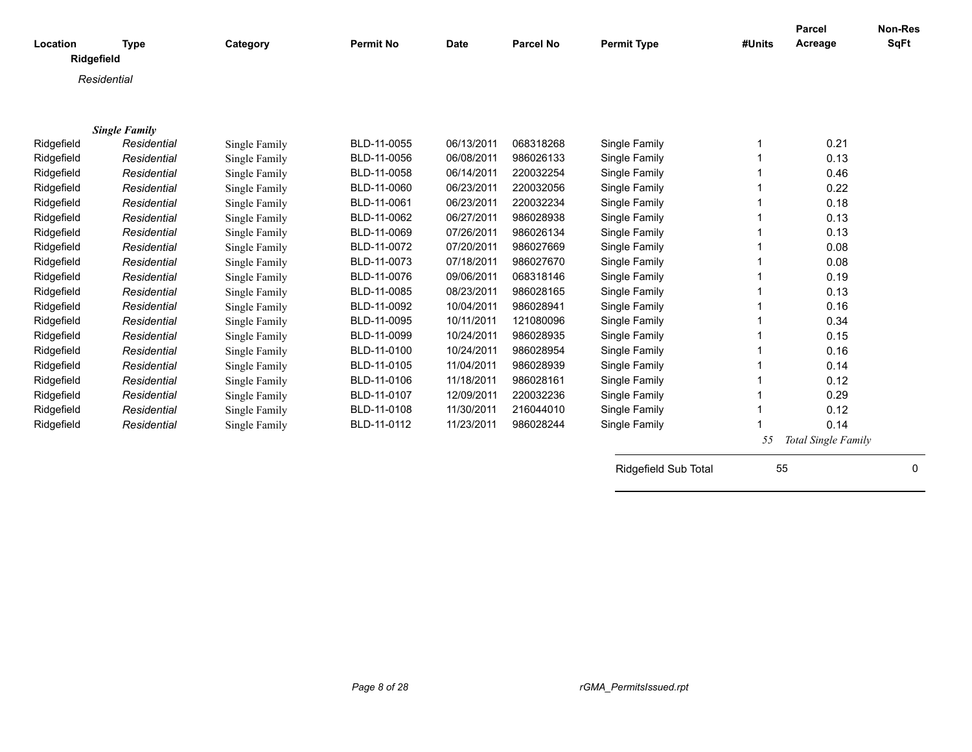| Location   | <b>Type</b>          | Category      | <b>Permit No</b> | <b>Date</b> | <b>Parcel No</b> | <b>Permit Type</b>   | #Units | Parcel<br>Acreage   | Non-Res<br><b>SqFt</b> |
|------------|----------------------|---------------|------------------|-------------|------------------|----------------------|--------|---------------------|------------------------|
| Ridgefield |                      |               |                  |             |                  |                      |        |                     |                        |
|            | Residential          |               |                  |             |                  |                      |        |                     |                        |
|            |                      |               |                  |             |                  |                      |        |                     |                        |
|            |                      |               |                  |             |                  |                      |        |                     |                        |
|            | <b>Single Family</b> |               |                  |             |                  |                      |        |                     |                        |
| Ridgefield | Residential          | Single Family | BLD-11-0055      | 06/13/2011  | 068318268        | Single Family        |        | 0.21                |                        |
| Ridgefield | Residential          | Single Family | BLD-11-0056      | 06/08/2011  | 986026133        | Single Family        |        | 0.13                |                        |
| Ridgefield | Residential          | Single Family | BLD-11-0058      | 06/14/2011  | 220032254        | Single Family        |        | 0.46                |                        |
| Ridgefield | Residential          | Single Family | BLD-11-0060      | 06/23/2011  | 220032056        | Single Family        |        | 0.22                |                        |
| Ridgefield | Residential          | Single Family | BLD-11-0061      | 06/23/2011  | 220032234        | Single Family        |        | 0.18                |                        |
| Ridgefield | Residential          | Single Family | BLD-11-0062      | 06/27/2011  | 986028938        | Single Family        |        | 0.13                |                        |
| Ridgefield | Residential          | Single Family | BLD-11-0069      | 07/26/2011  | 986026134        | Single Family        |        | 0.13                |                        |
| Ridgefield | Residential          | Single Family | BLD-11-0072      | 07/20/2011  | 986027669        | Single Family        |        | 0.08                |                        |
| Ridgefield | Residential          | Single Family | BLD-11-0073      | 07/18/2011  | 986027670        | Single Family        |        | 0.08                |                        |
| Ridgefield | Residential          | Single Family | BLD-11-0076      | 09/06/2011  | 068318146        | Single Family        |        | 0.19                |                        |
| Ridgefield | Residential          | Single Family | BLD-11-0085      | 08/23/2011  | 986028165        | Single Family        |        | 0.13                |                        |
| Ridgefield | Residential          | Single Family | BLD-11-0092      | 10/04/2011  | 986028941        | Single Family        |        | 0.16                |                        |
| Ridgefield | Residential          | Single Family | BLD-11-0095      | 10/11/2011  | 121080096        | Single Family        |        | 0.34                |                        |
| Ridgefield | Residential          | Single Family | BLD-11-0099      | 10/24/2011  | 986028935        | Single Family        |        | 0.15                |                        |
| Ridgefield | Residential          | Single Family | BLD-11-0100      | 10/24/2011  | 986028954        | Single Family        |        | 0.16                |                        |
| Ridgefield | Residential          | Single Family | BLD-11-0105      | 11/04/2011  | 986028939        | Single Family        |        | 0.14                |                        |
| Ridgefield | Residential          | Single Family | BLD-11-0106      | 11/18/2011  | 986028161        | Single Family        |        | 0.12                |                        |
| Ridgefield | Residential          | Single Family | BLD-11-0107      | 12/09/2011  | 220032236        | Single Family        |        | 0.29                |                        |
| Ridgefield | Residential          | Single Family | BLD-11-0108      | 11/30/2011  | 216044010        | Single Family        |        | 0.12                |                        |
| Ridgefield | Residential          | Single Family | BLD-11-0112      | 11/23/2011  | 986028244        | Single Family        |        | 0.14                |                        |
|            |                      |               |                  |             |                  |                      | 55     | Total Single Family |                        |
|            |                      |               |                  |             |                  | Ridgefield Sub Total | 55     |                     | 0                      |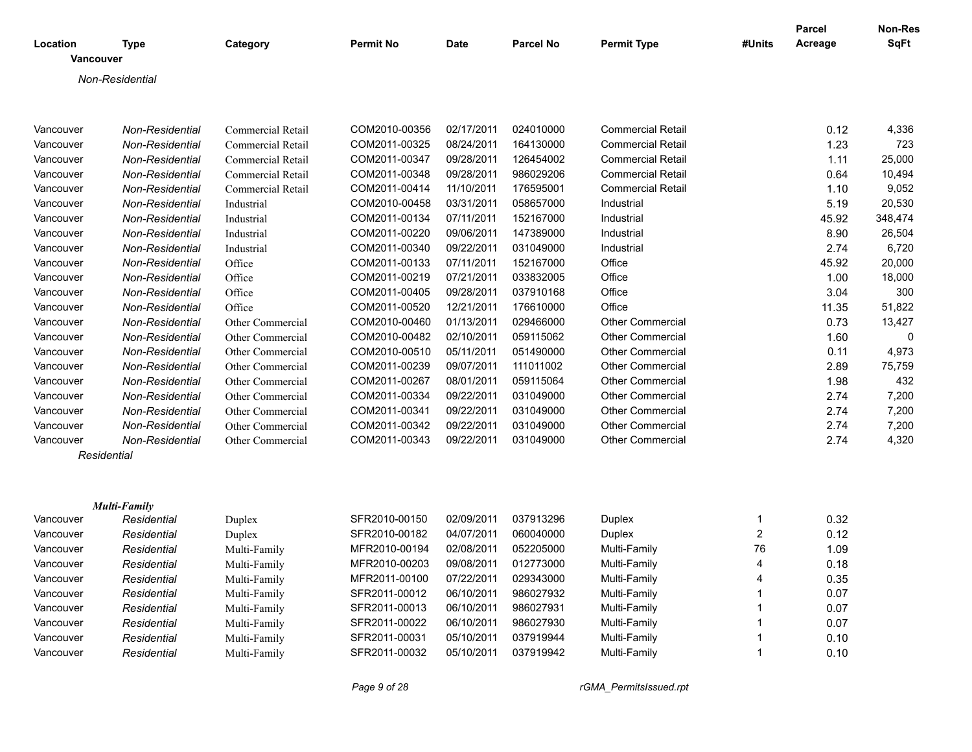| Location  | <b>Type</b>            | Category                 | <b>Permit No</b> | <b>Date</b> | <b>Parcel No</b> | <b>Permit Type</b>       | #Units         | <b>Parcel</b><br>Acreage | Non-Res<br>SqFt |
|-----------|------------------------|--------------------------|------------------|-------------|------------------|--------------------------|----------------|--------------------------|-----------------|
|           | <b>Vancouver</b>       |                          |                  |             |                  |                          |                |                          |                 |
|           | Non-Residential        |                          |                  |             |                  |                          |                |                          |                 |
|           |                        |                          |                  |             |                  |                          |                |                          |                 |
| Vancouver | Non-Residential        | Commercial Retail        | COM2010-00356    | 02/17/2011  | 024010000        | <b>Commercial Retail</b> |                | 0.12                     | 4,336           |
| Vancouver | <b>Non-Residential</b> | <b>Commercial Retail</b> | COM2011-00325    | 08/24/2011  | 164130000        | <b>Commercial Retail</b> |                | 1.23                     | 723             |
| Vancouver | <b>Non-Residential</b> | <b>Commercial Retail</b> | COM2011-00347    | 09/28/2011  | 126454002        | <b>Commercial Retail</b> |                | 1.11                     | 25,000          |
| Vancouver | Non-Residential        | Commercial Retail        | COM2011-00348    | 09/28/2011  | 986029206        | <b>Commercial Retail</b> |                | 0.64                     | 10,494          |
| Vancouver | Non-Residential        | Commercial Retail        | COM2011-00414    | 11/10/2011  | 176595001        | <b>Commercial Retail</b> |                | 1.10                     | 9,052           |
| Vancouver | <b>Non-Residential</b> | Industrial               | COM2010-00458    | 03/31/2011  | 058657000        | Industrial               |                | 5.19                     | 20,530          |
| Vancouver | Non-Residential        | Industrial               | COM2011-00134    | 07/11/2011  | 152167000        | Industrial               |                | 45.92                    | 348,474         |
| Vancouver | <b>Non-Residential</b> | Industrial               | COM2011-00220    | 09/06/2011  | 147389000        | Industrial               |                | 8.90                     | 26,504          |
| Vancouver | Non-Residential        | Industrial               | COM2011-00340    | 09/22/2011  | 031049000        | Industrial               |                | 2.74                     | 6,720           |
| Vancouver | <b>Non-Residential</b> | Office                   | COM2011-00133    | 07/11/2011  | 152167000        | Office                   |                | 45.92                    | 20,000          |
| Vancouver | Non-Residential        | Office                   | COM2011-00219    | 07/21/2011  | 033832005        | Office                   |                | 1.00                     | 18,000          |
| Vancouver | Non-Residential        | Office                   | COM2011-00405    | 09/28/2011  | 037910168        | Office                   |                | 3.04                     | 300             |
| Vancouver | Non-Residential        | Office                   | COM2011-00520    | 12/21/2011  | 176610000        | Office                   |                | 11.35                    | 51,822          |
| Vancouver | Non-Residential        | Other Commercial         | COM2010-00460    | 01/13/2011  | 029466000        | <b>Other Commercial</b>  |                | 0.73                     | 13,427          |
| Vancouver | Non-Residential        | Other Commercial         | COM2010-00482    | 02/10/2011  | 059115062        | <b>Other Commercial</b>  |                | 1.60                     | 0               |
| Vancouver | Non-Residential        | Other Commercial         | COM2010-00510    | 05/11/2011  | 051490000        | <b>Other Commercial</b>  |                | 0.11                     | 4,973           |
| Vancouver | Non-Residential        | Other Commercial         | COM2011-00239    | 09/07/2011  | 111011002        | <b>Other Commercial</b>  |                | 2.89                     | 75,759          |
| Vancouver | Non-Residential        | Other Commercial         | COM2011-00267    | 08/01/2011  | 059115064        | <b>Other Commercial</b>  |                | 1.98                     | 432             |
| Vancouver | <b>Non-Residential</b> | Other Commercial         | COM2011-00334    | 09/22/2011  | 031049000        | <b>Other Commercial</b>  |                | 2.74                     | 7,200           |
| Vancouver | Non-Residential        | Other Commercial         | COM2011-00341    | 09/22/2011  | 031049000        | <b>Other Commercial</b>  |                | 2.74                     | 7,200           |
| Vancouver | <b>Non-Residential</b> | Other Commercial         | COM2011-00342    | 09/22/2011  | 031049000        | <b>Other Commercial</b>  |                | 2.74                     | 7,200           |
| Vancouver | Non-Residential        | Other Commercial         | COM2011-00343    | 09/22/2011  | 031049000        | Other Commercial         |                | 2.74                     | 4,320           |
|           | Residential            |                          |                  |             |                  |                          |                |                          |                 |
|           |                        |                          |                  |             |                  |                          |                |                          |                 |
|           | <b>Multi-Family</b>    |                          |                  |             |                  |                          |                |                          |                 |
| Vancouver | Residential            | Duplex                   | SFR2010-00150    | 02/09/2011  | 037913296        | Duplex                   | $\mathbf{1}$   | 0.32                     |                 |
| Vancouver | Residential            | Duplex                   | SFR2010-00182    | 04/07/2011  | 060040000        | Duplex                   | $\overline{2}$ | 0.12                     |                 |
| Vancouver | Residential            | Multi-Family             | MFR2010-00194    | 02/08/2011  | 052205000        | Multi-Family             | 76             | 1.09                     |                 |
| Vancouver | Residential            | Multi-Family             | MFR2010-00203    | 09/08/2011  | 012773000        | Multi-Family             | 4              | 0.18                     |                 |
| Vancouver | Residential            | Multi-Family             | MFR2011-00100    | 07/22/2011  | 029343000        | Multi-Family             | 4              | 0.35                     |                 |
| Vancouver | Residential            | Multi-Family             | SFR2011-00012    | 06/10/2011  | 986027932        | Multi-Family             | $\mathbf{1}$   | 0.07                     |                 |
| Vancouver | Residential            | Multi-Family             | SFR2011-00013    | 06/10/2011  | 986027931        | Multi-Family             | $\mathbf 1$    | 0.07                     |                 |
| Vancouver | Residential            | Multi-Family             | SFR2011-00022    | 06/10/2011  | 986027930        | Multi-Family             | $\mathbf{1}$   | 0.07                     |                 |
| Vancouver | Residential            | Multi-Family             | SFR2011-00031    | 05/10/2011  | 037919944        | Multi-Family             | $\mathbf 1$    | 0.10                     |                 |
| Vancouver | Residential            | Multi-Family             | SFR2011-00032    | 05/10/2011  | 037919942        | Multi-Family             | $\mathbf{1}$   | 0.10                     |                 |

*Page 9 of 28 rGMA\_PermitsIssued.rpt*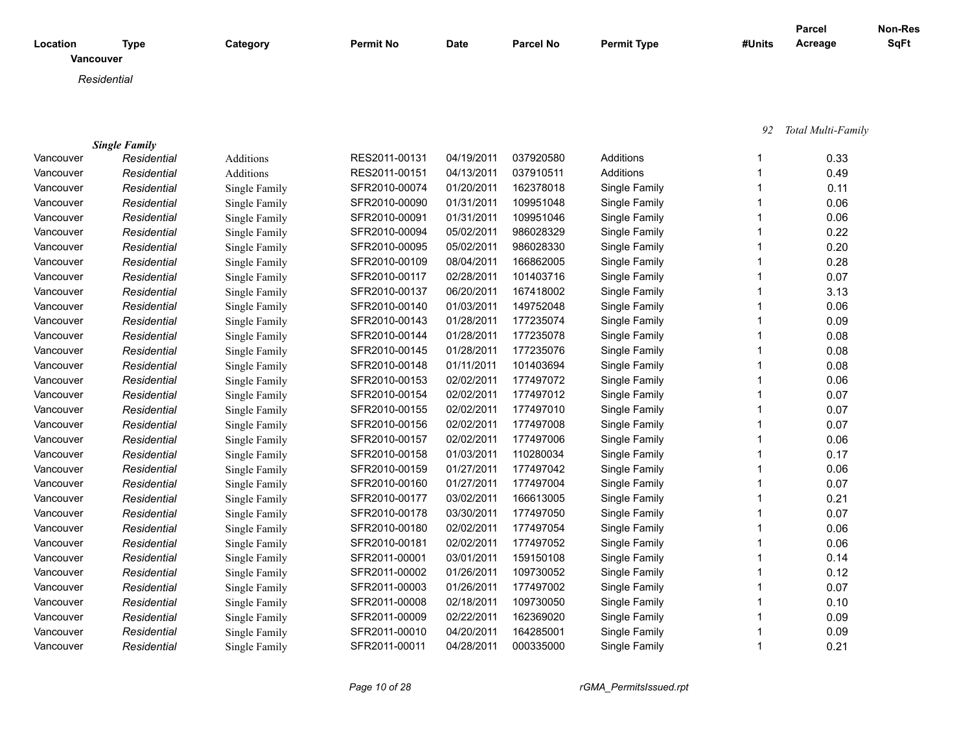| Category                   | <b>Permit No</b> | <b>Date</b> | <b>Parcel No</b> | <b>Permit Type</b> | #Units | Parcel<br>Acreage | <b>Non-Res</b><br><b>SqFt</b> |
|----------------------------|------------------|-------------|------------------|--------------------|--------|-------------------|-------------------------------|
|                            |                  |             |                  |                    |        |                   |                               |
|                            |                  |             |                  |                    |        |                   |                               |
|                            |                  |             |                  |                    |        |                   |                               |
| <b>Type</b><br>Residential |                  |             |                  |                    |        |                   |                               |

|           | <b>Single Family</b> |               |               |            |           |               |      |
|-----------|----------------------|---------------|---------------|------------|-----------|---------------|------|
| Vancouver | Residential          | Additions     | RES2011-00131 | 04/19/2011 | 037920580 | Additions     | 0.33 |
| Vancouver | Residential          | Additions     | RES2011-00151 | 04/13/2011 | 037910511 | Additions     | 0.49 |
| Vancouver | Residential          | Single Family | SFR2010-00074 | 01/20/2011 | 162378018 | Single Family | 0.11 |
| Vancouver | Residential          | Single Family | SFR2010-00090 | 01/31/2011 | 109951048 | Single Family | 0.06 |
| Vancouver | Residential          | Single Family | SFR2010-00091 | 01/31/2011 | 109951046 | Single Family | 0.06 |
| Vancouver | Residential          | Single Family | SFR2010-00094 | 05/02/2011 | 986028329 | Single Family | 0.22 |
| Vancouver | Residential          | Single Family | SFR2010-00095 | 05/02/2011 | 986028330 | Single Family | 0.20 |
| Vancouver | Residential          | Single Family | SFR2010-00109 | 08/04/2011 | 166862005 | Single Family | 0.28 |
| Vancouver | Residential          | Single Family | SFR2010-00117 | 02/28/2011 | 101403716 | Single Family | 0.07 |
| Vancouver | Residential          | Single Family | SFR2010-00137 | 06/20/2011 | 167418002 | Single Family | 3.13 |
| Vancouver | Residential          | Single Family | SFR2010-00140 | 01/03/2011 | 149752048 | Single Family | 0.06 |
| Vancouver | Residential          | Single Family | SFR2010-00143 | 01/28/2011 | 177235074 | Single Family | 0.09 |
| Vancouver | Residential          | Single Family | SFR2010-00144 | 01/28/2011 | 177235078 | Single Family | 0.08 |
| Vancouver | Residential          | Single Family | SFR2010-00145 | 01/28/2011 | 177235076 | Single Family | 0.08 |
| Vancouver | Residential          | Single Family | SFR2010-00148 | 01/11/2011 | 101403694 | Single Family | 0.08 |
| Vancouver | Residential          | Single Family | SFR2010-00153 | 02/02/2011 | 177497072 | Single Family | 0.06 |
| Vancouver | Residential          | Single Family | SFR2010-00154 | 02/02/2011 | 177497012 | Single Family | 0.07 |
| Vancouver | Residential          | Single Family | SFR2010-00155 | 02/02/2011 | 177497010 | Single Family | 0.07 |
| Vancouver | Residential          | Single Family | SFR2010-00156 | 02/02/2011 | 177497008 | Single Family | 0.07 |
| Vancouver | Residential          | Single Family | SFR2010-00157 | 02/02/2011 | 177497006 | Single Family | 0.06 |
| Vancouver | Residential          | Single Family | SFR2010-00158 | 01/03/2011 | 110280034 | Single Family | 0.17 |
| Vancouver | Residential          | Single Family | SFR2010-00159 | 01/27/2011 | 177497042 | Single Family | 0.06 |
| Vancouver | Residential          | Single Family | SFR2010-00160 | 01/27/2011 | 177497004 | Single Family | 0.07 |
| Vancouver | Residential          | Single Family | SFR2010-00177 | 03/02/2011 | 166613005 | Single Family | 0.21 |
| Vancouver | Residential          | Single Family | SFR2010-00178 | 03/30/2011 | 177497050 | Single Family | 0.07 |
| Vancouver | Residential          | Single Family | SFR2010-00180 | 02/02/2011 | 177497054 | Single Family | 0.06 |
| Vancouver | Residential          | Single Family | SFR2010-00181 | 02/02/2011 | 177497052 | Single Family | 0.06 |
| Vancouver | Residential          | Single Family | SFR2011-00001 | 03/01/2011 | 159150108 | Single Family | 0.14 |
| Vancouver | Residential          | Single Family | SFR2011-00002 | 01/26/2011 | 109730052 | Single Family | 0.12 |
| Vancouver | Residential          | Single Family | SFR2011-00003 | 01/26/2011 | 177497002 | Single Family | 0.07 |
| Vancouver | Residential          | Single Family | SFR2011-00008 | 02/18/2011 | 109730050 | Single Family | 0.10 |
| Vancouver | Residential          | Single Family | SFR2011-00009 | 02/22/2011 | 162369020 | Single Family | 0.09 |
| Vancouver | Residential          | Single Family | SFR2011-00010 | 04/20/2011 | 164285001 | Single Family | 0.09 |
| Vancouver | Residential          | Single Family | SFR2011-00011 | 04/28/2011 | 000335000 | Single Family | 0.21 |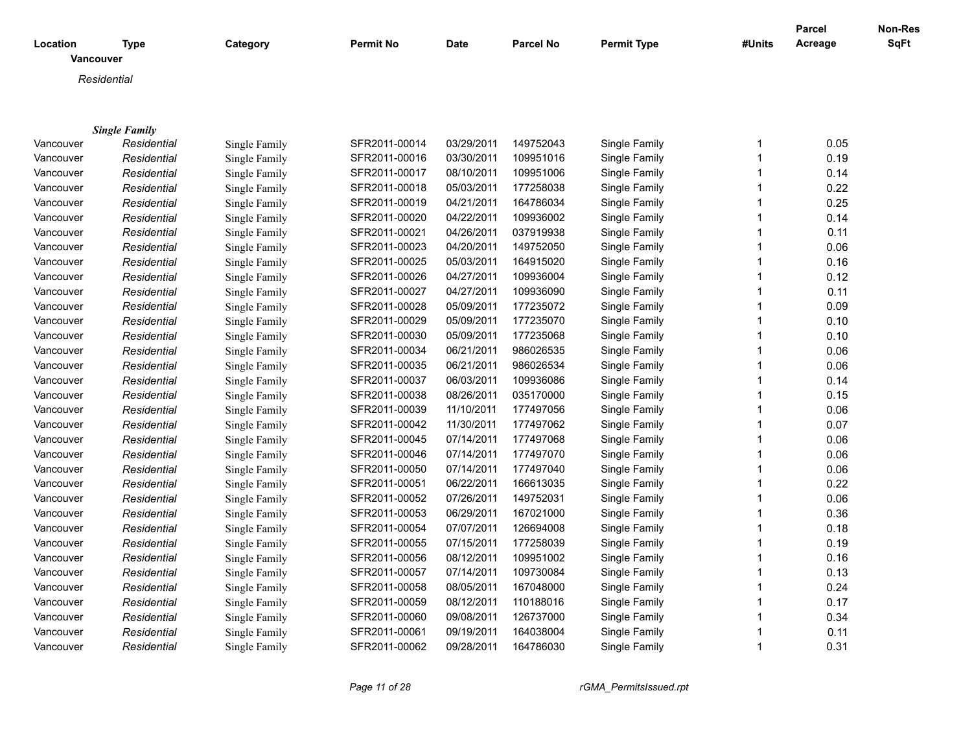|                       |                      |               |                  |             |                  |                    |              | <b>Parcel</b> | Non-Res |
|-----------------------|----------------------|---------------|------------------|-------------|------------------|--------------------|--------------|---------------|---------|
| Location<br>Vancouver | <b>Type</b>          | Category      | <b>Permit No</b> | <b>Date</b> | <b>Parcel No</b> | <b>Permit Type</b> | #Units       | Acreage       | SqFt    |
|                       | Residential          |               |                  |             |                  |                    |              |               |         |
|                       |                      |               |                  |             |                  |                    |              |               |         |
|                       |                      |               |                  |             |                  |                    |              |               |         |
|                       | <b>Single Family</b> |               |                  |             |                  |                    |              |               |         |
| Vancouver             | Residential          | Single Family | SFR2011-00014    | 03/29/2011  | 149752043        | Single Family      | $\mathbf{1}$ | 0.05          |         |
| Vancouver             | Residential          | Single Family | SFR2011-00016    | 03/30/2011  | 109951016        | Single Family      | $\mathbf{1}$ | 0.19          |         |
| Vancouver             | Residential          | Single Family | SFR2011-00017    | 08/10/2011  | 109951006        | Single Family      | $\mathbf{1}$ | 0.14          |         |
| Vancouver             | Residential          | Single Family | SFR2011-00018    | 05/03/2011  | 177258038        | Single Family      | $\mathbf{1}$ | 0.22          |         |
| Vancouver             | Residential          | Single Family | SFR2011-00019    | 04/21/2011  | 164786034        | Single Family      | $\mathbf{1}$ | 0.25          |         |
| Vancouver             | Residential          | Single Family | SFR2011-00020    | 04/22/2011  | 109936002        | Single Family      | $\mathbf 1$  | 0.14          |         |
| Vancouver             | Residential          | Single Family | SFR2011-00021    | 04/26/2011  | 037919938        | Single Family      | $\mathbf{1}$ | 0.11          |         |
| Vancouver             | Residential          | Single Family | SFR2011-00023    | 04/20/2011  | 149752050        | Single Family      | $\mathbf 1$  | 0.06          |         |
| Vancouver             | Residential          | Single Family | SFR2011-00025    | 05/03/2011  | 164915020        | Single Family      | $\mathbf{1}$ | 0.16          |         |
| Vancouver             | Residential          | Single Family | SFR2011-00026    | 04/27/2011  | 109936004        | Single Family      | $\mathbf 1$  | 0.12          |         |
| Vancouver             | Residential          | Single Family | SFR2011-00027    | 04/27/2011  | 109936090        | Single Family      | $\mathbf{1}$ | 0.11          |         |
| Vancouver             | Residential          | Single Family | SFR2011-00028    | 05/09/2011  | 177235072        | Single Family      | $\mathbf{1}$ | 0.09          |         |
| Vancouver             | Residential          | Single Family | SFR2011-00029    | 05/09/2011  | 177235070        | Single Family      | $\mathbf 1$  | 0.10          |         |
| Vancouver             | Residential          | Single Family | SFR2011-00030    | 05/09/2011  | 177235068        | Single Family      | 1            | 0.10          |         |
| Vancouver             | Residential          | Single Family | SFR2011-00034    | 06/21/2011  | 986026535        | Single Family      | $\mathbf{1}$ | 0.06          |         |
| Vancouver             | Residential          | Single Family | SFR2011-00035    | 06/21/2011  | 986026534        | Single Family      | $\mathbf{1}$ | 0.06          |         |
| Vancouver             | Residential          | Single Family | SFR2011-00037    | 06/03/2011  | 109936086        | Single Family      | $\mathbf 1$  | 0.14          |         |
| Vancouver             | Residential          | Single Family | SFR2011-00038    | 08/26/2011  | 035170000        | Single Family      | 1            | 0.15          |         |
| Vancouver             | Residential          | Single Family | SFR2011-00039    | 11/10/2011  | 177497056        | Single Family      | $\mathbf{1}$ | 0.06          |         |
| Vancouver             | Residential          | Single Family | SFR2011-00042    | 11/30/2011  | 177497062        | Single Family      | $\mathbf{1}$ | 0.07          |         |
| Vancouver             | Residential          | Single Family | SFR2011-00045    | 07/14/2011  | 177497068        | Single Family      | $\mathbf 1$  | 0.06          |         |
| Vancouver             | Residential          | Single Family | SFR2011-00046    | 07/14/2011  | 177497070        | Single Family      | 1            | 0.06          |         |
| Vancouver             | Residential          | Single Family | SFR2011-00050    | 07/14/2011  | 177497040        | Single Family      | $\mathbf{1}$ | 0.06          |         |
| Vancouver             | Residential          | Single Family | SFR2011-00051    | 06/22/2011  | 166613035        | Single Family      | $\mathbf{1}$ | 0.22          |         |
| Vancouver             | Residential          | Single Family | SFR2011-00052    | 07/26/2011  | 149752031        | Single Family      | $\mathbf{1}$ | 0.06          |         |
| Vancouver             | Residential          | Single Family | SFR2011-00053    | 06/29/2011  | 167021000        | Single Family      | $\mathbf{1}$ | 0.36          |         |
| Vancouver             | Residential          | Single Family | SFR2011-00054    | 07/07/2011  | 126694008        | Single Family      | $\mathbf{1}$ | 0.18          |         |
| Vancouver             | Residential          | Single Family | SFR2011-00055    | 07/15/2011  | 177258039        | Single Family      | $\mathbf{1}$ | 0.19          |         |
| Vancouver             | Residential          | Single Family | SFR2011-00056    | 08/12/2011  | 109951002        | Single Family      | 1            | 0.16          |         |
| Vancouver             | Residential          | Single Family | SFR2011-00057    | 07/14/2011  | 109730084        | Single Family      | 1            | 0.13          |         |
| Vancouver             | Residential          | Single Family | SFR2011-00058    | 08/05/2011  | 167048000        | Single Family      | $\mathbf{1}$ | 0.24          |         |
| Vancouver             | Residential          | Single Family | SFR2011-00059    | 08/12/2011  | 110188016        | Single Family      | $\mathbf{1}$ | 0.17          |         |
| Vancouver             | Residential          | Single Family | SFR2011-00060    | 09/08/2011  | 126737000        | Single Family      | 1            | 0.34          |         |
| Vancouver             | Residential          | Single Family | SFR2011-00061    | 09/19/2011  | 164038004        | Single Family      | $\mathbf 1$  | 0.11          |         |
| Vancouver             | Residential          | Single Family | SFR2011-00062    | 09/28/2011  | 164786030        | Single Family      | $\mathbf{1}$ | 0.31          |         |
|                       |                      |               |                  |             |                  |                    |              |               |         |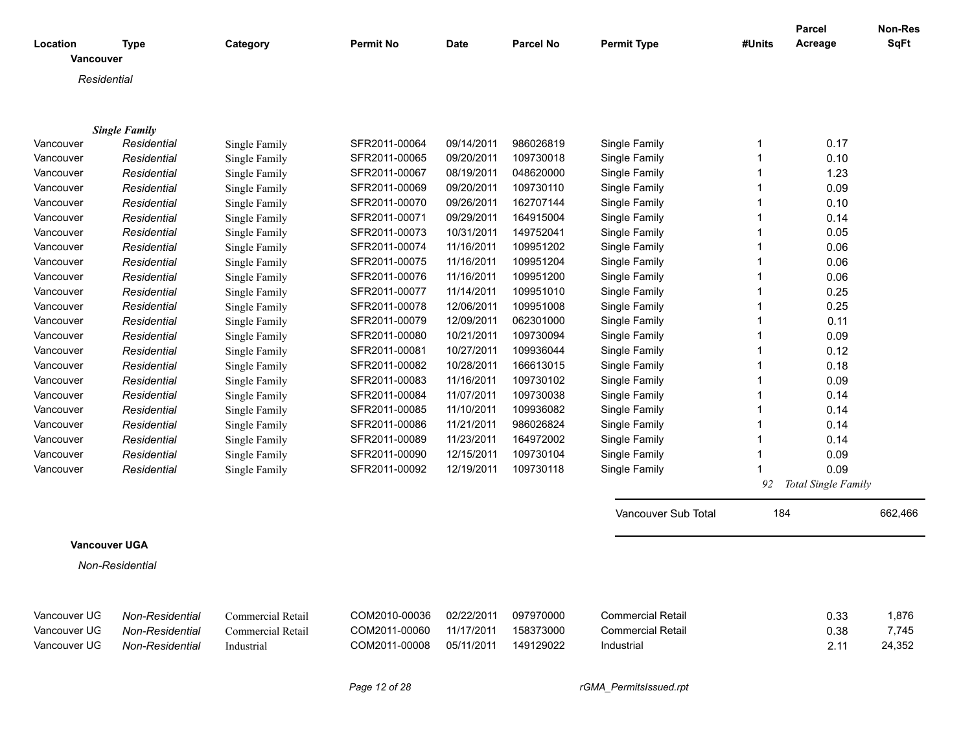| Location<br><b>Vancouver</b> | <b>Type</b>          | Category          | <b>Permit No</b> | <b>Date</b> | <b>Parcel No</b> | <b>Permit Type</b>       | #Units       | <b>Parcel</b><br>Acreage | Non-Res<br><b>SqFt</b> |
|------------------------------|----------------------|-------------------|------------------|-------------|------------------|--------------------------|--------------|--------------------------|------------------------|
| Residential                  |                      |                   |                  |             |                  |                          |              |                          |                        |
|                              |                      |                   |                  |             |                  |                          |              |                          |                        |
|                              |                      |                   |                  |             |                  |                          |              |                          |                        |
|                              | <b>Single Family</b> |                   |                  |             |                  |                          |              |                          |                        |
| Vancouver                    | Residential          | Single Family     | SFR2011-00064    | 09/14/2011  | 986026819        | Single Family            | 1            | 0.17                     |                        |
| Vancouver                    | Residential          | Single Family     | SFR2011-00065    | 09/20/2011  | 109730018        | Single Family            | $\mathbf{1}$ | 0.10                     |                        |
| Vancouver                    | Residential          | Single Family     | SFR2011-00067    | 08/19/2011  | 048620000        | Single Family            | 1            | 1.23                     |                        |
| Vancouver                    | Residential          | Single Family     | SFR2011-00069    | 09/20/2011  | 109730110        | Single Family            | $\mathbf{1}$ | 0.09                     |                        |
| Vancouver                    | Residential          | Single Family     | SFR2011-00070    | 09/26/2011  | 162707144        | Single Family            | 1            | 0.10                     |                        |
| Vancouver                    | Residential          | Single Family     | SFR2011-00071    | 09/29/2011  | 164915004        | Single Family            | 1            | 0.14                     |                        |
| Vancouver                    | Residential          | Single Family     | SFR2011-00073    | 10/31/2011  | 149752041        | Single Family            | 1            | 0.05                     |                        |
| Vancouver                    | Residential          | Single Family     | SFR2011-00074    | 11/16/2011  | 109951202        | Single Family            | 1            | 0.06                     |                        |
| Vancouver                    | Residential          | Single Family     | SFR2011-00075    | 11/16/2011  | 109951204        | Single Family            | 1            | 0.06                     |                        |
| Vancouver                    | Residential          | Single Family     | SFR2011-00076    | 11/16/2011  | 109951200        | Single Family            | $\mathbf{1}$ | 0.06                     |                        |
| Vancouver                    | Residential          | Single Family     | SFR2011-00077    | 11/14/2011  | 109951010        | Single Family            | 1            | 0.25                     |                        |
| Vancouver                    | Residential          | Single Family     | SFR2011-00078    | 12/06/2011  | 109951008        | Single Family            | 1            | 0.25                     |                        |
| Vancouver                    | Residential          | Single Family     | SFR2011-00079    | 12/09/2011  | 062301000        | Single Family            | 1            | 0.11                     |                        |
| Vancouver                    | Residential          | Single Family     | SFR2011-00080    | 10/21/2011  | 109730094        | Single Family            | $\mathbf{1}$ | 0.09                     |                        |
| Vancouver                    | Residential          | Single Family     | SFR2011-00081    | 10/27/2011  | 109936044        | Single Family            | 1            | 0.12                     |                        |
| Vancouver                    | Residential          | Single Family     | SFR2011-00082    | 10/28/2011  | 166613015        | Single Family            | 1            | 0.18                     |                        |
| Vancouver                    | Residential          | Single Family     | SFR2011-00083    | 11/16/2011  | 109730102        | Single Family            | 1            | 0.09                     |                        |
| Vancouver                    | Residential          | Single Family     | SFR2011-00084    | 11/07/2011  | 109730038        | Single Family            | $\mathbf{1}$ | 0.14                     |                        |
| Vancouver                    | Residential          | Single Family     | SFR2011-00085    | 11/10/2011  | 109936082        | Single Family            | 1            | 0.14                     |                        |
| Vancouver                    | Residential          | Single Family     | SFR2011-00086    | 11/21/2011  | 986026824        | Single Family            | 1            | 0.14                     |                        |
| Vancouver                    | Residential          | Single Family     | SFR2011-00089    | 11/23/2011  | 164972002        | Single Family            | $\mathbf{1}$ | 0.14                     |                        |
| Vancouver                    | Residential          | Single Family     | SFR2011-00090    | 12/15/2011  | 109730104        | Single Family            | 1            | 0.09                     |                        |
| Vancouver                    | Residential          | Single Family     | SFR2011-00092    | 12/19/2011  | 109730118        | Single Family            | 1            | 0.09                     |                        |
|                              |                      |                   |                  |             |                  |                          | 92           | Total Single Family      |                        |
|                              |                      |                   |                  |             |                  | Vancouver Sub Total      | 184          |                          | 662,466                |
|                              |                      |                   |                  |             |                  |                          |              |                          |                        |
| <b>Vancouver UGA</b>         |                      |                   |                  |             |                  |                          |              |                          |                        |
|                              | Non-Residential      |                   |                  |             |                  |                          |              |                          |                        |
| Vancouver UG                 | Non-Residential      | Commercial Retail | COM2010-00036    | 02/22/2011  | 097970000        | <b>Commercial Retail</b> |              | 0.33                     | 1,876                  |
| Vancouver UG                 | Non-Residential      | Commercial Retail | COM2011-00060    | 11/17/2011  | 158373000        | <b>Commercial Retail</b> |              | 0.38                     | 7,745                  |
| Vancouver UG                 | Non-Residential      | Industrial        | COM2011-00008    | 05/11/2011  | 149129022        | Industrial               |              | 2.11                     | 24,352                 |
|                              |                      |                   |                  |             |                  |                          |              |                          |                        |

*Page 12 of 28 rGMA\_PermitsIssued.rpt*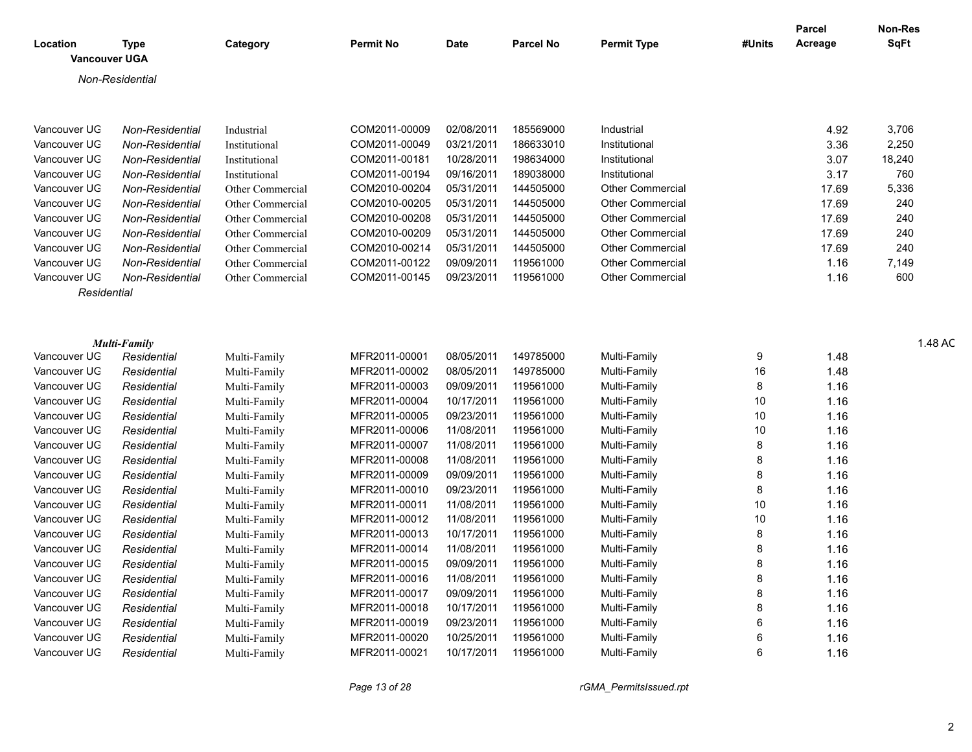| <b>SqFt</b><br>Acreage<br>Location<br>Category<br>Permit No<br>Date<br><b>Permit Type</b><br>#Units<br><b>Type</b><br><b>Parcel No</b><br><b>Vancouver UGA</b><br>Non-Residential<br>3,706<br>COM2011-00009<br>02/08/2011<br>185569000<br>4.92<br>Non-Residentia<br>Industrial<br>Industrial<br>2,250<br>186633010<br>3.36<br>03/21/2011<br>Non-Residentia<br>COM2011-00049<br>Institutional<br>Institutional<br>18,240<br>198634000<br>3.07<br>Non-Residential<br>COM2011-00181<br>10/28/2011<br>Institutional<br>Institutional<br>760<br>COM2011-00194<br>09/16/2011<br>189038000<br>3.17<br>Non-Residential<br>Institutional<br>Institutional<br>5,336<br>COM2010-00204<br>144505000<br>17.69<br>05/31/2011<br>Non-Residential<br><b>Other Commercial</b><br>Other Commercial<br>COM2010-00205<br>144505000<br>240<br>05/31/2011<br>17.69<br>Vancouver UG<br>Non-Residential<br><b>Other Commercial</b><br>Other Commercial<br>240<br>COM2010-00208<br>144505000<br>05/31/2011<br><b>Other Commercial</b><br>17.69<br>Vancouver UG<br>Non-Residential<br>Other Commercial<br>240<br>COM2010-00209<br>05/31/2011<br>144505000<br><b>Other Commercial</b><br>17.69<br>Vancouver UG<br>Non-Residentia<br>Other Commercial<br>240<br>COM2010-00214<br>05/31/2011<br>144505000<br><b>Other Commercial</b><br>17.69<br>Vancouver UG<br>Non-Residentia<br>Other Commercial<br>7,149<br>Non-Residentia<br>COM2011-00122<br>09/09/2011<br>119561000<br><b>Other Commercial</b><br>1.16<br>Vancouver UG<br>Other Commercial<br>600<br>Vancouver UG<br>Non-Residential<br>COM2011-00145<br>09/23/2011<br>119561000<br><b>Other Commercial</b><br>1.16<br>Other Commercial<br>Residentia<br>1.48 AC<br><b>Multi-Family</b><br>149785000<br>MFR2011-00001<br>08/05/2011<br>Multi-Family<br>1.48<br>Vancouver UG<br>Residential<br>Multi-Family<br>MFR2011-00002<br>149785000<br>16<br>08/05/2011<br>Multi-Family<br>1.48<br>Residential<br>Multi-Family<br>Vancouver UG<br>MFR2011-00003<br>09/09/2011<br>119561000<br>1.16<br>Residential<br>Multi-Family<br>Multi-Family<br>-8<br>Vancouver UG<br>MFR2011-00004<br>10/17/2011<br>119561000<br>10<br>Residential<br>Multi-Family<br>1.16<br>Vancouver UG<br>Multi-Family<br>MFR2011-00005<br>09/23/2011<br>119561000<br>10<br>Multi-Family<br>1.16<br>Residential<br>Vancouver UG<br>Multi-Family<br>MFR2011-00006<br>11/08/2011<br>119561000<br>10<br>1.16<br>Multi-Family<br>Vancouver UG<br>Residential<br>Multi-Family<br>MFR2011-00007<br>11/08/2011<br>119561000<br>1.16<br>Residential<br>Multi-Family<br>Vancouver UG<br>Multi-Family<br>MFR2011-00008<br>11/08/2011<br>119561000<br>Multi-Family<br>1.16<br>Vancouver UG<br>Residential<br>Multi-Family<br>MFR2011-00009<br>09/09/2011<br>119561000<br>Multi-Family<br>1.16<br>Residential<br>Vancouver UG<br>Multi-Family<br>MFR2011-00010<br>09/23/2011<br>119561000<br>1.16<br>Residential<br>Multi-Family<br>Vancouver UG<br>Multi-Family<br>MFR2011-00011<br>11/08/2011<br>119561000<br>10<br>1.16<br>Multi-Family<br>Residential<br>Vancouver UG<br>Multi-Family<br>MFR2011-00012<br>11/08/2011<br>119561000<br>10<br>Multi-Family<br>1.16<br>Residential<br>Vancouver UG<br>Multi-Family<br>MFR2011-00013<br>10/17/2011<br>119561000<br>Multi-Family<br>1.16<br>Residential<br>Vancouver UG<br>Multi-Family<br>MFR2011-00014<br>11/08/2011<br>119561000<br>1.16<br>Residential<br>Multi-Family<br>Vancouver UG<br>Multi-Family<br>MFR2011-00015<br>119561000<br>09/09/2011<br>1.16<br>Multi-Family<br>Vancouver UG<br>Residential<br>Multi-Family<br>1.16<br>Vancouver UG Residential<br>MFR2011-00016 11/08/2011 119561000<br>Multi-Family<br>Multi-Family<br>MFR2011-00017<br>09/09/2011 119561000<br>1.16<br>Vancouver UG<br>Multi-Family<br>Residential<br>Multi-Family<br>MFR2011-00018<br>10/17/2011  119561000<br>1.16<br>Vancouver UG<br>Multi-Family<br>Multi-Family<br>Residential<br>MFR2011-00019<br>09/23/2011 119561000<br>1.16<br>Vancouver UG<br>Residential<br>Multi-Family<br>Multi-Family<br>MFR2011-00020<br>10/25/2011  119561000<br>1.16<br>Vancouver UG<br>Multi-Family<br>Residential<br>Multi-Family<br>10/17/2011 119561000<br>MFR2011-00021<br>Vancouver UG Residential<br>Multi-Family<br>1.16<br>Multi-Family |              |  |  |  | Parcel | Non-Res |
|---------------------------------------------------------------------------------------------------------------------------------------------------------------------------------------------------------------------------------------------------------------------------------------------------------------------------------------------------------------------------------------------------------------------------------------------------------------------------------------------------------------------------------------------------------------------------------------------------------------------------------------------------------------------------------------------------------------------------------------------------------------------------------------------------------------------------------------------------------------------------------------------------------------------------------------------------------------------------------------------------------------------------------------------------------------------------------------------------------------------------------------------------------------------------------------------------------------------------------------------------------------------------------------------------------------------------------------------------------------------------------------------------------------------------------------------------------------------------------------------------------------------------------------------------------------------------------------------------------------------------------------------------------------------------------------------------------------------------------------------------------------------------------------------------------------------------------------------------------------------------------------------------------------------------------------------------------------------------------------------------------------------------------------------------------------------------------------------------------------------------------------------------------------------------------------------------------------------------------------------------------------------------------------------------------------------------------------------------------------------------------------------------------------------------------------------------------------------------------------------------------------------------------------------------------------------------------------------------------------------------------------------------------------------------------------------------------------------------------------------------------------------------------------------------------------------------------------------------------------------------------------------------------------------------------------------------------------------------------------------------------------------------------------------------------------------------------------------------------------------------------------------------------------------------------------------------------------------------------------------------------------------------------------------------------------------------------------------------------------------------------------------------------------------------------------------------------------------------------------------------------------------------------------------------------------------------------------------------------------------------------------------------------------------------------------------------------------------------------------------------------------------------------------------------------------------------------------------------------------------------------------------------------------------------------------------------------------------------------------------------------------------------------------------------------------------------------------------------------------------------------------------------------------------------------------------------------------------------------------------------|--------------|--|--|--|--------|---------|
|                                                                                                                                                                                                                                                                                                                                                                                                                                                                                                                                                                                                                                                                                                                                                                                                                                                                                                                                                                                                                                                                                                                                                                                                                                                                                                                                                                                                                                                                                                                                                                                                                                                                                                                                                                                                                                                                                                                                                                                                                                                                                                                                                                                                                                                                                                                                                                                                                                                                                                                                                                                                                                                                                                                                                                                                                                                                                                                                                                                                                                                                                                                                                                                                                                                                                                                                                                                                                                                                                                                                                                                                                                                                                                                                                                                                                                                                                                                                                                                                                                                                                                                                                                                                                                                   |              |  |  |  |        |         |
|                                                                                                                                                                                                                                                                                                                                                                                                                                                                                                                                                                                                                                                                                                                                                                                                                                                                                                                                                                                                                                                                                                                                                                                                                                                                                                                                                                                                                                                                                                                                                                                                                                                                                                                                                                                                                                                                                                                                                                                                                                                                                                                                                                                                                                                                                                                                                                                                                                                                                                                                                                                                                                                                                                                                                                                                                                                                                                                                                                                                                                                                                                                                                                                                                                                                                                                                                                                                                                                                                                                                                                                                                                                                                                                                                                                                                                                                                                                                                                                                                                                                                                                                                                                                                                                   |              |  |  |  |        |         |
|                                                                                                                                                                                                                                                                                                                                                                                                                                                                                                                                                                                                                                                                                                                                                                                                                                                                                                                                                                                                                                                                                                                                                                                                                                                                                                                                                                                                                                                                                                                                                                                                                                                                                                                                                                                                                                                                                                                                                                                                                                                                                                                                                                                                                                                                                                                                                                                                                                                                                                                                                                                                                                                                                                                                                                                                                                                                                                                                                                                                                                                                                                                                                                                                                                                                                                                                                                                                                                                                                                                                                                                                                                                                                                                                                                                                                                                                                                                                                                                                                                                                                                                                                                                                                                                   |              |  |  |  |        |         |
|                                                                                                                                                                                                                                                                                                                                                                                                                                                                                                                                                                                                                                                                                                                                                                                                                                                                                                                                                                                                                                                                                                                                                                                                                                                                                                                                                                                                                                                                                                                                                                                                                                                                                                                                                                                                                                                                                                                                                                                                                                                                                                                                                                                                                                                                                                                                                                                                                                                                                                                                                                                                                                                                                                                                                                                                                                                                                                                                                                                                                                                                                                                                                                                                                                                                                                                                                                                                                                                                                                                                                                                                                                                                                                                                                                                                                                                                                                                                                                                                                                                                                                                                                                                                                                                   |              |  |  |  |        |         |
|                                                                                                                                                                                                                                                                                                                                                                                                                                                                                                                                                                                                                                                                                                                                                                                                                                                                                                                                                                                                                                                                                                                                                                                                                                                                                                                                                                                                                                                                                                                                                                                                                                                                                                                                                                                                                                                                                                                                                                                                                                                                                                                                                                                                                                                                                                                                                                                                                                                                                                                                                                                                                                                                                                                                                                                                                                                                                                                                                                                                                                                                                                                                                                                                                                                                                                                                                                                                                                                                                                                                                                                                                                                                                                                                                                                                                                                                                                                                                                                                                                                                                                                                                                                                                                                   |              |  |  |  |        |         |
|                                                                                                                                                                                                                                                                                                                                                                                                                                                                                                                                                                                                                                                                                                                                                                                                                                                                                                                                                                                                                                                                                                                                                                                                                                                                                                                                                                                                                                                                                                                                                                                                                                                                                                                                                                                                                                                                                                                                                                                                                                                                                                                                                                                                                                                                                                                                                                                                                                                                                                                                                                                                                                                                                                                                                                                                                                                                                                                                                                                                                                                                                                                                                                                                                                                                                                                                                                                                                                                                                                                                                                                                                                                                                                                                                                                                                                                                                                                                                                                                                                                                                                                                                                                                                                                   | Vancouver UG |  |  |  |        |         |
|                                                                                                                                                                                                                                                                                                                                                                                                                                                                                                                                                                                                                                                                                                                                                                                                                                                                                                                                                                                                                                                                                                                                                                                                                                                                                                                                                                                                                                                                                                                                                                                                                                                                                                                                                                                                                                                                                                                                                                                                                                                                                                                                                                                                                                                                                                                                                                                                                                                                                                                                                                                                                                                                                                                                                                                                                                                                                                                                                                                                                                                                                                                                                                                                                                                                                                                                                                                                                                                                                                                                                                                                                                                                                                                                                                                                                                                                                                                                                                                                                                                                                                                                                                                                                                                   | Vancouver UG |  |  |  |        |         |
|                                                                                                                                                                                                                                                                                                                                                                                                                                                                                                                                                                                                                                                                                                                                                                                                                                                                                                                                                                                                                                                                                                                                                                                                                                                                                                                                                                                                                                                                                                                                                                                                                                                                                                                                                                                                                                                                                                                                                                                                                                                                                                                                                                                                                                                                                                                                                                                                                                                                                                                                                                                                                                                                                                                                                                                                                                                                                                                                                                                                                                                                                                                                                                                                                                                                                                                                                                                                                                                                                                                                                                                                                                                                                                                                                                                                                                                                                                                                                                                                                                                                                                                                                                                                                                                   | Vancouver UG |  |  |  |        |         |
|                                                                                                                                                                                                                                                                                                                                                                                                                                                                                                                                                                                                                                                                                                                                                                                                                                                                                                                                                                                                                                                                                                                                                                                                                                                                                                                                                                                                                                                                                                                                                                                                                                                                                                                                                                                                                                                                                                                                                                                                                                                                                                                                                                                                                                                                                                                                                                                                                                                                                                                                                                                                                                                                                                                                                                                                                                                                                                                                                                                                                                                                                                                                                                                                                                                                                                                                                                                                                                                                                                                                                                                                                                                                                                                                                                                                                                                                                                                                                                                                                                                                                                                                                                                                                                                   | Vancouver UG |  |  |  |        |         |
|                                                                                                                                                                                                                                                                                                                                                                                                                                                                                                                                                                                                                                                                                                                                                                                                                                                                                                                                                                                                                                                                                                                                                                                                                                                                                                                                                                                                                                                                                                                                                                                                                                                                                                                                                                                                                                                                                                                                                                                                                                                                                                                                                                                                                                                                                                                                                                                                                                                                                                                                                                                                                                                                                                                                                                                                                                                                                                                                                                                                                                                                                                                                                                                                                                                                                                                                                                                                                                                                                                                                                                                                                                                                                                                                                                                                                                                                                                                                                                                                                                                                                                                                                                                                                                                   | Vancouver UG |  |  |  |        |         |
|                                                                                                                                                                                                                                                                                                                                                                                                                                                                                                                                                                                                                                                                                                                                                                                                                                                                                                                                                                                                                                                                                                                                                                                                                                                                                                                                                                                                                                                                                                                                                                                                                                                                                                                                                                                                                                                                                                                                                                                                                                                                                                                                                                                                                                                                                                                                                                                                                                                                                                                                                                                                                                                                                                                                                                                                                                                                                                                                                                                                                                                                                                                                                                                                                                                                                                                                                                                                                                                                                                                                                                                                                                                                                                                                                                                                                                                                                                                                                                                                                                                                                                                                                                                                                                                   |              |  |  |  |        |         |
|                                                                                                                                                                                                                                                                                                                                                                                                                                                                                                                                                                                                                                                                                                                                                                                                                                                                                                                                                                                                                                                                                                                                                                                                                                                                                                                                                                                                                                                                                                                                                                                                                                                                                                                                                                                                                                                                                                                                                                                                                                                                                                                                                                                                                                                                                                                                                                                                                                                                                                                                                                                                                                                                                                                                                                                                                                                                                                                                                                                                                                                                                                                                                                                                                                                                                                                                                                                                                                                                                                                                                                                                                                                                                                                                                                                                                                                                                                                                                                                                                                                                                                                                                                                                                                                   |              |  |  |  |        |         |
|                                                                                                                                                                                                                                                                                                                                                                                                                                                                                                                                                                                                                                                                                                                                                                                                                                                                                                                                                                                                                                                                                                                                                                                                                                                                                                                                                                                                                                                                                                                                                                                                                                                                                                                                                                                                                                                                                                                                                                                                                                                                                                                                                                                                                                                                                                                                                                                                                                                                                                                                                                                                                                                                                                                                                                                                                                                                                                                                                                                                                                                                                                                                                                                                                                                                                                                                                                                                                                                                                                                                                                                                                                                                                                                                                                                                                                                                                                                                                                                                                                                                                                                                                                                                                                                   |              |  |  |  |        |         |
|                                                                                                                                                                                                                                                                                                                                                                                                                                                                                                                                                                                                                                                                                                                                                                                                                                                                                                                                                                                                                                                                                                                                                                                                                                                                                                                                                                                                                                                                                                                                                                                                                                                                                                                                                                                                                                                                                                                                                                                                                                                                                                                                                                                                                                                                                                                                                                                                                                                                                                                                                                                                                                                                                                                                                                                                                                                                                                                                                                                                                                                                                                                                                                                                                                                                                                                                                                                                                                                                                                                                                                                                                                                                                                                                                                                                                                                                                                                                                                                                                                                                                                                                                                                                                                                   |              |  |  |  |        |         |
|                                                                                                                                                                                                                                                                                                                                                                                                                                                                                                                                                                                                                                                                                                                                                                                                                                                                                                                                                                                                                                                                                                                                                                                                                                                                                                                                                                                                                                                                                                                                                                                                                                                                                                                                                                                                                                                                                                                                                                                                                                                                                                                                                                                                                                                                                                                                                                                                                                                                                                                                                                                                                                                                                                                                                                                                                                                                                                                                                                                                                                                                                                                                                                                                                                                                                                                                                                                                                                                                                                                                                                                                                                                                                                                                                                                                                                                                                                                                                                                                                                                                                                                                                                                                                                                   |              |  |  |  |        |         |
|                                                                                                                                                                                                                                                                                                                                                                                                                                                                                                                                                                                                                                                                                                                                                                                                                                                                                                                                                                                                                                                                                                                                                                                                                                                                                                                                                                                                                                                                                                                                                                                                                                                                                                                                                                                                                                                                                                                                                                                                                                                                                                                                                                                                                                                                                                                                                                                                                                                                                                                                                                                                                                                                                                                                                                                                                                                                                                                                                                                                                                                                                                                                                                                                                                                                                                                                                                                                                                                                                                                                                                                                                                                                                                                                                                                                                                                                                                                                                                                                                                                                                                                                                                                                                                                   |              |  |  |  |        |         |
|                                                                                                                                                                                                                                                                                                                                                                                                                                                                                                                                                                                                                                                                                                                                                                                                                                                                                                                                                                                                                                                                                                                                                                                                                                                                                                                                                                                                                                                                                                                                                                                                                                                                                                                                                                                                                                                                                                                                                                                                                                                                                                                                                                                                                                                                                                                                                                                                                                                                                                                                                                                                                                                                                                                                                                                                                                                                                                                                                                                                                                                                                                                                                                                                                                                                                                                                                                                                                                                                                                                                                                                                                                                                                                                                                                                                                                                                                                                                                                                                                                                                                                                                                                                                                                                   |              |  |  |  |        |         |
|                                                                                                                                                                                                                                                                                                                                                                                                                                                                                                                                                                                                                                                                                                                                                                                                                                                                                                                                                                                                                                                                                                                                                                                                                                                                                                                                                                                                                                                                                                                                                                                                                                                                                                                                                                                                                                                                                                                                                                                                                                                                                                                                                                                                                                                                                                                                                                                                                                                                                                                                                                                                                                                                                                                                                                                                                                                                                                                                                                                                                                                                                                                                                                                                                                                                                                                                                                                                                                                                                                                                                                                                                                                                                                                                                                                                                                                                                                                                                                                                                                                                                                                                                                                                                                                   |              |  |  |  |        |         |
|                                                                                                                                                                                                                                                                                                                                                                                                                                                                                                                                                                                                                                                                                                                                                                                                                                                                                                                                                                                                                                                                                                                                                                                                                                                                                                                                                                                                                                                                                                                                                                                                                                                                                                                                                                                                                                                                                                                                                                                                                                                                                                                                                                                                                                                                                                                                                                                                                                                                                                                                                                                                                                                                                                                                                                                                                                                                                                                                                                                                                                                                                                                                                                                                                                                                                                                                                                                                                                                                                                                                                                                                                                                                                                                                                                                                                                                                                                                                                                                                                                                                                                                                                                                                                                                   |              |  |  |  |        |         |
|                                                                                                                                                                                                                                                                                                                                                                                                                                                                                                                                                                                                                                                                                                                                                                                                                                                                                                                                                                                                                                                                                                                                                                                                                                                                                                                                                                                                                                                                                                                                                                                                                                                                                                                                                                                                                                                                                                                                                                                                                                                                                                                                                                                                                                                                                                                                                                                                                                                                                                                                                                                                                                                                                                                                                                                                                                                                                                                                                                                                                                                                                                                                                                                                                                                                                                                                                                                                                                                                                                                                                                                                                                                                                                                                                                                                                                                                                                                                                                                                                                                                                                                                                                                                                                                   |              |  |  |  |        |         |
|                                                                                                                                                                                                                                                                                                                                                                                                                                                                                                                                                                                                                                                                                                                                                                                                                                                                                                                                                                                                                                                                                                                                                                                                                                                                                                                                                                                                                                                                                                                                                                                                                                                                                                                                                                                                                                                                                                                                                                                                                                                                                                                                                                                                                                                                                                                                                                                                                                                                                                                                                                                                                                                                                                                                                                                                                                                                                                                                                                                                                                                                                                                                                                                                                                                                                                                                                                                                                                                                                                                                                                                                                                                                                                                                                                                                                                                                                                                                                                                                                                                                                                                                                                                                                                                   |              |  |  |  |        |         |
|                                                                                                                                                                                                                                                                                                                                                                                                                                                                                                                                                                                                                                                                                                                                                                                                                                                                                                                                                                                                                                                                                                                                                                                                                                                                                                                                                                                                                                                                                                                                                                                                                                                                                                                                                                                                                                                                                                                                                                                                                                                                                                                                                                                                                                                                                                                                                                                                                                                                                                                                                                                                                                                                                                                                                                                                                                                                                                                                                                                                                                                                                                                                                                                                                                                                                                                                                                                                                                                                                                                                                                                                                                                                                                                                                                                                                                                                                                                                                                                                                                                                                                                                                                                                                                                   |              |  |  |  |        |         |
|                                                                                                                                                                                                                                                                                                                                                                                                                                                                                                                                                                                                                                                                                                                                                                                                                                                                                                                                                                                                                                                                                                                                                                                                                                                                                                                                                                                                                                                                                                                                                                                                                                                                                                                                                                                                                                                                                                                                                                                                                                                                                                                                                                                                                                                                                                                                                                                                                                                                                                                                                                                                                                                                                                                                                                                                                                                                                                                                                                                                                                                                                                                                                                                                                                                                                                                                                                                                                                                                                                                                                                                                                                                                                                                                                                                                                                                                                                                                                                                                                                                                                                                                                                                                                                                   |              |  |  |  |        |         |
|                                                                                                                                                                                                                                                                                                                                                                                                                                                                                                                                                                                                                                                                                                                                                                                                                                                                                                                                                                                                                                                                                                                                                                                                                                                                                                                                                                                                                                                                                                                                                                                                                                                                                                                                                                                                                                                                                                                                                                                                                                                                                                                                                                                                                                                                                                                                                                                                                                                                                                                                                                                                                                                                                                                                                                                                                                                                                                                                                                                                                                                                                                                                                                                                                                                                                                                                                                                                                                                                                                                                                                                                                                                                                                                                                                                                                                                                                                                                                                                                                                                                                                                                                                                                                                                   |              |  |  |  |        |         |
|                                                                                                                                                                                                                                                                                                                                                                                                                                                                                                                                                                                                                                                                                                                                                                                                                                                                                                                                                                                                                                                                                                                                                                                                                                                                                                                                                                                                                                                                                                                                                                                                                                                                                                                                                                                                                                                                                                                                                                                                                                                                                                                                                                                                                                                                                                                                                                                                                                                                                                                                                                                                                                                                                                                                                                                                                                                                                                                                                                                                                                                                                                                                                                                                                                                                                                                                                                                                                                                                                                                                                                                                                                                                                                                                                                                                                                                                                                                                                                                                                                                                                                                                                                                                                                                   |              |  |  |  |        |         |
|                                                                                                                                                                                                                                                                                                                                                                                                                                                                                                                                                                                                                                                                                                                                                                                                                                                                                                                                                                                                                                                                                                                                                                                                                                                                                                                                                                                                                                                                                                                                                                                                                                                                                                                                                                                                                                                                                                                                                                                                                                                                                                                                                                                                                                                                                                                                                                                                                                                                                                                                                                                                                                                                                                                                                                                                                                                                                                                                                                                                                                                                                                                                                                                                                                                                                                                                                                                                                                                                                                                                                                                                                                                                                                                                                                                                                                                                                                                                                                                                                                                                                                                                                                                                                                                   |              |  |  |  |        |         |
|                                                                                                                                                                                                                                                                                                                                                                                                                                                                                                                                                                                                                                                                                                                                                                                                                                                                                                                                                                                                                                                                                                                                                                                                                                                                                                                                                                                                                                                                                                                                                                                                                                                                                                                                                                                                                                                                                                                                                                                                                                                                                                                                                                                                                                                                                                                                                                                                                                                                                                                                                                                                                                                                                                                                                                                                                                                                                                                                                                                                                                                                                                                                                                                                                                                                                                                                                                                                                                                                                                                                                                                                                                                                                                                                                                                                                                                                                                                                                                                                                                                                                                                                                                                                                                                   |              |  |  |  |        |         |
|                                                                                                                                                                                                                                                                                                                                                                                                                                                                                                                                                                                                                                                                                                                                                                                                                                                                                                                                                                                                                                                                                                                                                                                                                                                                                                                                                                                                                                                                                                                                                                                                                                                                                                                                                                                                                                                                                                                                                                                                                                                                                                                                                                                                                                                                                                                                                                                                                                                                                                                                                                                                                                                                                                                                                                                                                                                                                                                                                                                                                                                                                                                                                                                                                                                                                                                                                                                                                                                                                                                                                                                                                                                                                                                                                                                                                                                                                                                                                                                                                                                                                                                                                                                                                                                   |              |  |  |  |        |         |
|                                                                                                                                                                                                                                                                                                                                                                                                                                                                                                                                                                                                                                                                                                                                                                                                                                                                                                                                                                                                                                                                                                                                                                                                                                                                                                                                                                                                                                                                                                                                                                                                                                                                                                                                                                                                                                                                                                                                                                                                                                                                                                                                                                                                                                                                                                                                                                                                                                                                                                                                                                                                                                                                                                                                                                                                                                                                                                                                                                                                                                                                                                                                                                                                                                                                                                                                                                                                                                                                                                                                                                                                                                                                                                                                                                                                                                                                                                                                                                                                                                                                                                                                                                                                                                                   |              |  |  |  |        |         |
|                                                                                                                                                                                                                                                                                                                                                                                                                                                                                                                                                                                                                                                                                                                                                                                                                                                                                                                                                                                                                                                                                                                                                                                                                                                                                                                                                                                                                                                                                                                                                                                                                                                                                                                                                                                                                                                                                                                                                                                                                                                                                                                                                                                                                                                                                                                                                                                                                                                                                                                                                                                                                                                                                                                                                                                                                                                                                                                                                                                                                                                                                                                                                                                                                                                                                                                                                                                                                                                                                                                                                                                                                                                                                                                                                                                                                                                                                                                                                                                                                                                                                                                                                                                                                                                   |              |  |  |  |        |         |
|                                                                                                                                                                                                                                                                                                                                                                                                                                                                                                                                                                                                                                                                                                                                                                                                                                                                                                                                                                                                                                                                                                                                                                                                                                                                                                                                                                                                                                                                                                                                                                                                                                                                                                                                                                                                                                                                                                                                                                                                                                                                                                                                                                                                                                                                                                                                                                                                                                                                                                                                                                                                                                                                                                                                                                                                                                                                                                                                                                                                                                                                                                                                                                                                                                                                                                                                                                                                                                                                                                                                                                                                                                                                                                                                                                                                                                                                                                                                                                                                                                                                                                                                                                                                                                                   |              |  |  |  |        |         |
|                                                                                                                                                                                                                                                                                                                                                                                                                                                                                                                                                                                                                                                                                                                                                                                                                                                                                                                                                                                                                                                                                                                                                                                                                                                                                                                                                                                                                                                                                                                                                                                                                                                                                                                                                                                                                                                                                                                                                                                                                                                                                                                                                                                                                                                                                                                                                                                                                                                                                                                                                                                                                                                                                                                                                                                                                                                                                                                                                                                                                                                                                                                                                                                                                                                                                                                                                                                                                                                                                                                                                                                                                                                                                                                                                                                                                                                                                                                                                                                                                                                                                                                                                                                                                                                   |              |  |  |  |        |         |
|                                                                                                                                                                                                                                                                                                                                                                                                                                                                                                                                                                                                                                                                                                                                                                                                                                                                                                                                                                                                                                                                                                                                                                                                                                                                                                                                                                                                                                                                                                                                                                                                                                                                                                                                                                                                                                                                                                                                                                                                                                                                                                                                                                                                                                                                                                                                                                                                                                                                                                                                                                                                                                                                                                                                                                                                                                                                                                                                                                                                                                                                                                                                                                                                                                                                                                                                                                                                                                                                                                                                                                                                                                                                                                                                                                                                                                                                                                                                                                                                                                                                                                                                                                                                                                                   |              |  |  |  |        |         |
|                                                                                                                                                                                                                                                                                                                                                                                                                                                                                                                                                                                                                                                                                                                                                                                                                                                                                                                                                                                                                                                                                                                                                                                                                                                                                                                                                                                                                                                                                                                                                                                                                                                                                                                                                                                                                                                                                                                                                                                                                                                                                                                                                                                                                                                                                                                                                                                                                                                                                                                                                                                                                                                                                                                                                                                                                                                                                                                                                                                                                                                                                                                                                                                                                                                                                                                                                                                                                                                                                                                                                                                                                                                                                                                                                                                                                                                                                                                                                                                                                                                                                                                                                                                                                                                   |              |  |  |  |        |         |
|                                                                                                                                                                                                                                                                                                                                                                                                                                                                                                                                                                                                                                                                                                                                                                                                                                                                                                                                                                                                                                                                                                                                                                                                                                                                                                                                                                                                                                                                                                                                                                                                                                                                                                                                                                                                                                                                                                                                                                                                                                                                                                                                                                                                                                                                                                                                                                                                                                                                                                                                                                                                                                                                                                                                                                                                                                                                                                                                                                                                                                                                                                                                                                                                                                                                                                                                                                                                                                                                                                                                                                                                                                                                                                                                                                                                                                                                                                                                                                                                                                                                                                                                                                                                                                                   |              |  |  |  |        |         |
|                                                                                                                                                                                                                                                                                                                                                                                                                                                                                                                                                                                                                                                                                                                                                                                                                                                                                                                                                                                                                                                                                                                                                                                                                                                                                                                                                                                                                                                                                                                                                                                                                                                                                                                                                                                                                                                                                                                                                                                                                                                                                                                                                                                                                                                                                                                                                                                                                                                                                                                                                                                                                                                                                                                                                                                                                                                                                                                                                                                                                                                                                                                                                                                                                                                                                                                                                                                                                                                                                                                                                                                                                                                                                                                                                                                                                                                                                                                                                                                                                                                                                                                                                                                                                                                   |              |  |  |  |        |         |
|                                                                                                                                                                                                                                                                                                                                                                                                                                                                                                                                                                                                                                                                                                                                                                                                                                                                                                                                                                                                                                                                                                                                                                                                                                                                                                                                                                                                                                                                                                                                                                                                                                                                                                                                                                                                                                                                                                                                                                                                                                                                                                                                                                                                                                                                                                                                                                                                                                                                                                                                                                                                                                                                                                                                                                                                                                                                                                                                                                                                                                                                                                                                                                                                                                                                                                                                                                                                                                                                                                                                                                                                                                                                                                                                                                                                                                                                                                                                                                                                                                                                                                                                                                                                                                                   |              |  |  |  |        |         |
|                                                                                                                                                                                                                                                                                                                                                                                                                                                                                                                                                                                                                                                                                                                                                                                                                                                                                                                                                                                                                                                                                                                                                                                                                                                                                                                                                                                                                                                                                                                                                                                                                                                                                                                                                                                                                                                                                                                                                                                                                                                                                                                                                                                                                                                                                                                                                                                                                                                                                                                                                                                                                                                                                                                                                                                                                                                                                                                                                                                                                                                                                                                                                                                                                                                                                                                                                                                                                                                                                                                                                                                                                                                                                                                                                                                                                                                                                                                                                                                                                                                                                                                                                                                                                                                   |              |  |  |  |        |         |
|                                                                                                                                                                                                                                                                                                                                                                                                                                                                                                                                                                                                                                                                                                                                                                                                                                                                                                                                                                                                                                                                                                                                                                                                                                                                                                                                                                                                                                                                                                                                                                                                                                                                                                                                                                                                                                                                                                                                                                                                                                                                                                                                                                                                                                                                                                                                                                                                                                                                                                                                                                                                                                                                                                                                                                                                                                                                                                                                                                                                                                                                                                                                                                                                                                                                                                                                                                                                                                                                                                                                                                                                                                                                                                                                                                                                                                                                                                                                                                                                                                                                                                                                                                                                                                                   |              |  |  |  |        |         |
|                                                                                                                                                                                                                                                                                                                                                                                                                                                                                                                                                                                                                                                                                                                                                                                                                                                                                                                                                                                                                                                                                                                                                                                                                                                                                                                                                                                                                                                                                                                                                                                                                                                                                                                                                                                                                                                                                                                                                                                                                                                                                                                                                                                                                                                                                                                                                                                                                                                                                                                                                                                                                                                                                                                                                                                                                                                                                                                                                                                                                                                                                                                                                                                                                                                                                                                                                                                                                                                                                                                                                                                                                                                                                                                                                                                                                                                                                                                                                                                                                                                                                                                                                                                                                                                   |              |  |  |  |        |         |
|                                                                                                                                                                                                                                                                                                                                                                                                                                                                                                                                                                                                                                                                                                                                                                                                                                                                                                                                                                                                                                                                                                                                                                                                                                                                                                                                                                                                                                                                                                                                                                                                                                                                                                                                                                                                                                                                                                                                                                                                                                                                                                                                                                                                                                                                                                                                                                                                                                                                                                                                                                                                                                                                                                                                                                                                                                                                                                                                                                                                                                                                                                                                                                                                                                                                                                                                                                                                                                                                                                                                                                                                                                                                                                                                                                                                                                                                                                                                                                                                                                                                                                                                                                                                                                                   |              |  |  |  |        |         |
|                                                                                                                                                                                                                                                                                                                                                                                                                                                                                                                                                                                                                                                                                                                                                                                                                                                                                                                                                                                                                                                                                                                                                                                                                                                                                                                                                                                                                                                                                                                                                                                                                                                                                                                                                                                                                                                                                                                                                                                                                                                                                                                                                                                                                                                                                                                                                                                                                                                                                                                                                                                                                                                                                                                                                                                                                                                                                                                                                                                                                                                                                                                                                                                                                                                                                                                                                                                                                                                                                                                                                                                                                                                                                                                                                                                                                                                                                                                                                                                                                                                                                                                                                                                                                                                   |              |  |  |  |        |         |

*Page 13 of 28 rGMA\_PermitsIssued.rpt*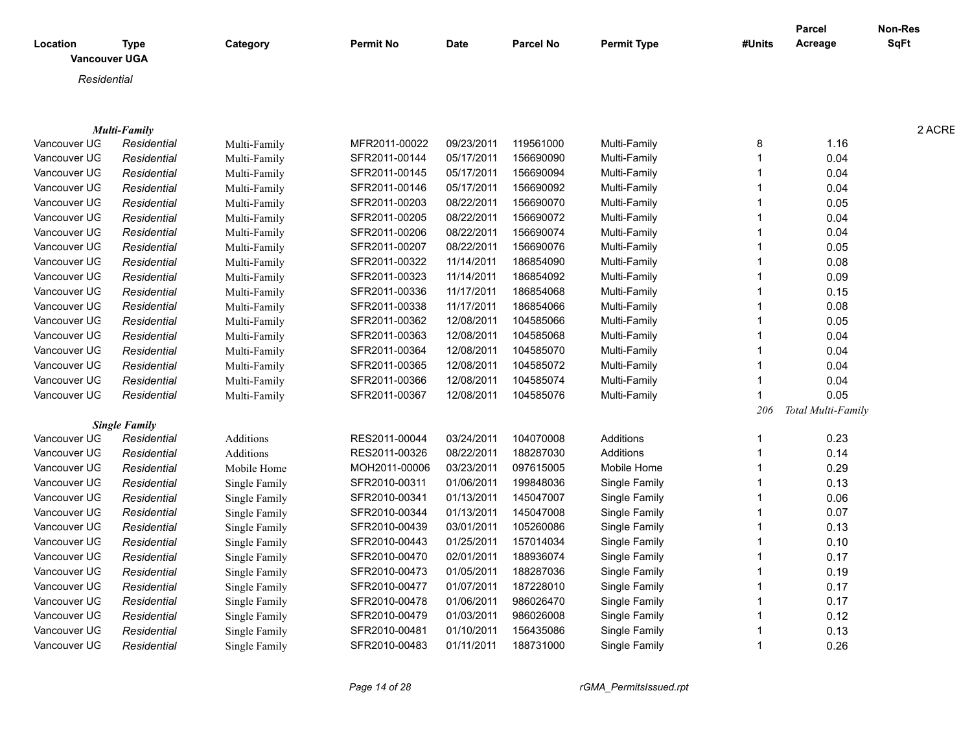|              |                      |               |                  |             |                  |                    |        | <b>Parcel</b>      | Non-Res     |
|--------------|----------------------|---------------|------------------|-------------|------------------|--------------------|--------|--------------------|-------------|
| Location     | <b>Type</b>          | Category      | <b>Permit No</b> | <b>Date</b> | <b>Parcel No</b> | <b>Permit Type</b> | #Units | Acreage            | <b>SqFt</b> |
|              | Vancouver UGA        |               |                  |             |                  |                    |        |                    |             |
| Residential  |                      |               |                  |             |                  |                    |        |                    |             |
|              |                      |               |                  |             |                  |                    |        |                    |             |
|              |                      |               |                  |             |                  |                    |        |                    |             |
|              | <b>Multi-Family</b>  |               |                  |             |                  |                    |        |                    | 2 ACRE      |
| Vancouver UG | Residential          | Multi-Family  | MFR2011-00022    | 09/23/2011  | 119561000        | Multi-Family       |        | 1.16               |             |
| Vancouver UG | Residential          | Multi-Family  | SFR2011-00144    | 05/17/2011  | 156690090        | Multi-Family       |        | 0.04               |             |
| Vancouver UG | Residential          | Multi-Family  | SFR2011-00145    | 05/17/2011  | 156690094        | Multi-Family       |        | 0.04               |             |
| Vancouver UG | Residential          | Multi-Family  | SFR2011-00146    | 05/17/2011  | 156690092        | Multi-Family       |        | 0.04               |             |
| Vancouver UG | Residential          | Multi-Family  | SFR2011-00203    | 08/22/2011  | 156690070        | Multi-Family       |        | 0.05               |             |
| Vancouver UG | Residential          | Multi-Family  | SFR2011-00205    | 08/22/2011  | 156690072        | Multi-Family       |        | 0.04               |             |
| Vancouver UG | Residential          | Multi-Family  | SFR2011-00206    | 08/22/2011  | 156690074        | Multi-Family       |        | 0.04               |             |
| Vancouver UG | Residential          | Multi-Family  | SFR2011-00207    | 08/22/2011  | 156690076        | Multi-Family       |        | 0.05               |             |
| Vancouver UG | Residential          | Multi-Family  | SFR2011-00322    | 11/14/2011  | 186854090        | Multi-Family       |        | 0.08               |             |
| Vancouver UG | Residential          | Multi-Family  | SFR2011-00323    | 11/14/2011  | 186854092        | Multi-Family       |        | 0.09               |             |
| Vancouver UG | Residential          | Multi-Family  | SFR2011-00336    | 11/17/2011  | 186854068        | Multi-Family       |        | 0.15               |             |
| Vancouver UG | Residential          | Multi-Family  | SFR2011-00338    | 11/17/2011  | 186854066        | Multi-Family       |        | 0.08               |             |
| Vancouver UG | Residential          | Multi-Family  | SFR2011-00362    | 12/08/2011  | 104585066        | Multi-Family       |        | 0.05               |             |
| Vancouver UG | Residential          | Multi-Family  | SFR2011-00363    | 12/08/2011  | 104585068        | Multi-Family       |        | 0.04               |             |
| Vancouver UG | Residential          | Multi-Family  | SFR2011-00364    | 12/08/2011  | 104585070        | Multi-Family       |        | 0.04               |             |
| Vancouver UG | Residential          | Multi-Family  | SFR2011-00365    | 12/08/2011  | 104585072        | Multi-Family       |        | 0.04               |             |
| Vancouver UG | Residential          | Multi-Family  | SFR2011-00366    | 12/08/2011  | 104585074        | Multi-Family       |        | 0.04               |             |
| Vancouver UG | Residential          | Multi-Family  | SFR2011-00367    | 12/08/2011  | 104585076        | Multi-Family       |        | 0.05               |             |
|              |                      |               |                  |             |                  |                    | 206    | Total Multi-Family |             |
|              | <b>Single Family</b> |               |                  |             |                  |                    |        |                    |             |
| Vancouver UG | Residential          | Additions     | RES2011-00044    | 03/24/2011  | 104070008        | Additions          |        | 0.23               |             |
| Vancouver UG | Residential          | Additions     | RES2011-00326    | 08/22/2011  | 188287030        | Additions          |        | 0.14               |             |
| Vancouver UG | Residential          | Mobile Home   | MOH2011-00006    | 03/23/2011  | 097615005        | Mobile Home        |        | 0.29               |             |
| Vancouver UG | Residential          | Single Family | SFR2010-00311    | 01/06/2011  | 199848036        | Single Family      |        | 0.13               |             |
| Vancouver UG | Residential          | Single Family | SFR2010-00341    | 01/13/2011  | 145047007        | Single Family      |        | 0.06               |             |
| Vancouver UG | Residential          | Single Family | SFR2010-00344    | 01/13/2011  | 145047008        | Single Family      |        | 0.07               |             |
| Vancouver UG | Residential          | Single Family | SFR2010-00439    | 03/01/2011  | 105260086        | Single Family      |        | 0.13               |             |
| Vancouver UG | Residential          | Single Family | SFR2010-00443    | 01/25/2011  | 157014034        | Single Family      |        | 0.10               |             |
| Vancouver UG | Residential          | Single Family | SFR2010-00470    | 02/01/2011  | 188936074        | Single Family      |        | 0.17               |             |
| Vancouver UG | Residential          | Single Family | SFR2010-00473    | 01/05/2011  | 188287036        | Single Family      |        | 0.19               |             |
| Vancouver UG | Residential          | Single Family | SFR2010-00477    | 01/07/2011  | 187228010        | Single Family      |        | 0.17               |             |
| Vancouver UG | Residential          | Single Family | SFR2010-00478    | 01/06/2011  | 986026470        | Single Family      |        | 0.17               |             |
| Vancouver UG | Residential          | Single Family | SFR2010-00479    | 01/03/2011  | 986026008        | Single Family      |        | 0.12               |             |
| Vancouver UG | Residential          | Single Family | SFR2010-0048     | 01/10/2011  | 156435086        | Single Family      |        | 0.13               |             |
| Vancouver UG | Residential          | Single Family | SFR2010-00483    | 01/11/2011  | 188731000        | Single Family      |        | 0.26               |             |
|              |                      |               |                  |             |                  |                    |        |                    |             |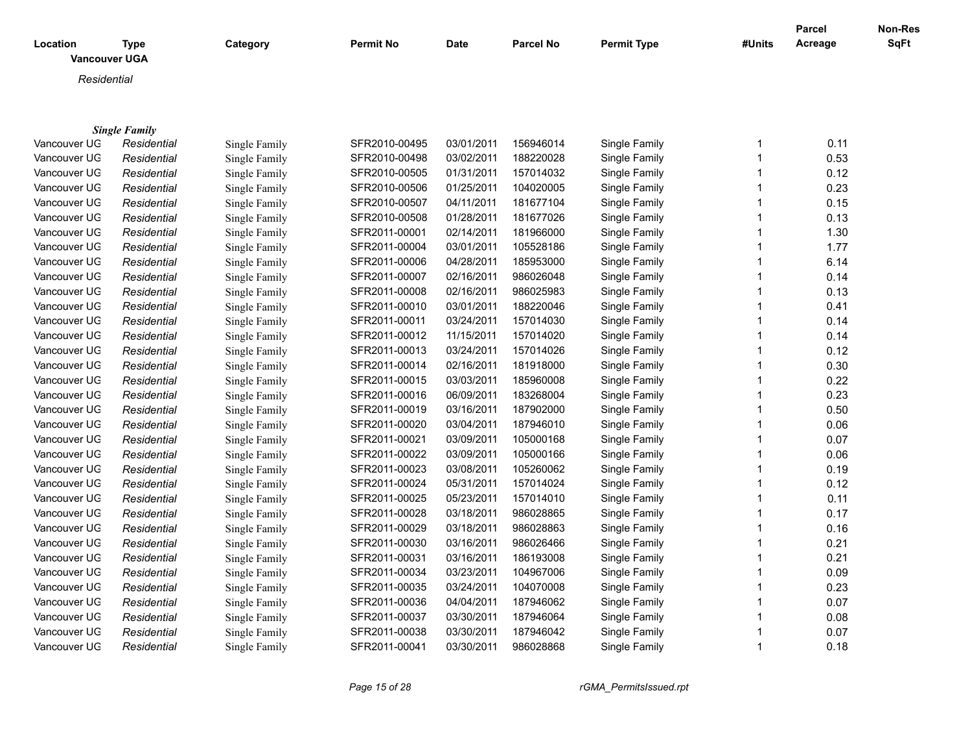| Location     | <b>Type</b><br><b>Vancouver UGA</b> | Category             | <b>Permit No</b> | Date       | <b>Parcel No</b> | <b>Permit Type</b> | #Units       | <b>Parcel</b><br>Acreage | <b>Non-Res</b><br>SqFt |
|--------------|-------------------------------------|----------------------|------------------|------------|------------------|--------------------|--------------|--------------------------|------------------------|
| Residential  |                                     |                      |                  |            |                  |                    |              |                          |                        |
|              |                                     |                      |                  |            |                  |                    |              |                          |                        |
|              |                                     |                      |                  |            |                  |                    |              |                          |                        |
|              | <b>Single Family</b>                |                      |                  |            |                  |                    |              |                          |                        |
| Vancouver UG | Residential                         | Single Family        | SFR2010-00495    | 03/01/2011 | 156946014        | Single Family      | 1            | 0.11                     |                        |
| Vancouver UG | Residential                         | Single Family        | SFR2010-00498    | 03/02/2011 | 188220028        | Single Family      | $\mathbf{1}$ | 0.53                     |                        |
| Vancouver UG | Residential                         | Single Family        | SFR2010-00505    | 01/31/2011 | 157014032        | Single Family      | 1            | 0.12                     |                        |
| Vancouver UG | Residential                         | Single Family        | SFR2010-00506    | 01/25/2011 | 104020005        | Single Family      | 1            | 0.23                     |                        |
| Vancouver UG | Residential                         | Single Family        | SFR2010-00507    | 04/11/2011 | 181677104        | Single Family      | 1            | 0.15                     |                        |
| Vancouver UG | Residential                         | Single Family        | SFR2010-00508    | 01/28/2011 | 181677026        | Single Family      | 1            | 0.13                     |                        |
| Vancouver UG | Residential                         | Single Family        | SFR2011-00001    | 02/14/2011 | 181966000        | Single Family      | 1            | 1.30                     |                        |
| Vancouver UG | Residential                         | Single Family        | SFR2011-00004    | 03/01/2011 | 105528186        | Single Family      | 1            | 1.77                     |                        |
| Vancouver UG | Residential                         | Single Family        | SFR2011-00006    | 04/28/2011 | 185953000        | Single Family      | 1            | 6.14                     |                        |
| Vancouver UG | Residential                         | Single Family        | SFR2011-00007    | 02/16/2011 | 986026048        | Single Family      | $\mathbf{1}$ | 0.14                     |                        |
| Vancouver UG | Residential                         | Single Family        | SFR2011-00008    | 02/16/2011 | 986025983        | Single Family      | 1            | 0.13                     |                        |
| Vancouver UG | Residential                         | Single Family        | SFR2011-00010    | 03/01/2011 | 188220046        | Single Family      | 1            | 0.41                     |                        |
| Vancouver UG | Residential                         | Single Family        | SFR2011-00011    | 03/24/2011 | 157014030        | Single Family      | 1            | 0.14                     |                        |
| Vancouver UG | Residential                         | Single Family        | SFR2011-00012    | 11/15/2011 | 157014020        | Single Family      | 1            | 0.14                     |                        |
| Vancouver UG | Residential                         | Single Family        | SFR2011-00013    | 03/24/2011 | 157014026        | Single Family      | 1            | 0.12                     |                        |
| Vancouver UG | Residential                         | Single Family        | SFR2011-00014    | 02/16/2011 | 181918000        | Single Family      | 1            | 0.30                     |                        |
| Vancouver UG | Residential                         | Single Family        | SFR2011-00015    | 03/03/2011 | 185960008        | Single Family      | 1            | 0.22                     |                        |
| Vancouver UG | Residential                         | Single Family        | SFR2011-00016    | 06/09/2011 | 183268004        | Single Family      | 1            | 0.23                     |                        |
| Vancouver UG | Residential                         | Single Family        | SFR2011-00019    | 03/16/2011 | 187902000        | Single Family      | 1            | 0.50                     |                        |
| Vancouver UG | Residential                         | Single Family        | SFR2011-00020    | 03/04/2011 | 187946010        | Single Family      | 1            | 0.06                     |                        |
| Vancouver UG | Residential                         | Single Family        | SFR2011-00021    | 03/09/2011 | 105000168        | Single Family      | 1            | 0.07                     |                        |
| Vancouver UG | Residential                         | Single Family        | SFR2011-00022    | 03/09/2011 | 105000166        | Single Family      | 1            | 0.06                     |                        |
| Vancouver UG | Residential                         | Single Family        | SFR2011-00023    | 03/08/2011 | 105260062        | Single Family      | 1            | 0.19                     |                        |
| Vancouver UG | Residential                         | Single Family        | SFR2011-00024    | 05/31/2011 | 157014024        | Single Family      | 1            | 0.12                     |                        |
| Vancouver UG | Residential                         | Single Family        | SFR2011-00025    | 05/23/2011 | 157014010        | Single Family      | 1            | 0.11                     |                        |
| Vancouver UG | Residential                         | Single Family        | SFR2011-00028    | 03/18/2011 | 986028865        | Single Family      | 1            | 0.17                     |                        |
| Vancouver UG | Residential                         | Single Family        | SFR2011-00029    | 03/18/2011 | 986028863        | Single Family      | 1            | 0.16                     |                        |
| Vancouver UG | Residential                         | Single Family        | SFR2011-00030    | 03/16/2011 | 986026466        | Single Family      | 1            | 0.21                     |                        |
| Vancouver UG | Residential                         | Single Family        | SFR2011-00031    | 03/16/2011 | 186193008        | Single Family      | 1            | 0.21                     |                        |
| Vancouver UG | Residential                         | Single Family        | SFR2011-00034    | 03/23/2011 | 104967006        | Single Family      | 1            | 0.09                     |                        |
| Vancouver UG | Residential                         | Single Family        | SFR2011-00035    | 03/24/2011 | 104070008        | Single Family      | 1            | 0.23                     |                        |
| Vancouver UG | Residential                         | Single Family        | SFR2011-00036    | 04/04/2011 | 187946062        | Single Family      | 1            | 0.07                     |                        |
| Vancouver UG | Residential                         | Single Family        | SFR2011-00037    | 03/30/2011 | 187946064        | Single Family      | 1            | 0.08                     |                        |
| Vancouver UG | Residential                         | <b>Single Family</b> | SFR2011-00038    | 03/30/2011 | 187946042        | Single Family      | 1            | 0.07                     |                        |
| Vancouver UG | Residential                         | Single Family        | SFR2011-00041    | 03/30/2011 | 986028868        | Single Family      | 1            | 0.18                     |                        |

Single Family SFR2011-00041 03/30/2011 986028868

*Page 15 of 28 rGMA\_PermitsIssued.rpt*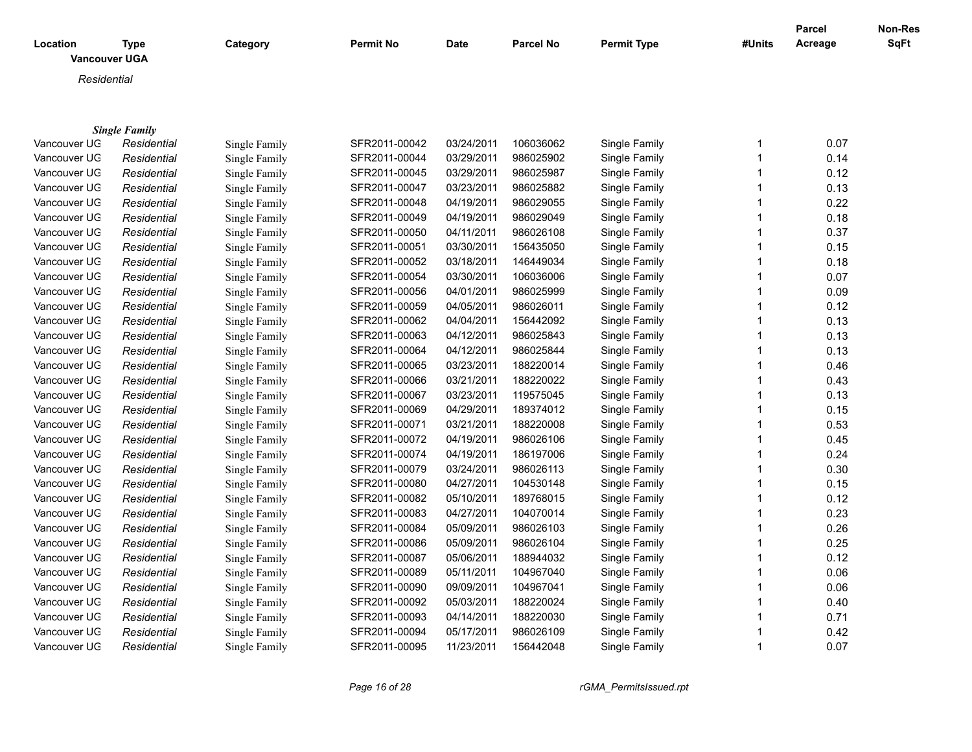| Location<br><b>Vancouver UGA</b> | <b>Type</b>          | Category      | <b>Permit No</b> | <b>Date</b> | Parcel No | <b>Permit Type</b> | #Units         | Parcel<br>Acreage | Non-Res<br>SqFt |
|----------------------------------|----------------------|---------------|------------------|-------------|-----------|--------------------|----------------|-------------------|-----------------|
| Residential                      |                      |               |                  |             |           |                    |                |                   |                 |
|                                  |                      |               |                  |             |           |                    |                |                   |                 |
|                                  |                      |               |                  |             |           |                    |                |                   |                 |
|                                  | <b>Single Family</b> |               |                  |             |           |                    |                |                   |                 |
| Vancouver UG                     | Residential          | Single Family | SFR2011-00042    | 03/24/2011  | 106036062 | Single Family      | 1              | 0.07              |                 |
| Vancouver UG                     | Residential          | Single Family | SFR2011-00044    | 03/29/2011  | 986025902 | Single Family      | $\mathbf{1}$   | 0.14              |                 |
| Vancouver UG                     | Residential          | Single Family | SFR2011-00045    | 03/29/2011  | 986025987 | Single Family      |                | 0.12              |                 |
| Vancouver UG                     | Residential          | Single Family | SFR2011-00047    | 03/23/2011  | 986025882 | Single Family      | 1              | 0.13              |                 |
| Vancouver UG                     | Residential          | Single Family | SFR2011-00048    | 04/19/2011  | 986029055 | Single Family      | 1              | 0.22              |                 |
| Vancouver UG                     | Residential          | Single Family | SFR2011-00049    | 04/19/2011  | 986029049 | Single Family      |                | 0.18              |                 |
| Vancouver UG                     | Residential          | Single Family | SFR2011-00050    | 04/11/2011  | 986026108 | Single Family      | 1              | 0.37              |                 |
| Vancouver UG                     | Residential          | Single Family | SFR2011-00051    | 03/30/2011  | 156435050 | Single Family      | $\mathbf 1$    | 0.15              |                 |
| Vancouver UG                     | Residential          | Single Family | SFR2011-00052    | 03/18/2011  | 146449034 | Single Family      | $\mathbf 1$    | 0.18              |                 |
| Vancouver UG                     | Residential          | Single Family | SFR2011-00054    | 03/30/2011  | 106036006 | Single Family      | $\overline{1}$ | 0.07              |                 |
| Vancouver UG                     | Residential          | Single Family | SFR2011-00056    | 04/01/2011  | 986025999 | Single Family      | $\mathbf 1$    | 0.09              |                 |
| Vancouver UG                     | Residential          | Single Family | SFR2011-00059    | 04/05/2011  | 986026011 | Single Family      | 1              | 0.12              |                 |
| Vancouver UG                     | Residential          | Single Family | SFR2011-00062    | 04/04/2011  | 156442092 | Single Family      | 1              | 0.13              |                 |
| Vancouver UG                     | Residential          | Single Family | SFR2011-00063    | 04/12/2011  | 986025843 | Single Family      | $\mathbf 1$    | 0.13              |                 |
| Vancouver UG                     | Residential          | Single Family | SFR2011-00064    | 04/12/2011  | 986025844 | Single Family      | 1              | 0.13              |                 |
| Vancouver UG                     | Residential          | Single Family | SFR2011-00065    | 03/23/2011  | 188220014 | Single Family      | $\overline{1}$ | 0.46              |                 |
| Vancouver UG                     | Residential          | Single Family | SFR2011-00066    | 03/21/2011  | 188220022 | Single Family      | 1              | 0.43              |                 |
| Vancouver UG                     | Residential          | Single Family | SFR2011-00067    | 03/23/2011  | 119575045 | Single Family      | 1              | 0.13              |                 |
| Vancouver UG                     | Residential          | Single Family | SFR2011-00069    | 04/29/2011  | 189374012 | Single Family      | $\overline{1}$ | 0.15              |                 |
| Vancouver UG                     | Residential          | Single Family | SFR2011-00071    | 03/21/2011  | 188220008 | Single Family      | 1              | 0.53              |                 |
| Vancouver UG                     | Residential          | Single Family | SFR2011-00072    | 04/19/2011  | 986026106 | Single Family      | $\mathbf 1$    | 0.45              |                 |
| Vancouver UG                     | Residential          | Single Family | SFR2011-00074    | 04/19/2011  | 186197006 | Single Family      | $\mathbf 1$    | 0.24              |                 |
| Vancouver UG                     | Residential          | Single Family | SFR2011-00079    | 03/24/2011  | 986026113 | Single Family      | $\overline{1}$ | 0.30              |                 |
| Vancouver UG                     | Residential          | Single Family | SFR2011-00080    | 04/27/2011  | 104530148 | Single Family      | 1              | 0.15              |                 |
| Vancouver UG                     | Residential          | Single Family | SFR2011-00082    | 05/10/2011  | 189768015 | Single Family      | $\mathbf 1$    | 0.12              |                 |
| Vancouver UG                     | Residential          | Single Family | SFR2011-00083    | 04/27/2011  | 104070014 | Single Family      | $\mathbf 1$    | 0.23              |                 |
| Vancouver UG                     | Residential          | Single Family | SFR2011-00084    | 05/09/2011  | 986026103 | Single Family      | 1              | 0.26              |                 |
| Vancouver UG                     | Residential          | Single Family | SFR2011-00086    | 05/09/2011  | 986026104 | Single Family      | $\mathbf 1$    | 0.25              |                 |
| Vancouver UG                     | Residential          | Single Family | SFR2011-00087    | 05/06/2011  | 188944032 | Single Family      | -1             | 0.12              |                 |
| Vancouver UG                     | Residential          | Single Family | SFR2011-00089    | 05/11/2011  | 104967040 | Single Family      | -1             | 0.06              |                 |
| Vancouver UG                     | Residential          | Single Family | SFR2011-00090    | 09/09/2011  | 104967041 | Single Family      |                | 0.06              |                 |
| Vancouver UG                     | Residential          | Single Family | SFR2011-00092    | 05/03/2011  | 188220024 | Single Family      | -1             | 0.40              |                 |
| Vancouver UG                     | Residential          | Single Family | SFR2011-00093    | 04/14/2011  | 188220030 | Single Family      | -1             | 0.71              |                 |

Vancouver UGA *Residential* Single Family SFR2011-00094 05/17/2011 986026109 Single Family 1 0.42 Vancouver UG *Residential* Single Family SFR2011-00095 11/23/2011 156442048 Single Family 1 0.07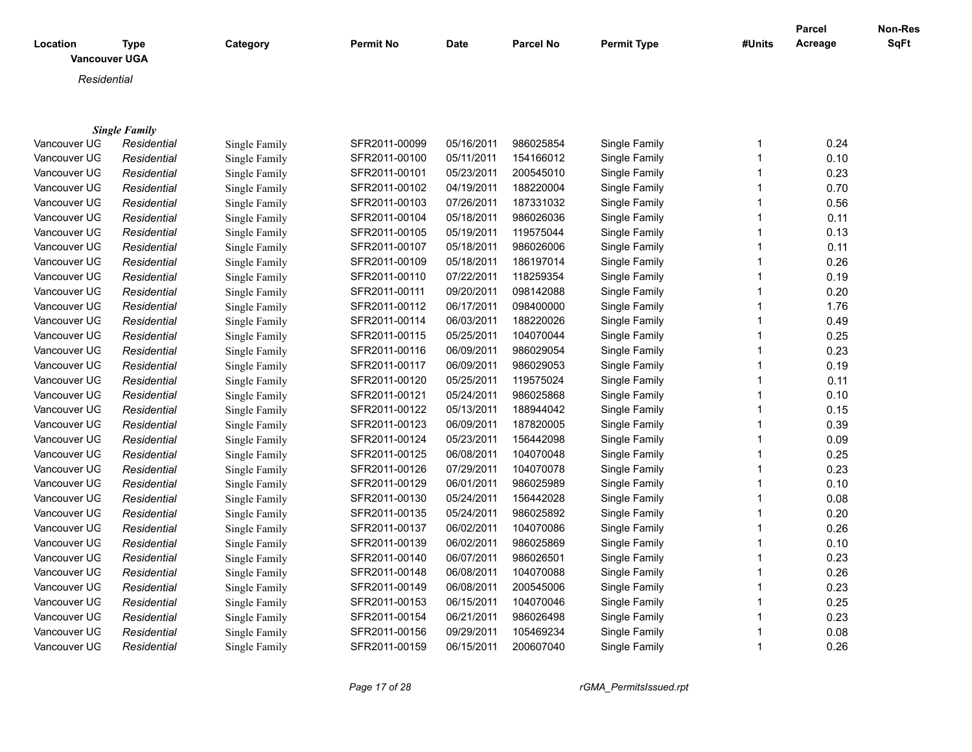| <b>Permit No</b><br>Location<br><b>Type</b><br>Category<br><b>Vancouver UGA</b> | <b>Date</b> | <b>Parcel No</b> | <b>Permit Type</b> | #Units | Parcel<br>Acreage | <b>Non-Res</b><br>SqFt |
|---------------------------------------------------------------------------------|-------------|------------------|--------------------|--------|-------------------|------------------------|
| Residential                                                                     |             |                  |                    |        |                   |                        |
|                                                                                 |             |                  |                    |        |                   |                        |
|                                                                                 |             |                  |                    |        |                   |                        |
| <b>Single Family</b>                                                            |             |                  |                    |        |                   |                        |
| SFR2011-00099<br>Vancouver UG<br>Residential<br>Single Family                   | 05/16/2011  | 986025854        | Single Family      |        | 0.24              |                        |
| Vancouver UG<br>SFR2011-00100<br>Residential<br>Single Family                   | 05/11/2011  | 154166012        | Single Family      |        | 0.10              |                        |
| Vancouver UG<br>SFR2011-00101<br>Residential<br>Single Family                   | 05/23/2011  | 200545010        | Single Family      |        | 0.23              |                        |
| Vancouver UG<br>SFR2011-00102<br>Residential<br>Single Family                   | 04/19/2011  | 188220004        | Single Family      |        | 0.70              |                        |
| Vancouver UG<br>SFR2011-00103<br>Residential<br>Single Family                   | 07/26/2011  | 187331032        | Single Family      |        | 0.56              |                        |
| SFR2011-00104<br>Vancouver UG<br>Residential<br>Single Family                   | 05/18/2011  | 986026036        | Single Family      |        | 0.11              |                        |
| Vancouver UG<br>Residential<br>Single Family<br>SFR2011-00105                   | 05/19/2011  | 119575044        | Single Family      |        | 0.13              |                        |
| Vancouver UG<br>Residential<br>Single Family<br>SFR2011-00107                   | 05/18/2011  | 986026006        | Single Family      |        | 0.11              |                        |
| Vancouver UG<br>Residential<br>Single Family<br>SFR2011-00109                   | 05/18/2011  | 186197014        | Single Family      |        | 0.26              |                        |
| Vancouver UG<br>Residential<br>SFR2011-00110<br>Single Family                   | 07/22/2011  | 118259354        | Single Family      |        | 0.19              |                        |
| Vancouver UG<br>Residential<br>SFR2011-00111<br>Single Family                   | 09/20/2011  | 098142088        | Single Family      |        | 0.20              |                        |
| Vancouver UG<br>SFR2011-00112<br>Residential<br>Single Family                   | 06/17/2011  | 098400000        | Single Family      |        | 1.76              |                        |
| SFR2011-00114<br>Vancouver UG<br>Residential<br>Single Family                   | 06/03/2011  | 188220026        | Single Family      |        | 0.49              |                        |
| Vancouver UG<br>SFR2011-00115<br>Residential<br>Single Family                   | 05/25/2011  | 104070044        | Single Family      |        | 0.25              |                        |
| Vancouver UG<br>Residential<br>SFR2011-00116<br>Single Family                   | 06/09/2011  | 986029054        | Single Family      |        | 0.23              |                        |
| Vancouver UG<br>SFR2011-00117<br>Residential<br>Single Family                   | 06/09/2011  | 986029053        | Single Family      |        | 0.19              |                        |
| Vancouver UG<br>SFR2011-00120<br>Residential<br>Single Family                   | 05/25/2011  | 119575024        | Single Family      |        | 0.11              |                        |
| Vancouver UG<br>SFR2011-00121<br>Residential<br>Single Family                   | 05/24/2011  | 986025868        | Single Family      |        | 0.10              |                        |
| Vancouver UG<br>SFR2011-00122<br>Residential<br>Single Family                   | 05/13/2011  | 188944042        | Single Family      |        | 0.15              |                        |
| Vancouver UG<br>SFR2011-00123<br>Residential<br>Single Family                   | 06/09/2011  | 187820005        | Single Family      |        | 0.39              |                        |
| Vancouver UG<br>SFR2011-00124<br>Residential<br>Single Family                   | 05/23/2011  | 156442098        | Single Family      |        | 0.09              |                        |
| Vancouver UG<br>Residential<br>Single Family<br>SFR2011-00125                   | 06/08/2011  | 104070048        | Single Family      |        | 0.25              |                        |
| Vancouver UG<br>Residential<br>SFR2011-00126<br>Single Family                   | 07/29/2011  | 104070078        | Single Family      |        | 0.23              |                        |
| Vancouver UG<br>SFR2011-00129<br>Residential<br>Single Family                   | 06/01/2011  | 986025989        | Single Family      |        | 0.10              |                        |
| Vancouver UG<br>SFR2011-00130<br>Residential<br>Single Family                   | 05/24/2011  | 156442028        | Single Family      |        | 0.08              |                        |
| Vancouver UG<br>SFR2011-00135<br>Residential<br>Single Family                   | 05/24/2011  | 986025892        | Single Family      |        | 0.20              |                        |
| Vancouver UG<br>SFR2011-00137<br>Residential<br>Single Family                   | 06/02/2011  | 104070086        | Single Family      |        | 0.26              |                        |
| SFR2011-00139<br>Vancouver UG<br>Residential<br>Single Family                   | 06/02/2011  | 986025869        | Single Family      |        | 0.10              |                        |

Vancouver UGA *Residential* Single Family SFR2011-00140 06/07/2011 986026501 Single Family 1 0.23 Vancouver UGA *Residential* Single Family SFR2011-00148 06/08/2011 104070088 Single Family 1 0.26 Vancouver UGA *Residential* Single Family SFR2011-00149 06/08/2011 200545006 Single Family 1 0.23 Vancouver UGA *Residential* Single Family SFR2011-00153 06/15/2011 104070046 Single Family 1 0.25 Vancouver UGA *Residential* Single Family SFR2011-00154 06/21/2011 986026498 Single Family 1 0.23 Vancouver UGA *Residential* Single Family SFR2011-00156 09/29/2011 105469234 Single Family 1 0.08 Vancouver UGA *Residential* Single Family SFR2011-00159 06/15/2011 200607040 Single Family 1 0.26

*Page 17 of 28 rGMA\_PermitsIssued.rpt*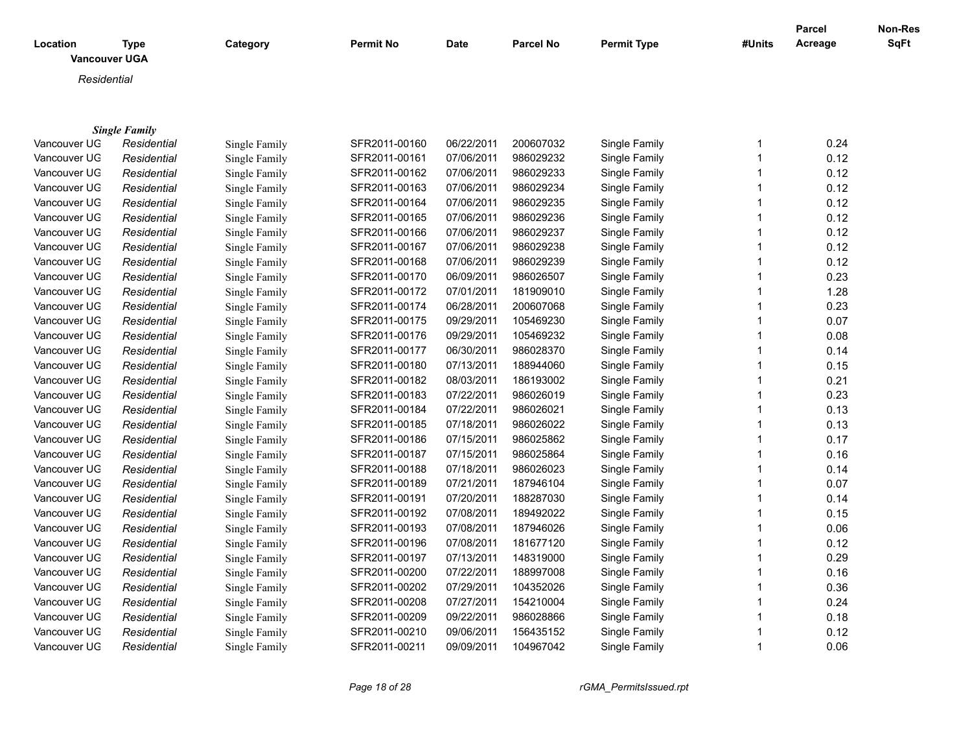|              |                                     |               |                  |             |                  |                    |              | <b>Parcel</b> | Non-Res |
|--------------|-------------------------------------|---------------|------------------|-------------|------------------|--------------------|--------------|---------------|---------|
| Location     | <b>Type</b><br><b>Vancouver UGA</b> | Category      | <b>Permit No</b> | <b>Date</b> | <b>Parcel No</b> | <b>Permit Type</b> | #Units       | Acreage       | SqFt    |
|              |                                     |               |                  |             |                  |                    |              |               |         |
| Residential  |                                     |               |                  |             |                  |                    |              |               |         |
|              |                                     |               |                  |             |                  |                    |              |               |         |
|              | <b>Single Family</b>                |               |                  |             |                  |                    |              |               |         |
| Vancouver UG | Residential                         | Single Family | SFR2011-00160    | 06/22/2011  | 200607032        | Single Family      | 1            | 0.24          |         |
| Vancouver UG | Residential                         | Single Family | SFR2011-00161    | 07/06/2011  | 986029232        | Single Family      | $\mathbf{1}$ | 0.12          |         |
| Vancouver UG | Residential                         | Single Family | SFR2011-00162    | 07/06/2011  | 986029233        | Single Family      | 1            | 0.12          |         |
| Vancouver UG | Residential                         | Single Family | SFR2011-00163    | 07/06/2011  | 986029234        | Single Family      | 1            | 0.12          |         |
| Vancouver UG | Residential                         | Single Family | SFR2011-00164    | 07/06/2011  | 986029235        | Single Family      | $\mathbf{1}$ | 0.12          |         |
| Vancouver UG | Residential                         | Single Family | SFR2011-00165    | 07/06/2011  | 986029236        | Single Family      | 1            | 0.12          |         |
| Vancouver UG | Residential                         | Single Family | SFR2011-00166    | 07/06/2011  | 986029237        | Single Family      | 1            | 0.12          |         |
| Vancouver UG | Residential                         | Single Family | SFR2011-00167    | 07/06/2011  | 986029238        | Single Family      | 1            | 0.12          |         |
| Vancouver UG | Residential                         | Single Family | SFR2011-00168    | 07/06/2011  | 986029239        | Single Family      | $\mathbf{1}$ | 0.12          |         |
| Vancouver UG | Residential                         | Single Family | SFR2011-00170    | 06/09/2011  | 986026507        | Single Family      | 1            | 0.23          |         |
| Vancouver UG | Residential                         | Single Family | SFR2011-00172    | 07/01/2011  | 181909010        | Single Family      | $\mathbf{1}$ | 1.28          |         |
| Vancouver UG | Residential                         | Single Family | SFR2011-00174    | 06/28/2011  | 200607068        | Single Family      | $\mathbf{1}$ | 0.23          |         |
| Vancouver UG | Residential                         | Single Family | SFR2011-00175    | 09/29/2011  | 105469230        | Single Family      | $\mathbf{1}$ | 0.07          |         |
| Vancouver UG | Residential                         | Single Family | SFR2011-00176    | 09/29/2011  | 105469232        | Single Family      | $\mathbf{1}$ | 0.08          |         |
| Vancouver UG | Residential                         | Single Family | SFR2011-00177    | 06/30/2011  | 986028370        | Single Family      | 1            | 0.14          |         |
| Vancouver UG | Residential                         | Single Family | SFR2011-00180    | 07/13/2011  | 188944060        | Single Family      | $\mathbf{1}$ | 0.15          |         |
| Vancouver UG | Residential                         | Single Family | SFR2011-00182    | 08/03/2011  | 186193002        | Single Family      | $\mathbf{1}$ | 0.21          |         |
| Vancouver UG | Residential                         | Single Family | SFR2011-00183    | 07/22/2011  | 986026019        | Single Family      | $\mathbf{1}$ | 0.23          |         |
| Vancouver UG | Residential                         | Single Family | SFR2011-00184    | 07/22/2011  | 986026021        | Single Family      | 1            | 0.13          |         |
| Vancouver UG | Residential                         | Single Family | SFR2011-00185    | 07/18/2011  | 986026022        | Single Family      | $\mathbf{1}$ | 0.13          |         |
| Vancouver UG | Residential                         | Single Family | SFR2011-00186    | 07/15/2011  | 986025862        | Single Family      | $\mathbf{1}$ | 0.17          |         |
| Vancouver UG | Residential                         | Single Family | SFR2011-00187    | 07/15/2011  | 986025864        | Single Family      | $\mathbf{1}$ | 0.16          |         |
| Vancouver UG | Residential                         | Single Family | SFR2011-00188    | 07/18/2011  | 986026023        | Single Family      | 1            | 0.14          |         |
| Vancouver UG | Residential                         | Single Family | SFR2011-00189    | 07/21/2011  | 187946104        | Single Family      | $\mathbf{1}$ | 0.07          |         |
| Vancouver UG | Residential                         | Single Family | SFR2011-00191    | 07/20/2011  | 188287030        | Single Family      | $\mathbf{1}$ | 0.14          |         |
| Vancouver UG | Residential                         | Single Family | SFR2011-00192    | 07/08/2011  | 189492022        | Single Family      | $\mathbf{1}$ | 0.15          |         |
| Vancouver UG | Residential                         | Single Family | SFR2011-00193    | 07/08/2011  | 187946026        | Single Family      | 1            | 0.06          |         |
| Vancouver UG | Residential                         | Single Family | SFR2011-00196    | 07/08/2011  | 181677120        | Single Family      | $\mathbf{1}$ | 0.12          |         |
| Vancouver UG | Residential                         | Single Family | SFR2011-00197    | 07/13/2011  | 148319000        | Single Family      | 1            | 0.29          |         |
| Vancouver UG | Residential                         | Single Family | SFR2011-00200    | 07/22/2011  | 188997008        | Single Family      | $\mathbf{1}$ | 0.16          |         |
| Vancouver UG | Residential                         | Single Family | SFR2011-00202    | 07/29/2011  | 104352026        | Single Family      | 1            | 0.36          |         |
| Vancouver UG | Residential                         | Single Family | SFR2011-00208    | 07/27/2011  | 154210004        | Single Family      | $\mathbf{1}$ | 0.24          |         |
| Vancouver UG | Residential                         | Single Family | SFR2011-00209    | 09/22/2011  | 986028866        | Single Family      | 1            | 0.18          |         |
| Vancouver UG | Residential                         | Single Family | SFR2011-00210    | 09/06/2011  | 156435152        | Single Family      | 1            | 0.12          |         |
| Vancouver UG | Residential                         | Single Family | SFR2011-00211    | 09/09/2011  | 104967042        | Single Family      | $\mathbf{1}$ | 0.06          |         |

*Page 18 of 28 rGMA\_PermitsIssued.rpt*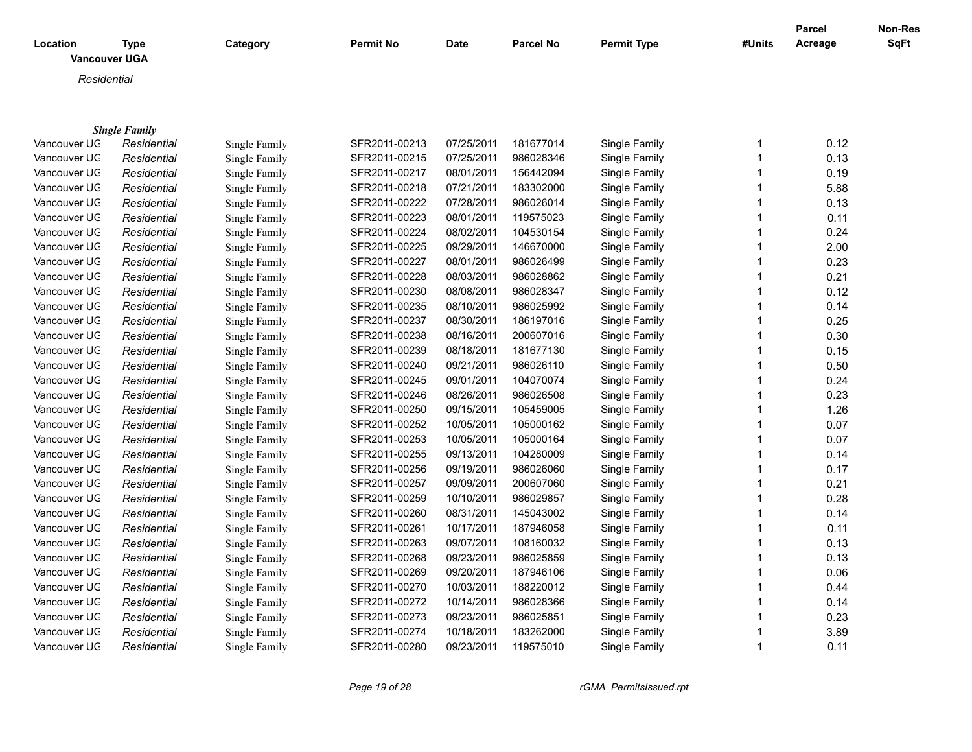| <b>Permit Type</b><br>Acreage<br>Category<br><b>Permit No</b><br><b>Date</b><br><b>Parcel No</b><br>#Units<br>Location<br>Type<br><b>Vancouver UGA</b><br>Residential<br><b>Single Family</b><br>0.12<br>Vancouver UG<br>SFR2011-00213<br>07/25/2011<br>181677014<br>Single Family<br>$\mathbf{1}$<br>Residential<br>Single Family<br>$\mathbf{1}$<br>0.13<br>Vancouver UG<br>SFR2011-00215<br>07/25/2011<br>986028346<br>Single Family<br>Residential<br>Single Family<br>$\mathbf{1}$<br>0.19<br>Vancouver UG<br>Residential<br>SFR2011-00217<br>08/01/2011<br>156442094<br>Single Family<br>Single Family<br>183302000<br>$\mathbf{1}$<br>5.88<br>Vancouver UG<br>Residential<br>SFR2011-00218<br>07/21/2011<br>Single Family<br>Single Family<br>07/28/2011<br>986026014<br>$\mathbf{1}$<br>0.13<br>Vancouver UG<br>Residential<br>SFR2011-00222<br>Single Family<br>Single Family<br>$\mathbf{1}$<br>Vancouver UG<br>SFR2011-00223<br>08/01/2011<br>119575023<br>Single Family<br>0.11<br>Residential<br>Single Family<br>Vancouver UG<br>SFR2011-00224<br>08/02/2011<br>104530154<br>Single Family<br>$\mathbf{1}$<br>0.24<br>Residential<br>Single Family<br>Vancouver UG<br>SFR2011-00225<br>09/29/2011<br>146670000<br>$\mathbf{1}$<br>2.00<br>Residential<br>Single Family<br>Single Family<br>08/01/2011<br>986026499<br>$\mathbf{1}$<br>0.23<br>Vancouver UG<br>Residential<br>Single Family<br>SFR2011-00227<br>Single Family<br>Vancouver UG<br>SFR2011-00228<br>08/03/2011<br>986028862<br>Single Family<br>$\mathbf{1}$<br>0.21<br>Residential<br>Single Family<br>0.12<br>Vancouver UG<br>SFR2011-00230<br>08/08/2011<br>986028347<br>Single Family<br>$\mathbf{1}$<br>Residential<br>Single Family<br>$\mathbf{1}$<br>Vancouver UG<br>SFR2011-00235<br>08/10/2011<br>986025992<br>0.14<br>Residential<br>Single Family<br>Single Family<br>Vancouver UG<br>SFR2011-00237<br>08/30/2011<br>186197016<br>$\mathbf{1}$<br>0.25<br>Single Family<br>Residential<br>Single Family<br>SFR2011-00238<br>08/16/2011<br>200607016<br>Single Family<br>$\mathbf{1}$<br>0.30<br>Vancouver UG<br>Residential<br>Single Family<br>$\mathbf{1}$<br>0.15<br>Vancouver UG<br>SFR2011-00239<br>08/18/2011<br>181677130<br>Single Family<br>Residential<br>Single Family<br>09/21/2011<br>$\mathbf{1}$<br>0.50<br>Vancouver UG<br>SFR2011-00240<br>986026110<br>Single Family<br>Residential<br>Single Family<br>$\mathbf{1}$<br>0.24<br>Vancouver UG<br>SFR2011-00245<br>09/01/2011<br>104070074<br>Single Family<br>Residential<br>Single Family<br>SFR2011-00246<br>986026508<br>$\mathbf{1}$<br>0.23<br>Vancouver UG<br>08/26/2011<br>Single Family<br>Residential<br>Single Family<br>105459005<br>$\mathbf{1}$<br>1.26<br>Vancouver UG<br>Single Family<br>SFR2011-00250<br>09/15/2011<br>Single Family<br>Residential<br>SFR2011-00252<br>10/05/2011<br>105000162<br>$\mathbf{1}$<br>0.07<br>Vancouver UG<br>Single Family<br>Residential<br>Single Family<br>105000164<br>$\mathbf{1}$<br>Vancouver UG<br>SFR2011-00253<br>10/05/2011<br>Single Family<br>0.07<br>Residential<br>Single Family<br>SFR2011-00255<br>09/13/2011<br>104280009<br>$\mathbf{1}$<br>0.14<br>Vancouver UG<br>Residential<br>Single Family<br>Single Family<br>0.17<br>986026060<br>$\mathbf{1}$<br>Vancouver UG<br>Residential<br>Single Family<br>SFR2011-00256<br>09/19/2011<br>Single Family<br>$\mathbf{1}$<br>0.21<br>Vancouver UG<br>SFR2011-00257<br>09/09/2011<br>200607060<br>Residential<br>Single Family<br>Single Family<br>$\mathbf{1}$<br>10/10/2011<br>986029857<br>0.28<br>Vancouver UG<br>Residential<br>Single Family<br>SFR2011-00259<br>Single Family<br>$\mathbf{1}$<br>SFR2011-00260<br>08/31/2011<br>145043002<br>0.14<br>Vancouver UG<br>Residential<br>Single Family<br>Single Family<br>Vancouver UG<br>SFR2011-00261<br>10/17/2011<br>187946058<br>$\mathbf{1}$<br>0.11<br>Residential<br>Single Family<br>Single Family<br>$\mathbf{1}$<br>SFR2011-00263<br>09/07/2011<br>108160032<br>Vancouver UG<br>Single Family<br>0.13<br>Residential<br>Single Family<br>$\mathbf{1}$<br>SFR2011-00268<br>09/23/2011<br>986025859<br>Vancouver UG<br>Single Family<br>0.13<br>Residential<br>Single Family<br>$\mathbf{1}$<br>0.06<br>Vancouver UG<br>SFR2011-00269<br>09/20/2011<br>187946106<br>Single Family<br>Residential<br>Single Family<br>$\mathbf{1}$<br>0.44<br>Vancouver UG<br>SFR2011-00270<br>10/03/2011<br>188220012<br>Single Family<br>Residential<br>Single Family<br>986028366<br>$\mathbf{1}$<br>0.14<br>Vancouver UG<br>Residential<br>SFR2011-00272<br>10/14/2011<br>Single Family<br>Single Family<br>$\mathbf{1}$<br>0.23<br>Vancouver UG<br>SFR2011-00273<br>09/23/2011<br>986025851<br>Single Family<br>Residential<br>Single Family<br>3.89<br>Vancouver UG<br>Residential<br>SFR2011-00274<br>10/18/2011<br>183262000<br>Single Family<br>$\mathbf 1$<br>Single Family<br>$\mathbf{1}$<br>Vancouver UG<br>SFR2011-00280<br>09/23/2011<br>119575010<br>Single Family<br>0.11<br>Residential<br>Single Family |  |  |  |  | <b>Parcel</b> | Non-Res     |
|---------------------------------------------------------------------------------------------------------------------------------------------------------------------------------------------------------------------------------------------------------------------------------------------------------------------------------------------------------------------------------------------------------------------------------------------------------------------------------------------------------------------------------------------------------------------------------------------------------------------------------------------------------------------------------------------------------------------------------------------------------------------------------------------------------------------------------------------------------------------------------------------------------------------------------------------------------------------------------------------------------------------------------------------------------------------------------------------------------------------------------------------------------------------------------------------------------------------------------------------------------------------------------------------------------------------------------------------------------------------------------------------------------------------------------------------------------------------------------------------------------------------------------------------------------------------------------------------------------------------------------------------------------------------------------------------------------------------------------------------------------------------------------------------------------------------------------------------------------------------------------------------------------------------------------------------------------------------------------------------------------------------------------------------------------------------------------------------------------------------------------------------------------------------------------------------------------------------------------------------------------------------------------------------------------------------------------------------------------------------------------------------------------------------------------------------------------------------------------------------------------------------------------------------------------------------------------------------------------------------------------------------------------------------------------------------------------------------------------------------------------------------------------------------------------------------------------------------------------------------------------------------------------------------------------------------------------------------------------------------------------------------------------------------------------------------------------------------------------------------------------------------------------------------------------------------------------------------------------------------------------------------------------------------------------------------------------------------------------------------------------------------------------------------------------------------------------------------------------------------------------------------------------------------------------------------------------------------------------------------------------------------------------------------------------------------------------------------------------------------------------------------------------------------------------------------------------------------------------------------------------------------------------------------------------------------------------------------------------------------------------------------------------------------------------------------------------------------------------------------------------------------------------------------------------------------------------------------------------------------------------------------------------------------------------------------------------------------------------------------------------------------------------------------------------------------------------------------------------------------------------------------------------------------------------------------------------------------------------------------------------------------------------------------------------------------------------------------------------------------------------------------------------------------------------------------------------------------------------------------------------------------------------------------------------------------------------------------------------------------------------------------------------------------|--|--|--|--|---------------|-------------|
|                                                                                                                                                                                                                                                                                                                                                                                                                                                                                                                                                                                                                                                                                                                                                                                                                                                                                                                                                                                                                                                                                                                                                                                                                                                                                                                                                                                                                                                                                                                                                                                                                                                                                                                                                                                                                                                                                                                                                                                                                                                                                                                                                                                                                                                                                                                                                                                                                                                                                                                                                                                                                                                                                                                                                                                                                                                                                                                                                                                                                                                                                                                                                                                                                                                                                                                                                                                                                                                                                                                                                                                                                                                                                                                                                                                                                                                                                                                                                                                                                                                                                                                                                                                                                                                                                                                                                                                                                                                                                                                                                                                                                                                                                                                                                                                                                                                                                                                                                                                                                                             |  |  |  |  |               | <b>SqFt</b> |
|                                                                                                                                                                                                                                                                                                                                                                                                                                                                                                                                                                                                                                                                                                                                                                                                                                                                                                                                                                                                                                                                                                                                                                                                                                                                                                                                                                                                                                                                                                                                                                                                                                                                                                                                                                                                                                                                                                                                                                                                                                                                                                                                                                                                                                                                                                                                                                                                                                                                                                                                                                                                                                                                                                                                                                                                                                                                                                                                                                                                                                                                                                                                                                                                                                                                                                                                                                                                                                                                                                                                                                                                                                                                                                                                                                                                                                                                                                                                                                                                                                                                                                                                                                                                                                                                                                                                                                                                                                                                                                                                                                                                                                                                                                                                                                                                                                                                                                                                                                                                                                             |  |  |  |  |               |             |
|                                                                                                                                                                                                                                                                                                                                                                                                                                                                                                                                                                                                                                                                                                                                                                                                                                                                                                                                                                                                                                                                                                                                                                                                                                                                                                                                                                                                                                                                                                                                                                                                                                                                                                                                                                                                                                                                                                                                                                                                                                                                                                                                                                                                                                                                                                                                                                                                                                                                                                                                                                                                                                                                                                                                                                                                                                                                                                                                                                                                                                                                                                                                                                                                                                                                                                                                                                                                                                                                                                                                                                                                                                                                                                                                                                                                                                                                                                                                                                                                                                                                                                                                                                                                                                                                                                                                                                                                                                                                                                                                                                                                                                                                                                                                                                                                                                                                                                                                                                                                                                             |  |  |  |  |               |             |
|                                                                                                                                                                                                                                                                                                                                                                                                                                                                                                                                                                                                                                                                                                                                                                                                                                                                                                                                                                                                                                                                                                                                                                                                                                                                                                                                                                                                                                                                                                                                                                                                                                                                                                                                                                                                                                                                                                                                                                                                                                                                                                                                                                                                                                                                                                                                                                                                                                                                                                                                                                                                                                                                                                                                                                                                                                                                                                                                                                                                                                                                                                                                                                                                                                                                                                                                                                                                                                                                                                                                                                                                                                                                                                                                                                                                                                                                                                                                                                                                                                                                                                                                                                                                                                                                                                                                                                                                                                                                                                                                                                                                                                                                                                                                                                                                                                                                                                                                                                                                                                             |  |  |  |  |               |             |
|                                                                                                                                                                                                                                                                                                                                                                                                                                                                                                                                                                                                                                                                                                                                                                                                                                                                                                                                                                                                                                                                                                                                                                                                                                                                                                                                                                                                                                                                                                                                                                                                                                                                                                                                                                                                                                                                                                                                                                                                                                                                                                                                                                                                                                                                                                                                                                                                                                                                                                                                                                                                                                                                                                                                                                                                                                                                                                                                                                                                                                                                                                                                                                                                                                                                                                                                                                                                                                                                                                                                                                                                                                                                                                                                                                                                                                                                                                                                                                                                                                                                                                                                                                                                                                                                                                                                                                                                                                                                                                                                                                                                                                                                                                                                                                                                                                                                                                                                                                                                                                             |  |  |  |  |               |             |
|                                                                                                                                                                                                                                                                                                                                                                                                                                                                                                                                                                                                                                                                                                                                                                                                                                                                                                                                                                                                                                                                                                                                                                                                                                                                                                                                                                                                                                                                                                                                                                                                                                                                                                                                                                                                                                                                                                                                                                                                                                                                                                                                                                                                                                                                                                                                                                                                                                                                                                                                                                                                                                                                                                                                                                                                                                                                                                                                                                                                                                                                                                                                                                                                                                                                                                                                                                                                                                                                                                                                                                                                                                                                                                                                                                                                                                                                                                                                                                                                                                                                                                                                                                                                                                                                                                                                                                                                                                                                                                                                                                                                                                                                                                                                                                                                                                                                                                                                                                                                                                             |  |  |  |  |               |             |
|                                                                                                                                                                                                                                                                                                                                                                                                                                                                                                                                                                                                                                                                                                                                                                                                                                                                                                                                                                                                                                                                                                                                                                                                                                                                                                                                                                                                                                                                                                                                                                                                                                                                                                                                                                                                                                                                                                                                                                                                                                                                                                                                                                                                                                                                                                                                                                                                                                                                                                                                                                                                                                                                                                                                                                                                                                                                                                                                                                                                                                                                                                                                                                                                                                                                                                                                                                                                                                                                                                                                                                                                                                                                                                                                                                                                                                                                                                                                                                                                                                                                                                                                                                                                                                                                                                                                                                                                                                                                                                                                                                                                                                                                                                                                                                                                                                                                                                                                                                                                                                             |  |  |  |  |               |             |
|                                                                                                                                                                                                                                                                                                                                                                                                                                                                                                                                                                                                                                                                                                                                                                                                                                                                                                                                                                                                                                                                                                                                                                                                                                                                                                                                                                                                                                                                                                                                                                                                                                                                                                                                                                                                                                                                                                                                                                                                                                                                                                                                                                                                                                                                                                                                                                                                                                                                                                                                                                                                                                                                                                                                                                                                                                                                                                                                                                                                                                                                                                                                                                                                                                                                                                                                                                                                                                                                                                                                                                                                                                                                                                                                                                                                                                                                                                                                                                                                                                                                                                                                                                                                                                                                                                                                                                                                                                                                                                                                                                                                                                                                                                                                                                                                                                                                                                                                                                                                                                             |  |  |  |  |               |             |
|                                                                                                                                                                                                                                                                                                                                                                                                                                                                                                                                                                                                                                                                                                                                                                                                                                                                                                                                                                                                                                                                                                                                                                                                                                                                                                                                                                                                                                                                                                                                                                                                                                                                                                                                                                                                                                                                                                                                                                                                                                                                                                                                                                                                                                                                                                                                                                                                                                                                                                                                                                                                                                                                                                                                                                                                                                                                                                                                                                                                                                                                                                                                                                                                                                                                                                                                                                                                                                                                                                                                                                                                                                                                                                                                                                                                                                                                                                                                                                                                                                                                                                                                                                                                                                                                                                                                                                                                                                                                                                                                                                                                                                                                                                                                                                                                                                                                                                                                                                                                                                             |  |  |  |  |               |             |
|                                                                                                                                                                                                                                                                                                                                                                                                                                                                                                                                                                                                                                                                                                                                                                                                                                                                                                                                                                                                                                                                                                                                                                                                                                                                                                                                                                                                                                                                                                                                                                                                                                                                                                                                                                                                                                                                                                                                                                                                                                                                                                                                                                                                                                                                                                                                                                                                                                                                                                                                                                                                                                                                                                                                                                                                                                                                                                                                                                                                                                                                                                                                                                                                                                                                                                                                                                                                                                                                                                                                                                                                                                                                                                                                                                                                                                                                                                                                                                                                                                                                                                                                                                                                                                                                                                                                                                                                                                                                                                                                                                                                                                                                                                                                                                                                                                                                                                                                                                                                                                             |  |  |  |  |               |             |
|                                                                                                                                                                                                                                                                                                                                                                                                                                                                                                                                                                                                                                                                                                                                                                                                                                                                                                                                                                                                                                                                                                                                                                                                                                                                                                                                                                                                                                                                                                                                                                                                                                                                                                                                                                                                                                                                                                                                                                                                                                                                                                                                                                                                                                                                                                                                                                                                                                                                                                                                                                                                                                                                                                                                                                                                                                                                                                                                                                                                                                                                                                                                                                                                                                                                                                                                                                                                                                                                                                                                                                                                                                                                                                                                                                                                                                                                                                                                                                                                                                                                                                                                                                                                                                                                                                                                                                                                                                                                                                                                                                                                                                                                                                                                                                                                                                                                                                                                                                                                                                             |  |  |  |  |               |             |
|                                                                                                                                                                                                                                                                                                                                                                                                                                                                                                                                                                                                                                                                                                                                                                                                                                                                                                                                                                                                                                                                                                                                                                                                                                                                                                                                                                                                                                                                                                                                                                                                                                                                                                                                                                                                                                                                                                                                                                                                                                                                                                                                                                                                                                                                                                                                                                                                                                                                                                                                                                                                                                                                                                                                                                                                                                                                                                                                                                                                                                                                                                                                                                                                                                                                                                                                                                                                                                                                                                                                                                                                                                                                                                                                                                                                                                                                                                                                                                                                                                                                                                                                                                                                                                                                                                                                                                                                                                                                                                                                                                                                                                                                                                                                                                                                                                                                                                                                                                                                                                             |  |  |  |  |               |             |
|                                                                                                                                                                                                                                                                                                                                                                                                                                                                                                                                                                                                                                                                                                                                                                                                                                                                                                                                                                                                                                                                                                                                                                                                                                                                                                                                                                                                                                                                                                                                                                                                                                                                                                                                                                                                                                                                                                                                                                                                                                                                                                                                                                                                                                                                                                                                                                                                                                                                                                                                                                                                                                                                                                                                                                                                                                                                                                                                                                                                                                                                                                                                                                                                                                                                                                                                                                                                                                                                                                                                                                                                                                                                                                                                                                                                                                                                                                                                                                                                                                                                                                                                                                                                                                                                                                                                                                                                                                                                                                                                                                                                                                                                                                                                                                                                                                                                                                                                                                                                                                             |  |  |  |  |               |             |
|                                                                                                                                                                                                                                                                                                                                                                                                                                                                                                                                                                                                                                                                                                                                                                                                                                                                                                                                                                                                                                                                                                                                                                                                                                                                                                                                                                                                                                                                                                                                                                                                                                                                                                                                                                                                                                                                                                                                                                                                                                                                                                                                                                                                                                                                                                                                                                                                                                                                                                                                                                                                                                                                                                                                                                                                                                                                                                                                                                                                                                                                                                                                                                                                                                                                                                                                                                                                                                                                                                                                                                                                                                                                                                                                                                                                                                                                                                                                                                                                                                                                                                                                                                                                                                                                                                                                                                                                                                                                                                                                                                                                                                                                                                                                                                                                                                                                                                                                                                                                                                             |  |  |  |  |               |             |
|                                                                                                                                                                                                                                                                                                                                                                                                                                                                                                                                                                                                                                                                                                                                                                                                                                                                                                                                                                                                                                                                                                                                                                                                                                                                                                                                                                                                                                                                                                                                                                                                                                                                                                                                                                                                                                                                                                                                                                                                                                                                                                                                                                                                                                                                                                                                                                                                                                                                                                                                                                                                                                                                                                                                                                                                                                                                                                                                                                                                                                                                                                                                                                                                                                                                                                                                                                                                                                                                                                                                                                                                                                                                                                                                                                                                                                                                                                                                                                                                                                                                                                                                                                                                                                                                                                                                                                                                                                                                                                                                                                                                                                                                                                                                                                                                                                                                                                                                                                                                                                             |  |  |  |  |               |             |
|                                                                                                                                                                                                                                                                                                                                                                                                                                                                                                                                                                                                                                                                                                                                                                                                                                                                                                                                                                                                                                                                                                                                                                                                                                                                                                                                                                                                                                                                                                                                                                                                                                                                                                                                                                                                                                                                                                                                                                                                                                                                                                                                                                                                                                                                                                                                                                                                                                                                                                                                                                                                                                                                                                                                                                                                                                                                                                                                                                                                                                                                                                                                                                                                                                                                                                                                                                                                                                                                                                                                                                                                                                                                                                                                                                                                                                                                                                                                                                                                                                                                                                                                                                                                                                                                                                                                                                                                                                                                                                                                                                                                                                                                                                                                                                                                                                                                                                                                                                                                                                             |  |  |  |  |               |             |
|                                                                                                                                                                                                                                                                                                                                                                                                                                                                                                                                                                                                                                                                                                                                                                                                                                                                                                                                                                                                                                                                                                                                                                                                                                                                                                                                                                                                                                                                                                                                                                                                                                                                                                                                                                                                                                                                                                                                                                                                                                                                                                                                                                                                                                                                                                                                                                                                                                                                                                                                                                                                                                                                                                                                                                                                                                                                                                                                                                                                                                                                                                                                                                                                                                                                                                                                                                                                                                                                                                                                                                                                                                                                                                                                                                                                                                                                                                                                                                                                                                                                                                                                                                                                                                                                                                                                                                                                                                                                                                                                                                                                                                                                                                                                                                                                                                                                                                                                                                                                                                             |  |  |  |  |               |             |
|                                                                                                                                                                                                                                                                                                                                                                                                                                                                                                                                                                                                                                                                                                                                                                                                                                                                                                                                                                                                                                                                                                                                                                                                                                                                                                                                                                                                                                                                                                                                                                                                                                                                                                                                                                                                                                                                                                                                                                                                                                                                                                                                                                                                                                                                                                                                                                                                                                                                                                                                                                                                                                                                                                                                                                                                                                                                                                                                                                                                                                                                                                                                                                                                                                                                                                                                                                                                                                                                                                                                                                                                                                                                                                                                                                                                                                                                                                                                                                                                                                                                                                                                                                                                                                                                                                                                                                                                                                                                                                                                                                                                                                                                                                                                                                                                                                                                                                                                                                                                                                             |  |  |  |  |               |             |
|                                                                                                                                                                                                                                                                                                                                                                                                                                                                                                                                                                                                                                                                                                                                                                                                                                                                                                                                                                                                                                                                                                                                                                                                                                                                                                                                                                                                                                                                                                                                                                                                                                                                                                                                                                                                                                                                                                                                                                                                                                                                                                                                                                                                                                                                                                                                                                                                                                                                                                                                                                                                                                                                                                                                                                                                                                                                                                                                                                                                                                                                                                                                                                                                                                                                                                                                                                                                                                                                                                                                                                                                                                                                                                                                                                                                                                                                                                                                                                                                                                                                                                                                                                                                                                                                                                                                                                                                                                                                                                                                                                                                                                                                                                                                                                                                                                                                                                                                                                                                                                             |  |  |  |  |               |             |
|                                                                                                                                                                                                                                                                                                                                                                                                                                                                                                                                                                                                                                                                                                                                                                                                                                                                                                                                                                                                                                                                                                                                                                                                                                                                                                                                                                                                                                                                                                                                                                                                                                                                                                                                                                                                                                                                                                                                                                                                                                                                                                                                                                                                                                                                                                                                                                                                                                                                                                                                                                                                                                                                                                                                                                                                                                                                                                                                                                                                                                                                                                                                                                                                                                                                                                                                                                                                                                                                                                                                                                                                                                                                                                                                                                                                                                                                                                                                                                                                                                                                                                                                                                                                                                                                                                                                                                                                                                                                                                                                                                                                                                                                                                                                                                                                                                                                                                                                                                                                                                             |  |  |  |  |               |             |
|                                                                                                                                                                                                                                                                                                                                                                                                                                                                                                                                                                                                                                                                                                                                                                                                                                                                                                                                                                                                                                                                                                                                                                                                                                                                                                                                                                                                                                                                                                                                                                                                                                                                                                                                                                                                                                                                                                                                                                                                                                                                                                                                                                                                                                                                                                                                                                                                                                                                                                                                                                                                                                                                                                                                                                                                                                                                                                                                                                                                                                                                                                                                                                                                                                                                                                                                                                                                                                                                                                                                                                                                                                                                                                                                                                                                                                                                                                                                                                                                                                                                                                                                                                                                                                                                                                                                                                                                                                                                                                                                                                                                                                                                                                                                                                                                                                                                                                                                                                                                                                             |  |  |  |  |               |             |
|                                                                                                                                                                                                                                                                                                                                                                                                                                                                                                                                                                                                                                                                                                                                                                                                                                                                                                                                                                                                                                                                                                                                                                                                                                                                                                                                                                                                                                                                                                                                                                                                                                                                                                                                                                                                                                                                                                                                                                                                                                                                                                                                                                                                                                                                                                                                                                                                                                                                                                                                                                                                                                                                                                                                                                                                                                                                                                                                                                                                                                                                                                                                                                                                                                                                                                                                                                                                                                                                                                                                                                                                                                                                                                                                                                                                                                                                                                                                                                                                                                                                                                                                                                                                                                                                                                                                                                                                                                                                                                                                                                                                                                                                                                                                                                                                                                                                                                                                                                                                                                             |  |  |  |  |               |             |
|                                                                                                                                                                                                                                                                                                                                                                                                                                                                                                                                                                                                                                                                                                                                                                                                                                                                                                                                                                                                                                                                                                                                                                                                                                                                                                                                                                                                                                                                                                                                                                                                                                                                                                                                                                                                                                                                                                                                                                                                                                                                                                                                                                                                                                                                                                                                                                                                                                                                                                                                                                                                                                                                                                                                                                                                                                                                                                                                                                                                                                                                                                                                                                                                                                                                                                                                                                                                                                                                                                                                                                                                                                                                                                                                                                                                                                                                                                                                                                                                                                                                                                                                                                                                                                                                                                                                                                                                                                                                                                                                                                                                                                                                                                                                                                                                                                                                                                                                                                                                                                             |  |  |  |  |               |             |
|                                                                                                                                                                                                                                                                                                                                                                                                                                                                                                                                                                                                                                                                                                                                                                                                                                                                                                                                                                                                                                                                                                                                                                                                                                                                                                                                                                                                                                                                                                                                                                                                                                                                                                                                                                                                                                                                                                                                                                                                                                                                                                                                                                                                                                                                                                                                                                                                                                                                                                                                                                                                                                                                                                                                                                                                                                                                                                                                                                                                                                                                                                                                                                                                                                                                                                                                                                                                                                                                                                                                                                                                                                                                                                                                                                                                                                                                                                                                                                                                                                                                                                                                                                                                                                                                                                                                                                                                                                                                                                                                                                                                                                                                                                                                                                                                                                                                                                                                                                                                                                             |  |  |  |  |               |             |
|                                                                                                                                                                                                                                                                                                                                                                                                                                                                                                                                                                                                                                                                                                                                                                                                                                                                                                                                                                                                                                                                                                                                                                                                                                                                                                                                                                                                                                                                                                                                                                                                                                                                                                                                                                                                                                                                                                                                                                                                                                                                                                                                                                                                                                                                                                                                                                                                                                                                                                                                                                                                                                                                                                                                                                                                                                                                                                                                                                                                                                                                                                                                                                                                                                                                                                                                                                                                                                                                                                                                                                                                                                                                                                                                                                                                                                                                                                                                                                                                                                                                                                                                                                                                                                                                                                                                                                                                                                                                                                                                                                                                                                                                                                                                                                                                                                                                                                                                                                                                                                             |  |  |  |  |               |             |
|                                                                                                                                                                                                                                                                                                                                                                                                                                                                                                                                                                                                                                                                                                                                                                                                                                                                                                                                                                                                                                                                                                                                                                                                                                                                                                                                                                                                                                                                                                                                                                                                                                                                                                                                                                                                                                                                                                                                                                                                                                                                                                                                                                                                                                                                                                                                                                                                                                                                                                                                                                                                                                                                                                                                                                                                                                                                                                                                                                                                                                                                                                                                                                                                                                                                                                                                                                                                                                                                                                                                                                                                                                                                                                                                                                                                                                                                                                                                                                                                                                                                                                                                                                                                                                                                                                                                                                                                                                                                                                                                                                                                                                                                                                                                                                                                                                                                                                                                                                                                                                             |  |  |  |  |               |             |
|                                                                                                                                                                                                                                                                                                                                                                                                                                                                                                                                                                                                                                                                                                                                                                                                                                                                                                                                                                                                                                                                                                                                                                                                                                                                                                                                                                                                                                                                                                                                                                                                                                                                                                                                                                                                                                                                                                                                                                                                                                                                                                                                                                                                                                                                                                                                                                                                                                                                                                                                                                                                                                                                                                                                                                                                                                                                                                                                                                                                                                                                                                                                                                                                                                                                                                                                                                                                                                                                                                                                                                                                                                                                                                                                                                                                                                                                                                                                                                                                                                                                                                                                                                                                                                                                                                                                                                                                                                                                                                                                                                                                                                                                                                                                                                                                                                                                                                                                                                                                                                             |  |  |  |  |               |             |
|                                                                                                                                                                                                                                                                                                                                                                                                                                                                                                                                                                                                                                                                                                                                                                                                                                                                                                                                                                                                                                                                                                                                                                                                                                                                                                                                                                                                                                                                                                                                                                                                                                                                                                                                                                                                                                                                                                                                                                                                                                                                                                                                                                                                                                                                                                                                                                                                                                                                                                                                                                                                                                                                                                                                                                                                                                                                                                                                                                                                                                                                                                                                                                                                                                                                                                                                                                                                                                                                                                                                                                                                                                                                                                                                                                                                                                                                                                                                                                                                                                                                                                                                                                                                                                                                                                                                                                                                                                                                                                                                                                                                                                                                                                                                                                                                                                                                                                                                                                                                                                             |  |  |  |  |               |             |
|                                                                                                                                                                                                                                                                                                                                                                                                                                                                                                                                                                                                                                                                                                                                                                                                                                                                                                                                                                                                                                                                                                                                                                                                                                                                                                                                                                                                                                                                                                                                                                                                                                                                                                                                                                                                                                                                                                                                                                                                                                                                                                                                                                                                                                                                                                                                                                                                                                                                                                                                                                                                                                                                                                                                                                                                                                                                                                                                                                                                                                                                                                                                                                                                                                                                                                                                                                                                                                                                                                                                                                                                                                                                                                                                                                                                                                                                                                                                                                                                                                                                                                                                                                                                                                                                                                                                                                                                                                                                                                                                                                                                                                                                                                                                                                                                                                                                                                                                                                                                                                             |  |  |  |  |               |             |
|                                                                                                                                                                                                                                                                                                                                                                                                                                                                                                                                                                                                                                                                                                                                                                                                                                                                                                                                                                                                                                                                                                                                                                                                                                                                                                                                                                                                                                                                                                                                                                                                                                                                                                                                                                                                                                                                                                                                                                                                                                                                                                                                                                                                                                                                                                                                                                                                                                                                                                                                                                                                                                                                                                                                                                                                                                                                                                                                                                                                                                                                                                                                                                                                                                                                                                                                                                                                                                                                                                                                                                                                                                                                                                                                                                                                                                                                                                                                                                                                                                                                                                                                                                                                                                                                                                                                                                                                                                                                                                                                                                                                                                                                                                                                                                                                                                                                                                                                                                                                                                             |  |  |  |  |               |             |
|                                                                                                                                                                                                                                                                                                                                                                                                                                                                                                                                                                                                                                                                                                                                                                                                                                                                                                                                                                                                                                                                                                                                                                                                                                                                                                                                                                                                                                                                                                                                                                                                                                                                                                                                                                                                                                                                                                                                                                                                                                                                                                                                                                                                                                                                                                                                                                                                                                                                                                                                                                                                                                                                                                                                                                                                                                                                                                                                                                                                                                                                                                                                                                                                                                                                                                                                                                                                                                                                                                                                                                                                                                                                                                                                                                                                                                                                                                                                                                                                                                                                                                                                                                                                                                                                                                                                                                                                                                                                                                                                                                                                                                                                                                                                                                                                                                                                                                                                                                                                                                             |  |  |  |  |               |             |
|                                                                                                                                                                                                                                                                                                                                                                                                                                                                                                                                                                                                                                                                                                                                                                                                                                                                                                                                                                                                                                                                                                                                                                                                                                                                                                                                                                                                                                                                                                                                                                                                                                                                                                                                                                                                                                                                                                                                                                                                                                                                                                                                                                                                                                                                                                                                                                                                                                                                                                                                                                                                                                                                                                                                                                                                                                                                                                                                                                                                                                                                                                                                                                                                                                                                                                                                                                                                                                                                                                                                                                                                                                                                                                                                                                                                                                                                                                                                                                                                                                                                                                                                                                                                                                                                                                                                                                                                                                                                                                                                                                                                                                                                                                                                                                                                                                                                                                                                                                                                                                             |  |  |  |  |               |             |
|                                                                                                                                                                                                                                                                                                                                                                                                                                                                                                                                                                                                                                                                                                                                                                                                                                                                                                                                                                                                                                                                                                                                                                                                                                                                                                                                                                                                                                                                                                                                                                                                                                                                                                                                                                                                                                                                                                                                                                                                                                                                                                                                                                                                                                                                                                                                                                                                                                                                                                                                                                                                                                                                                                                                                                                                                                                                                                                                                                                                                                                                                                                                                                                                                                                                                                                                                                                                                                                                                                                                                                                                                                                                                                                                                                                                                                                                                                                                                                                                                                                                                                                                                                                                                                                                                                                                                                                                                                                                                                                                                                                                                                                                                                                                                                                                                                                                                                                                                                                                                                             |  |  |  |  |               |             |
|                                                                                                                                                                                                                                                                                                                                                                                                                                                                                                                                                                                                                                                                                                                                                                                                                                                                                                                                                                                                                                                                                                                                                                                                                                                                                                                                                                                                                                                                                                                                                                                                                                                                                                                                                                                                                                                                                                                                                                                                                                                                                                                                                                                                                                                                                                                                                                                                                                                                                                                                                                                                                                                                                                                                                                                                                                                                                                                                                                                                                                                                                                                                                                                                                                                                                                                                                                                                                                                                                                                                                                                                                                                                                                                                                                                                                                                                                                                                                                                                                                                                                                                                                                                                                                                                                                                                                                                                                                                                                                                                                                                                                                                                                                                                                                                                                                                                                                                                                                                                                                             |  |  |  |  |               |             |
|                                                                                                                                                                                                                                                                                                                                                                                                                                                                                                                                                                                                                                                                                                                                                                                                                                                                                                                                                                                                                                                                                                                                                                                                                                                                                                                                                                                                                                                                                                                                                                                                                                                                                                                                                                                                                                                                                                                                                                                                                                                                                                                                                                                                                                                                                                                                                                                                                                                                                                                                                                                                                                                                                                                                                                                                                                                                                                                                                                                                                                                                                                                                                                                                                                                                                                                                                                                                                                                                                                                                                                                                                                                                                                                                                                                                                                                                                                                                                                                                                                                                                                                                                                                                                                                                                                                                                                                                                                                                                                                                                                                                                                                                                                                                                                                                                                                                                                                                                                                                                                             |  |  |  |  |               |             |
|                                                                                                                                                                                                                                                                                                                                                                                                                                                                                                                                                                                                                                                                                                                                                                                                                                                                                                                                                                                                                                                                                                                                                                                                                                                                                                                                                                                                                                                                                                                                                                                                                                                                                                                                                                                                                                                                                                                                                                                                                                                                                                                                                                                                                                                                                                                                                                                                                                                                                                                                                                                                                                                                                                                                                                                                                                                                                                                                                                                                                                                                                                                                                                                                                                                                                                                                                                                                                                                                                                                                                                                                                                                                                                                                                                                                                                                                                                                                                                                                                                                                                                                                                                                                                                                                                                                                                                                                                                                                                                                                                                                                                                                                                                                                                                                                                                                                                                                                                                                                                                             |  |  |  |  |               |             |
|                                                                                                                                                                                                                                                                                                                                                                                                                                                                                                                                                                                                                                                                                                                                                                                                                                                                                                                                                                                                                                                                                                                                                                                                                                                                                                                                                                                                                                                                                                                                                                                                                                                                                                                                                                                                                                                                                                                                                                                                                                                                                                                                                                                                                                                                                                                                                                                                                                                                                                                                                                                                                                                                                                                                                                                                                                                                                                                                                                                                                                                                                                                                                                                                                                                                                                                                                                                                                                                                                                                                                                                                                                                                                                                                                                                                                                                                                                                                                                                                                                                                                                                                                                                                                                                                                                                                                                                                                                                                                                                                                                                                                                                                                                                                                                                                                                                                                                                                                                                                                                             |  |  |  |  |               |             |
|                                                                                                                                                                                                                                                                                                                                                                                                                                                                                                                                                                                                                                                                                                                                                                                                                                                                                                                                                                                                                                                                                                                                                                                                                                                                                                                                                                                                                                                                                                                                                                                                                                                                                                                                                                                                                                                                                                                                                                                                                                                                                                                                                                                                                                                                                                                                                                                                                                                                                                                                                                                                                                                                                                                                                                                                                                                                                                                                                                                                                                                                                                                                                                                                                                                                                                                                                                                                                                                                                                                                                                                                                                                                                                                                                                                                                                                                                                                                                                                                                                                                                                                                                                                                                                                                                                                                                                                                                                                                                                                                                                                                                                                                                                                                                                                                                                                                                                                                                                                                                                             |  |  |  |  |               |             |
|                                                                                                                                                                                                                                                                                                                                                                                                                                                                                                                                                                                                                                                                                                                                                                                                                                                                                                                                                                                                                                                                                                                                                                                                                                                                                                                                                                                                                                                                                                                                                                                                                                                                                                                                                                                                                                                                                                                                                                                                                                                                                                                                                                                                                                                                                                                                                                                                                                                                                                                                                                                                                                                                                                                                                                                                                                                                                                                                                                                                                                                                                                                                                                                                                                                                                                                                                                                                                                                                                                                                                                                                                                                                                                                                                                                                                                                                                                                                                                                                                                                                                                                                                                                                                                                                                                                                                                                                                                                                                                                                                                                                                                                                                                                                                                                                                                                                                                                                                                                                                                             |  |  |  |  |               |             |
|                                                                                                                                                                                                                                                                                                                                                                                                                                                                                                                                                                                                                                                                                                                                                                                                                                                                                                                                                                                                                                                                                                                                                                                                                                                                                                                                                                                                                                                                                                                                                                                                                                                                                                                                                                                                                                                                                                                                                                                                                                                                                                                                                                                                                                                                                                                                                                                                                                                                                                                                                                                                                                                                                                                                                                                                                                                                                                                                                                                                                                                                                                                                                                                                                                                                                                                                                                                                                                                                                                                                                                                                                                                                                                                                                                                                                                                                                                                                                                                                                                                                                                                                                                                                                                                                                                                                                                                                                                                                                                                                                                                                                                                                                                                                                                                                                                                                                                                                                                                                                                             |  |  |  |  |               |             |

*Page 19 of 28 rGMA\_PermitsIssued.rpt*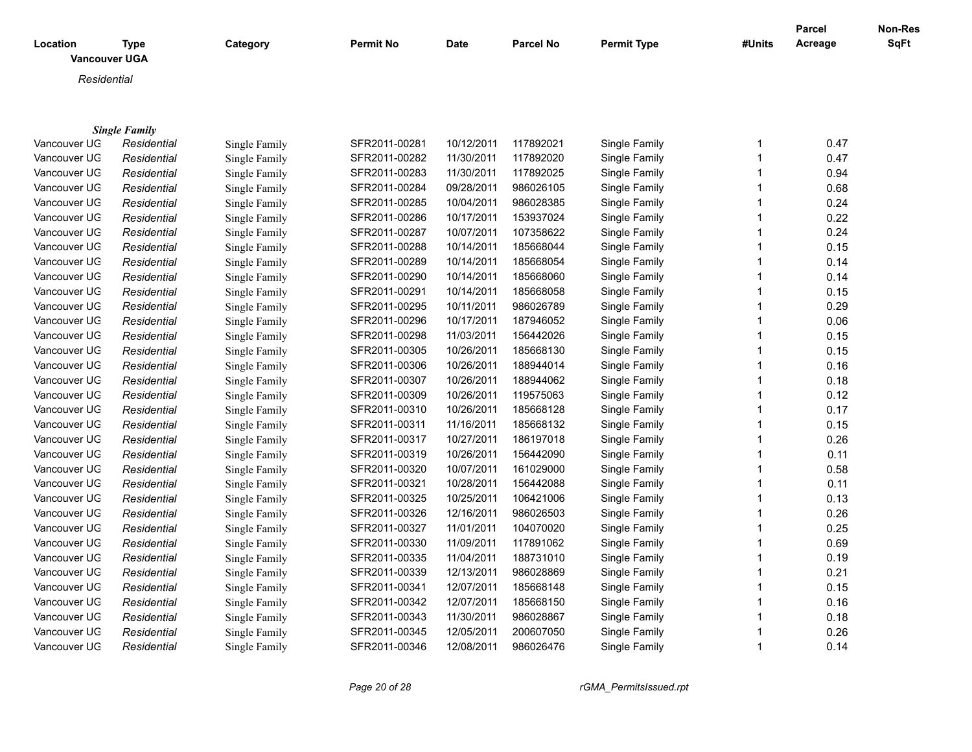| Location<br><b>Vancouver UGA</b> | <b>Type</b>          | Category      | <b>Permit No</b> | <b>Date</b> | <b>Parcel No</b> | <b>Permit Type</b> | #Units       | Parcel<br>Acreage | Non-Res<br>SqFt |
|----------------------------------|----------------------|---------------|------------------|-------------|------------------|--------------------|--------------|-------------------|-----------------|
| Residential                      |                      |               |                  |             |                  |                    |              |                   |                 |
|                                  |                      |               |                  |             |                  |                    |              |                   |                 |
|                                  |                      |               |                  |             |                  |                    |              |                   |                 |
|                                  | <b>Single Family</b> |               |                  |             |                  |                    |              |                   |                 |
| Vancouver UG                     | Residential          | Single Family | SFR2011-00281    | 10/12/2011  | 117892021        | Single Family      | 1            | 0.47              |                 |
| Vancouver UG                     | Residential          | Single Family | SFR2011-00282    | 11/30/2011  | 117892020        | Single Family      | $\mathbf{1}$ | 0.47              |                 |
| Vancouver UG                     | Residential          | Single Family | SFR2011-00283    | 11/30/2011  | 117892025        | Single Family      | 1            | 0.94              |                 |
| Vancouver UG                     | Residential          | Single Family | SFR2011-00284    | 09/28/2011  | 986026105        | Single Family      | 1            | 0.68              |                 |
| Vancouver UG                     | Residential          | Single Family | SFR2011-00285    | 10/04/2011  | 986028385        | Single Family      | 1            | 0.24              |                 |
| Vancouver UG                     | Residential          | Single Family | SFR2011-00286    | 10/17/2011  | 153937024        | Single Family      | 1            | 0.22              |                 |
| Vancouver UG                     | Residential          | Single Family | SFR2011-00287    | 10/07/2011  | 107358622        | Single Family      | 1            | 0.24              |                 |
| Vancouver UG                     | Residential          | Single Family | SFR2011-00288    | 10/14/2011  | 185668044        | Single Family      | 1            | 0.15              |                 |
| Vancouver UG                     | Residential          | Single Family | SFR2011-00289    | 10/14/2011  | 185668054        | Single Family      | 1            | 0.14              |                 |
| Vancouver UG                     | Residential          | Single Family | SFR2011-00290    | 10/14/2011  | 185668060        | Single Family      | 1            | 0.14              |                 |
| Vancouver UG                     | Residential          | Single Family | SFR2011-00291    | 10/14/2011  | 185668058        | Single Family      | 1            | 0.15              |                 |
| Vancouver UG                     | Residential          | Single Family | SFR2011-00295    | 10/11/2011  | 986026789        | Single Family      | 1            | 0.29              |                 |
| Vancouver UG                     | Residential          | Single Family | SFR2011-00296    | 10/17/2011  | 187946052        | Single Family      | 1            | 0.06              |                 |
| Vancouver UG                     | Residential          | Single Family | SFR2011-00298    | 11/03/2011  | 156442026        | Single Family      | 1            | 0.15              |                 |
| Vancouver UG                     | Residential          | Single Family | SFR2011-00305    | 10/26/2011  | 185668130        | Single Family      | 1            | 0.15              |                 |
| Vancouver UG                     | Residential          | Single Family | SFR2011-00306    | 10/26/2011  | 188944014        | Single Family      | 1            | 0.16              |                 |
| Vancouver UG                     | Residential          | Single Family | SFR2011-00307    | 10/26/2011  | 188944062        | Single Family      | 1            | 0.18              |                 |
| Vancouver UG                     | Residential          | Single Family | SFR2011-00309    | 10/26/2011  | 119575063        | Single Family      | 1            | 0.12              |                 |
| Vancouver UG                     | Residential          | Single Family | SFR2011-00310    | 10/26/2011  | 185668128        | Single Family      | 1            | 0.17              |                 |
| Vancouver UG                     | Residential          | Single Family | SFR2011-00311    | 11/16/2011  | 185668132        | Single Family      | 1            | 0.15              |                 |
| Vancouver UG                     | Residential          | Single Family | SFR2011-00317    | 10/27/2011  | 186197018        | Single Family      | $\mathbf 1$  | 0.26              |                 |
| Vancouver UG                     | Residential          | Single Family | SFR2011-00319    | 10/26/2011  | 156442090        | Single Family      | 1            | 0.11              |                 |
| Vancouver UG                     | Residential          | Single Family | SFR2011-00320    | 10/07/2011  | 161029000        | Single Family      |              | 0.58              |                 |
| Vancouver UG                     | Residential          | Single Family | SFR2011-00321    | 10/28/2011  | 156442088        | Single Family      | 1            | 0.11              |                 |
| Vancouver UG                     | Residential          | Single Family | SFR2011-00325    | 10/25/2011  | 106421006        | Single Family      |              | 0.13              |                 |
| Vancouver UG                     | Residential          | Single Family | SFR2011-00326    | 12/16/2011  | 986026503        | Single Family      |              | 0.26              |                 |
| Vancouver UG                     | Residential          | Single Family | SFR2011-00327    | 11/01/2011  | 104070020        | Single Family      |              | 0.25              |                 |
| Vancouver UG                     | Residential          | Single Family | SFR2011-00330    | 11/09/2011  | 117891062        | Single Family      |              | 0.69              |                 |
| Vancouver UG                     | Residential          | Single Family | SFR2011-00335    | 11/04/2011  | 188731010        | Single Family      | 1            | 0.19              |                 |

Vancouver UGA *Residential* Single Family SFR2011-00339 12/13/2011 986028869 Single Family 1 0.21 Vancouver UG *Residential* Single Family SFR2011-00341 12/07/2011 185668148 Single Family 1 0.15 Vancouver UGA *Residential* Single Family SFR2011-00342 12/07/2011 185668150 Single Family 1 0.16 Vancouver UG *Residential* Single Family SFR2011-00343 11/30/2011 986028867 Single Family 1 0.18 Vancouver UGA *Residential* Single Family SFR2011-00345 12/05/2011 200607050 Single Family 1 0.26 Vancouver UGA *Residential* Single Family SFR2011-00346 12/08/2011 986026476 Single Family 1 0.14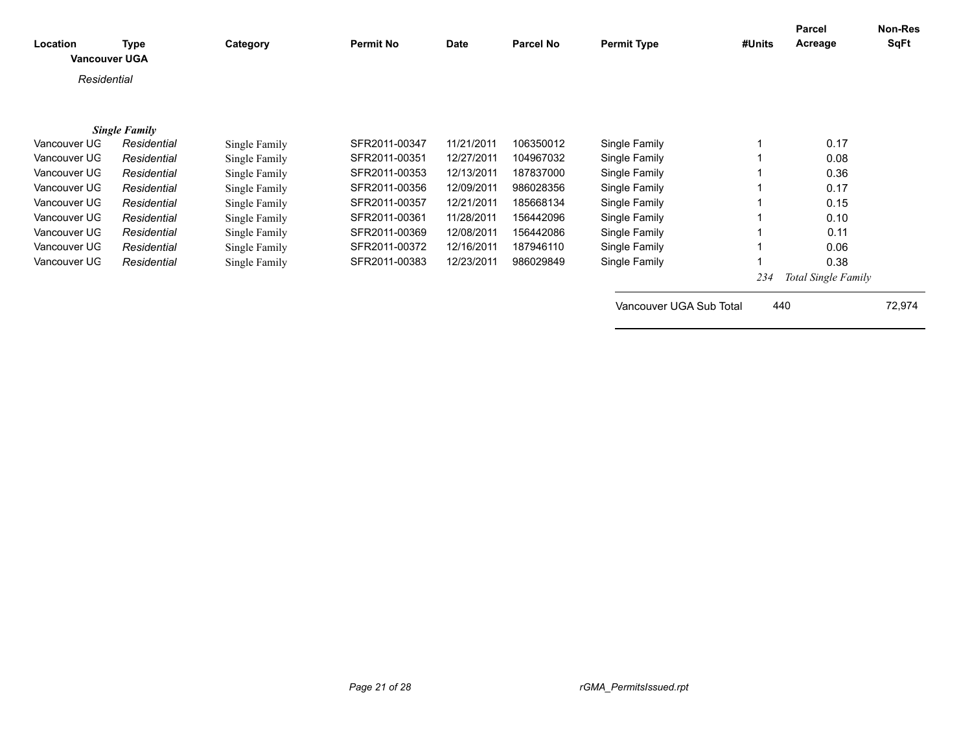| Location<br><b>Vancouver UGA</b> | Type                 | Category      | <b>Permit No</b> | <b>Date</b> | <b>Parcel No</b> | <b>Permit Type</b>      | #Units | <b>Parcel</b><br>Acreage | Non-Res<br>SqFt |
|----------------------------------|----------------------|---------------|------------------|-------------|------------------|-------------------------|--------|--------------------------|-----------------|
| Residential                      |                      |               |                  |             |                  |                         |        |                          |                 |
|                                  |                      |               |                  |             |                  |                         |        |                          |                 |
|                                  | <b>Single Family</b> |               |                  |             |                  |                         |        |                          |                 |
| Vancouver UG                     | Residential          | Single Family | SFR2011-00347    | 11/21/2011  | 106350012        | Single Family           |        | 0.17                     |                 |
| Vancouver UG                     | Residential          | Single Family | SFR2011-00351    | 12/27/2011  | 104967032        | Single Family           |        | 0.08                     |                 |
| Vancouver UG                     | Residential          | Single Family | SFR2011-00353    | 12/13/2011  | 187837000        | Single Family           |        | 0.36                     |                 |
| Vancouver UG                     | Residential          | Single Family | SFR2011-00356    | 12/09/2011  | 986028356        | Single Family           |        | 0.17                     |                 |
| Vancouver UG                     | Residential          | Single Family | SFR2011-00357    | 12/21/2011  | 185668134        | Single Family           |        | 0.15                     |                 |
| Vancouver UG                     | Residential          | Single Family | SFR2011-00361    | 11/28/2011  | 156442096        | Single Family           |        | 0.10                     |                 |
| Vancouver UG                     | Residential          | Single Family | SFR2011-00369    | 12/08/2011  | 156442086        | Single Family           |        | 0.11                     |                 |
| Vancouver UG                     | Residential          | Single Family | SFR2011-00372    | 12/16/2011  | 187946110        | Single Family           |        | 0.06                     |                 |
| Vancouver UG                     | Residential          | Single Family | SFR2011-00383    | 12/23/2011  | 986029849        | Single Family           |        | 0.38                     |                 |
|                                  |                      |               |                  |             |                  |                         | 234    | Total Single Family      |                 |
|                                  |                      |               |                  |             |                  | Vancouver UGA Sub Total |        | 440                      | 72,974          |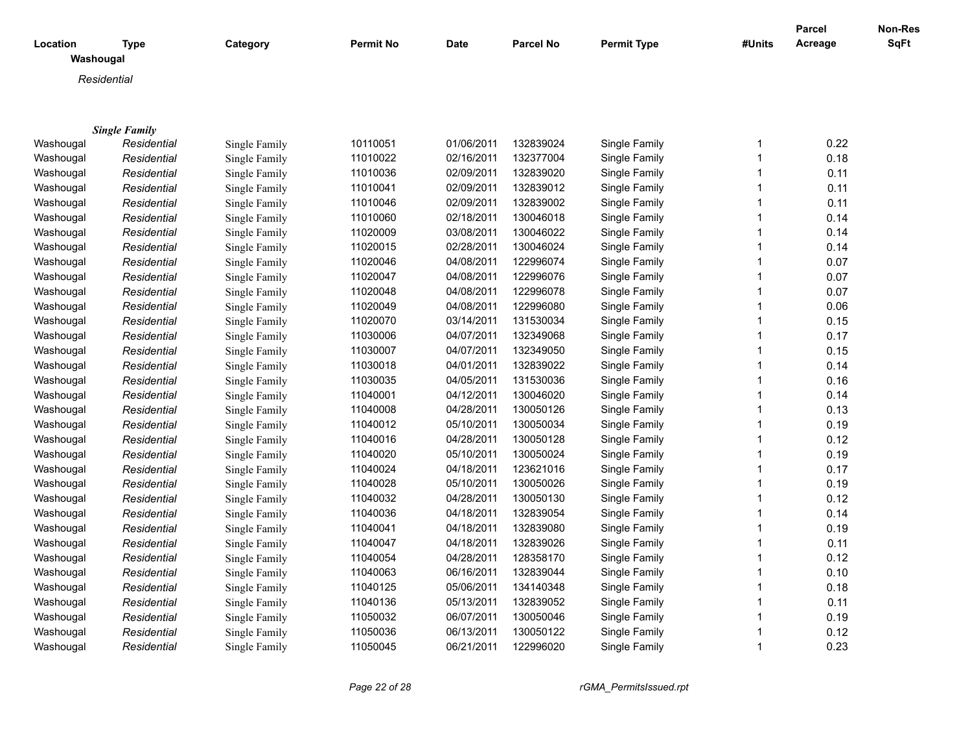|                       |                      |               |                  |             |                  |                    |        | Parcel  | Non-Res     |
|-----------------------|----------------------|---------------|------------------|-------------|------------------|--------------------|--------|---------|-------------|
| Location<br>Washougal | <b>Type</b>          | Category      | <b>Permit No</b> | <b>Date</b> | <b>Parcel No</b> | <b>Permit Type</b> | #Units | Acreage | <b>SqFt</b> |
| Residential           |                      |               |                  |             |                  |                    |        |         |             |
|                       |                      |               |                  |             |                  |                    |        |         |             |
|                       |                      |               |                  |             |                  |                    |        |         |             |
|                       | <b>Single Family</b> |               |                  |             |                  |                    |        |         |             |
| Washougal             | Residential          | Single Family | 10110051         | 01/06/2011  | 132839024        | Single Family      | 1      | 0.22    |             |
| Washougal             | Residential          | Single Family | 11010022         | 02/16/2011  | 132377004        | Single Family      | 1      | 0.18    |             |
| Washougal             | Residential          | Single Family | 11010036         | 02/09/2011  | 132839020        | Single Family      | 1      | 0.11    |             |
| Washougal             | Residential          | Single Family | 11010041         | 02/09/2011  | 132839012        | Single Family      | 1      | 0.11    |             |
| Washougal             | Residential          | Single Family | 11010046         | 02/09/2011  | 132839002        | Single Family      | 1      | 0.11    |             |
| Washougal             | Residential          | Single Family | 11010060         | 02/18/2011  | 130046018        | Single Family      | 1      | 0.14    |             |
| Washougal             | Residential          | Single Family | 11020009         | 03/08/2011  | 130046022        | Single Family      | 1      | 0.14    |             |
| Washougal             | Residential          | Single Family | 11020015         | 02/28/2011  | 130046024        | Single Family      | 1      | 0.14    |             |
| Washougal             | Residential          | Single Family | 11020046         | 04/08/2011  | 122996074        | Single Family      | 1      | 0.07    |             |
| Washougal             | Residential          | Single Family | 11020047         | 04/08/2011  | 122996076        | Single Family      | 1      | 0.07    |             |
| Washougal             | Residential          | Single Family | 11020048         | 04/08/2011  | 122996078        | Single Family      | 1      | 0.07    |             |
| Washougal             | Residential          | Single Family | 11020049         | 04/08/2011  | 122996080        | Single Family      | 1      | 0.06    |             |
| Washougal             | Residential          | Single Family | 11020070         | 03/14/2011  | 131530034        | Single Family      | 1      | 0.15    |             |
| Washougal             | Residential          | Single Family | 11030006         | 04/07/2011  | 132349068        | Single Family      | 1      | 0.17    |             |
| Washougal             | Residential          | Single Family | 11030007         | 04/07/2011  | 132349050        | Single Family      | 1      | 0.15    |             |
| Washougal             | Residential          | Single Family | 11030018         | 04/01/2011  | 132839022        | Single Family      | 1      | 0.14    |             |
| Washougal             | Residential          | Single Family | 11030035         | 04/05/2011  | 131530036        | Single Family      | 1      | 0.16    |             |
| Washougal             | Residential          | Single Family | 11040001         | 04/12/2011  | 130046020        | Single Family      | 1      | 0.14    |             |
| Washougal             | Residential          | Single Family | 11040008         | 04/28/2011  | 130050126        | Single Family      | 1      | 0.13    |             |
| Washougal             | Residential          | Single Family | 11040012         | 05/10/2011  | 130050034        | Single Family      | 1      | 0.19    |             |
| Washougal             | Residential          | Single Family | 11040016         | 04/28/2011  | 130050128        | Single Family      | 1      | 0.12    |             |
| Washougal             | Residential          | Single Family | 11040020         | 05/10/2011  | 130050024        | Single Family      | 1      | 0.19    |             |
| Washougal             | Residential          | Single Family | 11040024         | 04/18/2011  | 123621016        | Single Family      | 1      | 0.17    |             |
| Washougal             | Residential          | Single Family | 11040028         | 05/10/2011  | 130050026        | Single Family      | 1      | 0.19    |             |
| Washougal             | Residential          | Single Family | 11040032         | 04/28/2011  | 130050130        | Single Family      | 1      | 0.12    |             |
| Washougal             | Residential          | Single Family | 11040036         | 04/18/2011  | 132839054        | Single Family      | 1      | 0.14    |             |
| Washougal             | Residential          | Single Family | 11040041         | 04/18/2011  | 132839080        | Single Family      | 1      | 0.19    |             |
| Washougal             | Residential          | Single Family | 11040047         | 04/18/2011  | 132839026        | Single Family      | 1      | 0.11    |             |
| Washougal             | Residential          | Single Family | 11040054         | 04/28/2011  | 128358170        | Single Family      | 1      | 0.12    |             |
| Washougal             | Residential          | Single Family | 11040063         | 06/16/2011  | 132839044        | Single Family      | 1      | 0.10    |             |
| Washougal             | Residential          | Single Family | 11040125         | 05/06/2011  | 134140348        | Single Family      | 1      | 0.18    |             |
| Washougal             | Residential          | Single Family | 11040136         | 05/13/2011  | 132839052        | Single Family      | 1      | 0.11    |             |
| Washougal             | Residential          | Single Family | 11050032         | 06/07/2011  | 130050046        | Single Family      |        | 0.19    |             |
| Washougal             | Residential          | Single Family | 11050036         | 06/13/2011  | 130050122        | Single Family      |        | 0.12    |             |
| Washougal             | Residential          | Single Family | 11050045         | 06/21/2011  | 122996020        | Single Family      | 1      | 0.23    |             |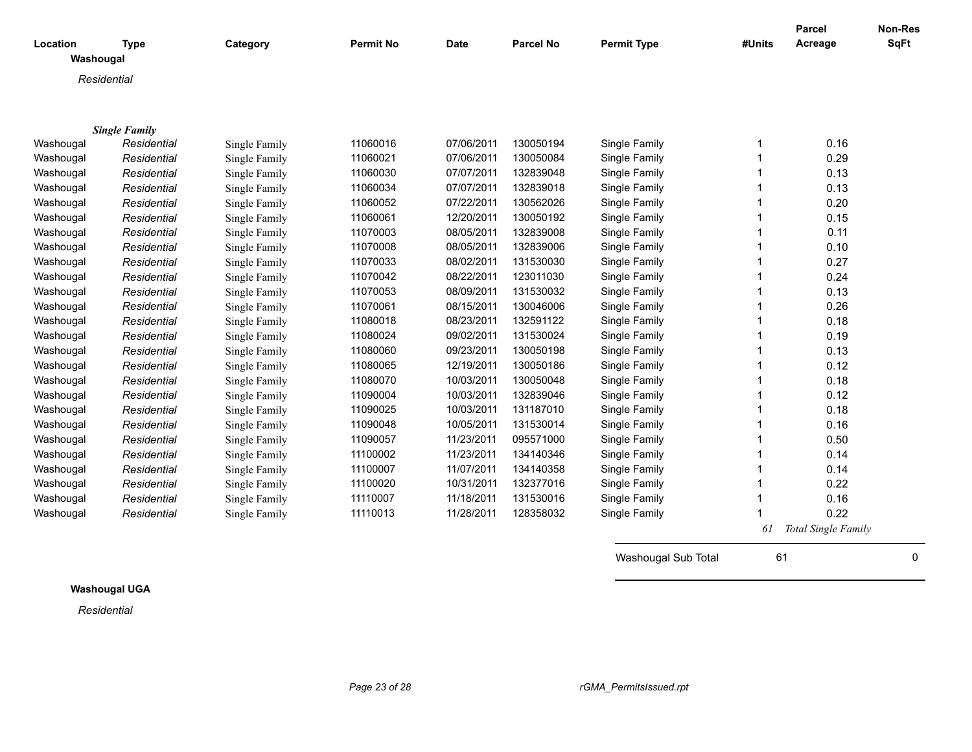| Location  | <b>Type</b>                         | Category      | <b>Permit No</b> | <b>Date</b> | <b>Parcel No</b> | <b>Permit Type</b> | #Units | <b>Parcel</b><br>Acreage | Non-Res<br><b>SqFt</b> |
|-----------|-------------------------------------|---------------|------------------|-------------|------------------|--------------------|--------|--------------------------|------------------------|
| Washougal |                                     |               |                  |             |                  |                    |        |                          |                        |
|           | Residential                         |               |                  |             |                  |                    |        |                          |                        |
|           |                                     |               |                  |             |                  |                    |        |                          |                        |
|           |                                     |               |                  |             |                  |                    |        |                          |                        |
| Washougal | <b>Single Family</b><br>Residential | Single Family | 11060016         | 07/06/2011  | 130050194        | Single Family      | -1     | 0.16                     |                        |
| Washougal | Residential                         | Single Family | 11060021         | 07/06/2011  | 130050084        | Single Family      |        | 0.29                     |                        |
| Washougal | Residential                         | Single Family | 11060030         | 07/07/2011  | 132839048        | Single Family      |        | 0.13                     |                        |
| Washougal | Residential                         | Single Family | 11060034         | 07/07/2011  | 132839018        | Single Family      |        | 0.13                     |                        |
| Washougal | Residential                         | Single Family | 11060052         | 07/22/2011  | 130562026        | Single Family      |        | 0.20                     |                        |
| Washougal | Residential                         | Single Family | 11060061         | 12/20/2011  | 130050192        | Single Family      |        | 0.15                     |                        |
| Washougal | Residential                         | Single Family | 11070003         | 08/05/2011  | 132839008        | Single Family      |        | 0.11                     |                        |
| Washougal | Residential                         | Single Family | 11070008         | 08/05/2011  | 132839006        | Single Family      |        | 0.10                     |                        |
| Washougal | Residential                         | Single Family | 11070033         | 08/02/2011  | 131530030        | Single Family      |        | 0.27                     |                        |
| Washougal | Residential                         | Single Family | 11070042         | 08/22/2011  | 123011030        | Single Family      |        | 0.24                     |                        |
| Washougal | Residential                         | Single Family | 11070053         | 08/09/2011  | 131530032        | Single Family      |        | 0.13                     |                        |
| Washougal | Residential                         | Single Family | 11070061         | 08/15/2011  | 130046006        | Single Family      |        | 0.26                     |                        |
| Washougal | Residential                         | Single Family | 11080018         | 08/23/2011  | 132591122        | Single Family      |        | 0.18                     |                        |
| Washougal | Residential                         | Single Family | 11080024         | 09/02/2011  | 131530024        | Single Family      |        | 0.19                     |                        |
| Washougal | Residential                         | Single Family | 11080060         | 09/23/2011  | 130050198        | Single Family      |        | 0.13                     |                        |
| Washougal | Residential                         | Single Family | 11080065         | 12/19/2011  | 130050186        | Single Family      |        | 0.12                     |                        |
| Washougal | Residential                         | Single Family | 11080070         | 10/03/2011  | 130050048        | Single Family      |        | 0.18                     |                        |
| Washougal | Residential                         | Single Family | 11090004         | 10/03/2011  | 132839046        | Single Family      |        | 0.12                     |                        |
| Washougal | Residential                         | Single Family | 11090025         | 10/03/2011  | 131187010        | Single Family      |        | 0.18                     |                        |
| Washougal | Residential                         | Single Family | 11090048         | 10/05/2011  | 131530014        | Single Family      |        | 0.16                     |                        |
| Washougal | Residential                         | Single Family | 11090057         | 11/23/2011  | 095571000        | Single Family      |        | 0.50                     |                        |
| Washougal | Residential                         | Single Family | 11100002         | 11/23/2011  | 134140346        | Single Family      |        | 0.14                     |                        |
| Washougal | Residential                         | Single Family | 11100007         | 11/07/2011  | 134140358        | Single Family      |        | 0.14                     |                        |
| Washougal | Residential                         | Single Family | 11100020         | 10/31/2011  | 132377016        | Single Family      |        | 0.22                     |                        |
| Washougal | Residential                         | Single Family | 11110007         | 11/18/2011  | 131530016        | Single Family      |        | 0.16                     |                        |
| Washougal | Residential                         | Single Family | 11110013         | 11/28/2011  | 128358032        | Single Family      |        | 0.22                     |                        |
|           |                                     |               |                  |             |                  |                    | 61     | Total Single Family      |                        |

**Washougal UGA**

*Residential*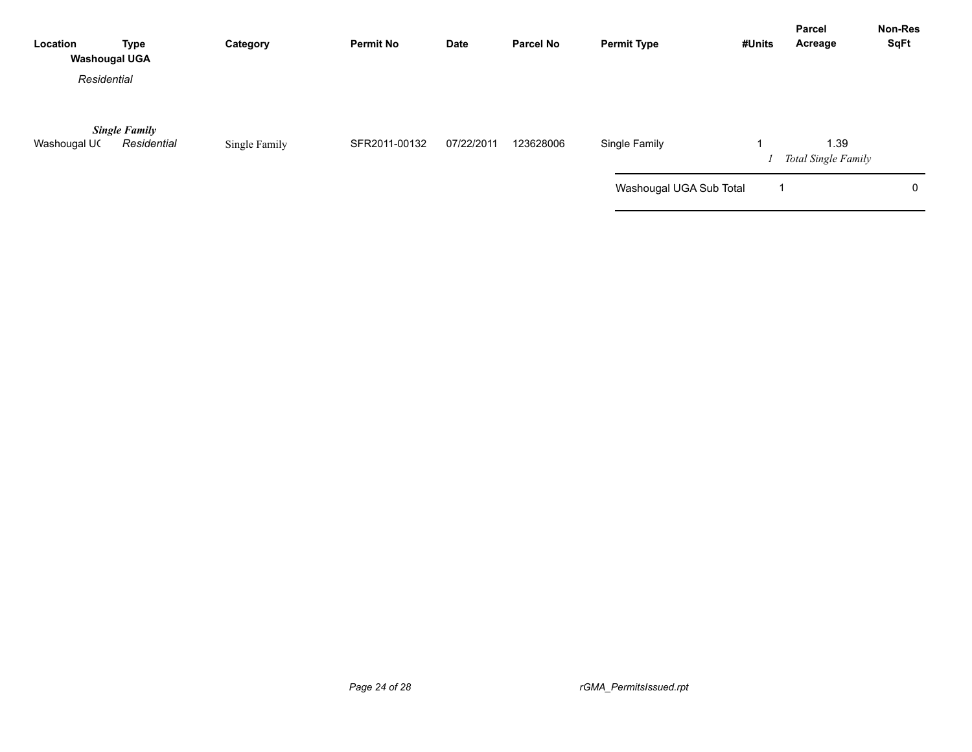| Location<br><b>Washougal UGA</b> | <b>Type</b>                         | Category      | <b>Permit No</b> | Date       | <b>Parcel No</b> | <b>Permit Type</b>      | #Units | Parcel<br>Acreage                  | <b>Non-Res</b><br><b>SqFt</b> |
|----------------------------------|-------------------------------------|---------------|------------------|------------|------------------|-------------------------|--------|------------------------------------|-------------------------------|
| Residential                      |                                     |               |                  |            |                  |                         |        |                                    |                               |
| Washougal UC                     | <b>Single Family</b><br>Residential | Single Family | SFR2011-00132    | 07/22/2011 | 123628006        | Single Family           |        | 1.39<br><b>Total Single Family</b> |                               |
|                                  |                                     |               |                  |            |                  | Washougal UGA Sub Total |        |                                    | 0                             |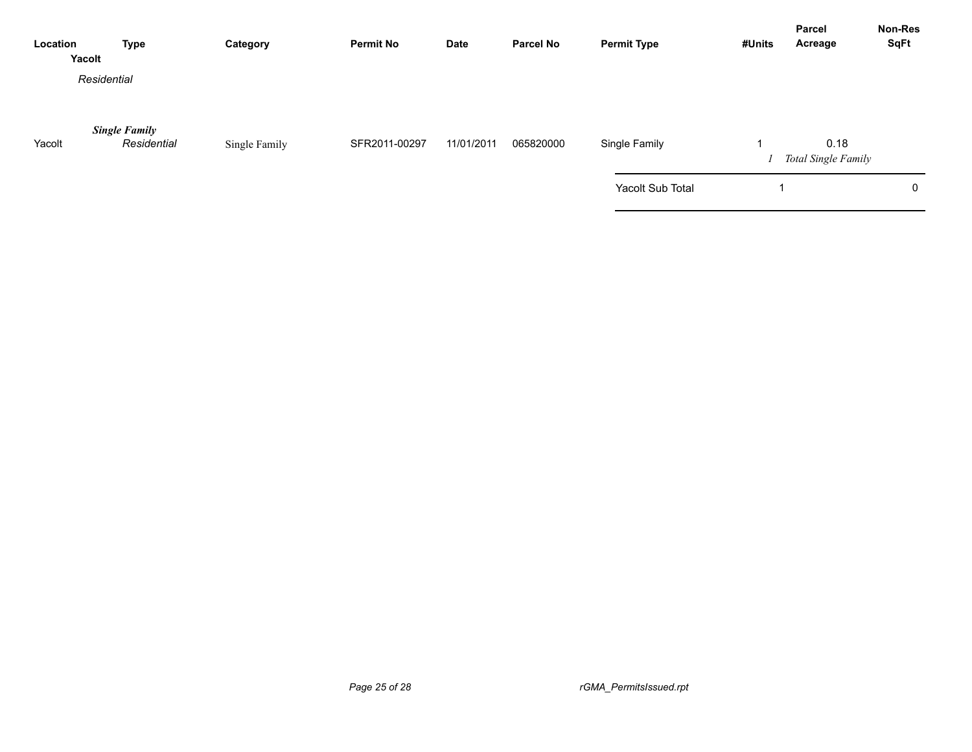| Location | <b>Type</b><br>Yacolt               | Category      | <b>Permit No</b> | <b>Date</b> | <b>Parcel No</b> | <b>Permit Type</b> | #Units | Parcel<br>Acreage           | Non-Res<br><b>SqFt</b> |
|----------|-------------------------------------|---------------|------------------|-------------|------------------|--------------------|--------|-----------------------------|------------------------|
|          | Residential                         |               |                  |             |                  |                    |        |                             |                        |
| Yacolt   | <b>Single Family</b><br>Residential | Single Family | SFR2011-00297    | 11/01/2011  | 065820000        | Single Family      |        | 0.18<br>Total Single Family |                        |
|          |                                     |               |                  |             |                  | Yacolt Sub Total   |        |                             | 0                      |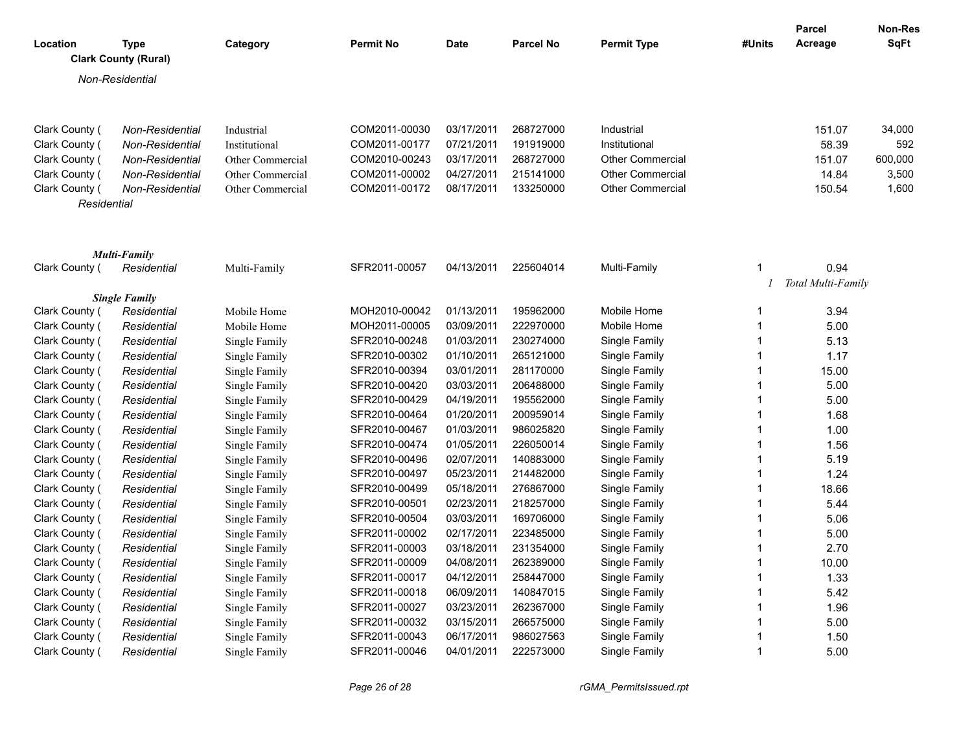| Location       | <b>Type</b><br><b>Clark County (Rural)</b> | Category         | <b>Permit No</b> | Date       | <b>Parcel No</b> | <b>Permit Type</b>      | #Units | <b>Parcel</b><br>Acreage | <b>Non-Res</b><br>SqFt |
|----------------|--------------------------------------------|------------------|------------------|------------|------------------|-------------------------|--------|--------------------------|------------------------|
|                | Non-Residential                            |                  |                  |            |                  |                         |        |                          |                        |
|                |                                            |                  |                  |            |                  |                         |        |                          |                        |
| Clark County ( | Non-Residential                            | Industrial       | COM2011-00030    | 03/17/2011 | 268727000        | Industrial              |        | 151.07                   | 34,000                 |
| Clark County ( | Non-Residential                            | Institutional    | COM2011-00177    | 07/21/2011 | 191919000        | Institutional           |        | 58.39                    | 592                    |
| Clark County ( | Non-Residential                            | Other Commercial | COM2010-00243    | 03/17/2011 | 268727000        | <b>Other Commercial</b> |        | 151.07                   | 600,000                |
| Clark County ( | Non-Residential                            | Other Commercial | COM2011-00002    | 04/27/2011 | 215141000        | <b>Other Commercial</b> |        | 14.84                    | 3,500                  |
| Clark County ( | Non-Residential                            | Other Commercial | COM2011-00172    | 08/17/2011 | 133250000        | <b>Other Commercial</b> |        | 150.54                   | 1,600                  |
| Residential    |                                            |                  |                  |            |                  |                         |        |                          |                        |
|                | <b>Multi-Family</b>                        |                  |                  |            |                  |                         |        |                          |                        |
| Clark County ( | Residential                                | Multi-Family     | SFR2011-00057    | 04/13/2011 | 225604014        | Multi-Family            | 1      | 0.94                     |                        |
|                |                                            |                  |                  |            |                  |                         |        | Total Multi-Family       |                        |
|                | <b>Single Family</b>                       |                  |                  |            |                  |                         |        |                          |                        |
| Clark County ( | Residential                                | Mobile Home      | MOH2010-00042    | 01/13/2011 | 195962000        | Mobile Home             |        | 3.94                     |                        |
| Clark County ( | Residential                                | Mobile Home      | MOH2011-00005    | 03/09/2011 | 222970000        | Mobile Home             |        | 5.00                     |                        |
| Clark County ( | Residential                                | Single Family    | SFR2010-00248    | 01/03/2011 | 230274000        | Single Family           |        | 5.13                     |                        |
| Clark County ( | Residential                                | Single Family    | SFR2010-00302    | 01/10/2011 | 265121000        | Single Family           |        | 1.17                     |                        |
| Clark County ( | Residential                                | Single Family    | SFR2010-00394    | 03/01/2011 | 281170000        | Single Family           |        | 15.00                    |                        |
| Clark County ( | Residential                                | Single Family    | SFR2010-00420    | 03/03/2011 | 206488000        | Single Family           |        | 5.00                     |                        |
| Clark County ( | Residential                                | Single Family    | SFR2010-00429    | 04/19/2011 | 195562000        | Single Family           |        | 5.00                     |                        |
| Clark County ( | Residential                                | Single Family    | SFR2010-00464    | 01/20/2011 | 200959014        | Single Family           |        | 1.68                     |                        |
| Clark County ( | Residential                                | Single Family    | SFR2010-00467    | 01/03/2011 | 986025820        | Single Family           |        | 1.00                     |                        |
| Clark County ( | Residential                                | Single Family    | SFR2010-00474    | 01/05/2011 | 226050014        | Single Family           |        | 1.56                     |                        |
| Clark County ( | Residential                                | Single Family    | SFR2010-00496    | 02/07/2011 | 140883000        | Single Family           |        | 5.19                     |                        |
| Clark County ( | Residential                                | Single Family    | SFR2010-00497    | 05/23/2011 | 214482000        | Single Family           |        | 1.24                     |                        |
| Clark County ( | Residential                                | Single Family    | SFR2010-00499    | 05/18/2011 | 276867000        | Single Family           |        | 18.66                    |                        |
| Clark County ( | Residential                                | Single Family    | SFR2010-00501    | 02/23/2011 | 218257000        | Single Family           |        | 5.44                     |                        |
| Clark County ( | Residential                                | Single Family    | SFR2010-00504    | 03/03/2011 | 169706000        | Single Family           |        | 5.06                     |                        |
| Clark County ( | Residential                                | Single Family    | SFR2011-00002    | 02/17/2011 | 223485000        | Single Family           |        | 5.00                     |                        |
| Clark County ( | Residential                                | Single Family    | SFR2011-00003    | 03/18/2011 | 231354000        | Single Family           |        | 2.70                     |                        |
| Clark County ( | Residential                                | Single Family    | SFR2011-00009    | 04/08/2011 | 262389000        | Single Family           | 1      | 10.00                    |                        |
| Clark County ( | Residential                                | Single Family    | SFR2011-00017    | 04/12/2011 | 258447000        | Single Family           |        | 1.33                     |                        |
| Clark County ( | Residential                                | Single Family    | SFR2011-00018    | 06/09/2011 | 140847015        | Single Family           |        | 5.42                     |                        |
| Clark County ( | Residential                                | Single Family    | SFR2011-00027    | 03/23/2011 | 262367000        | Single Family           |        | 1.96                     |                        |
| Clark County ( | Residential                                | Single Family    | SFR2011-00032    | 03/15/2011 | 266575000        | Single Family           |        | 5.00                     |                        |
| Clark County ( | Residential                                | Single Family    | SFR2011-00043    | 06/17/2011 | 986027563        | Single Family           |        | 1.50                     |                        |
| Clark County ( | Residential                                | Single Family    | SFR2011-00046    | 04/01/2011 | 222573000        | Single Family           |        | 5.00                     |                        |
|                |                                            |                  |                  |            |                  |                         |        |                          |                        |

*Page 26 of 28 rGMA\_PermitsIssued.rpt*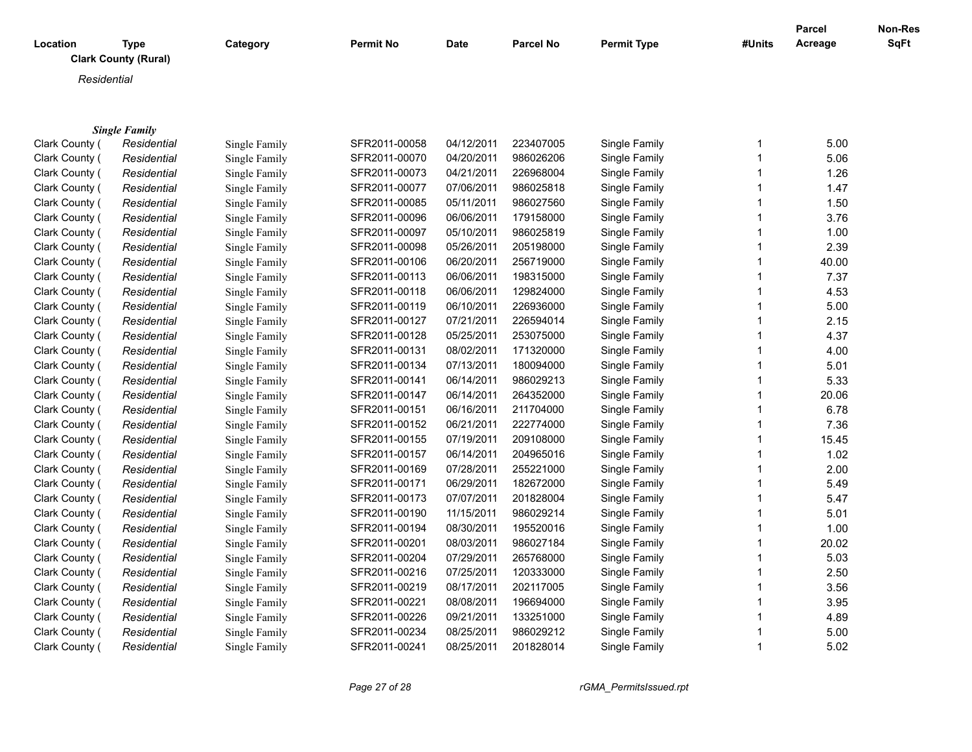| Location       | Type<br><b>Clark County (Rural)</b> | Category      | <b>Permit No</b> | Date       | <b>Parcel No</b> | <b>Permit Type</b> | #Units | Parcel<br>Acreage | <b>Non-Res</b><br>SqFt |
|----------------|-------------------------------------|---------------|------------------|------------|------------------|--------------------|--------|-------------------|------------------------|
| Residential    |                                     |               |                  |            |                  |                    |        |                   |                        |
|                |                                     |               |                  |            |                  |                    |        |                   |                        |
|                | <b>Single Family</b>                |               |                  |            |                  |                    |        |                   |                        |
| Clark County ( | Residential                         | Single Family | SFR2011-00058    | 04/12/2011 | 223407005        | Single Family      |        | 5.00              |                        |
| Clark County ( | Residential                         | Single Family | SFR2011-00070    | 04/20/2011 | 986026206        | Single Family      |        | 5.06              |                        |
| Clark County ( | Residential                         | Single Family | SFR2011-00073    | 04/21/2011 | 226968004        | Single Family      |        | 1.26              |                        |
| Clark County ( | Residential                         | Single Family | SFR2011-00077    | 07/06/2011 | 986025818        | Single Family      |        | 1.47              |                        |
| Clark County ( | Residential                         | Single Family | SFR2011-00085    | 05/11/2011 | 986027560        | Single Family      |        | 1.50              |                        |
| Clark County ( | Residential                         | Single Family | SFR2011-00096    | 06/06/2011 | 179158000        | Single Family      |        | 3.76              |                        |
| Clark County ( | Residential                         | Single Family | SFR2011-00097    | 05/10/2011 | 986025819        | Single Family      |        | 1.00              |                        |
| Clark County ( | Residential                         | Single Family | SFR2011-00098    | 05/26/2011 | 205198000        | Single Family      |        | 2.39              |                        |
| Clark County ( | Residential                         | Single Family | SFR2011-00106    | 06/20/2011 | 256719000        | Single Family      |        | 40.00             |                        |
| Clark County ( | Residential                         | Single Family | SFR2011-00113    | 06/06/2011 | 198315000        | Single Family      |        | 7.37              |                        |
| Clark County ( | Residential                         | Single Family | SFR2011-00118    | 06/06/2011 | 129824000        | Single Family      |        | 4.53              |                        |
| Clark County ( | Residential                         | Single Family | SFR2011-00119    | 06/10/2011 | 226936000        | Single Family      |        | 5.00              |                        |
| Clark County ( | Residential                         | Single Family | SFR2011-00127    | 07/21/2011 | 226594014        | Single Family      |        | 2.15              |                        |
| Clark County ( | Residential                         | Single Family | SFR2011-00128    | 05/25/2011 | 253075000        | Single Family      |        | 4.37              |                        |
| Clark County ( | Residential                         | Single Family | SFR2011-00131    | 08/02/2011 | 171320000        | Single Family      |        | 4.00              |                        |
| Clark County ( | Residential                         | Single Family | SFR2011-00134    | 07/13/2011 | 180094000        | Single Family      |        | 5.01              |                        |
| Clark County ( | Residential                         | Single Family | SFR2011-00141    | 06/14/2011 | 986029213        | Single Family      |        | 5.33              |                        |
| Clark County   | Residential                         | Single Family | SFR2011-00147    | 06/14/2011 | 264352000        | Single Family      |        | 20.06             |                        |

Clark County ( Residential Single Family SFR2011-00151 06/16/2011 211704000 Single Family 1 6.78 Clark County ( Residential Single Family SFR2011-00152 06/21/2011 222774000 Single Family 1 7.36 Clark County ( Residential Single Family SFR2011-00155 07/19/2011 209108000 Single Family 1 1 15.45 Clark County ( Residential Single Family SFR2011-00157 06/14/2011 204965016 Single Family 1999 1.02 Clark County (Rural)*Residential* Single Family SFR2011-00169 07/28/2011 255221000 Single Family 1 2.00 Clark County ( Residential Single Family SFR2011-00171 06/29/2011 182672000 Single Family 1 5.49 Clark County ( Residential Single Family SFR2011-00173 07/07/2011 201828004 Single Family 1 5.47 Clark County ( Residential Single Family SFR2011-00190 11/15/2011 986029214 Single Family 1 5.01 Clark County ( Residential Single Family SFR2011-00194 08/30/2011 195520016 Single Family 195520016 Strate 1.00 Clark County (Rural)*Residential* Single Family SFR2011-00201 08/03/2011 986027184 Single Family 1 20.02 Clark County ( Residential Single Family SFR2011-00204 07/29/2011 265768000 Single Family 1 5.03 Clark County ( Residential Single Family SFR2011-00216 07/25/2011 120333000 Single Family 1 2.50 Clark County ( Residential Single Family SFR2011-00219 08/17/2011 202117005 Single Family 1 3.56 Clark County ( Residential Single Family SFR2011-00221 08/08/2011 196694000 Single Family 1 3.95 Clark County ( Residential Single Family SFR2011-00226 09/21/2011 133251000 Single Family 1 4.89 Clark County ( Residential Single Family SFR2011-00234 08/25/2011 986029212 Single Family 1 5.00 Clark County (Rural)*Residential* Single Family SFR2011-00241 08/25/2011 201828014 Single Family 1 5.02

| Page 27 of 28 |  |  |  |
|---------------|--|--|--|
|---------------|--|--|--|

*Page 27 of 28 rGMA\_PermitsIssued.rpt*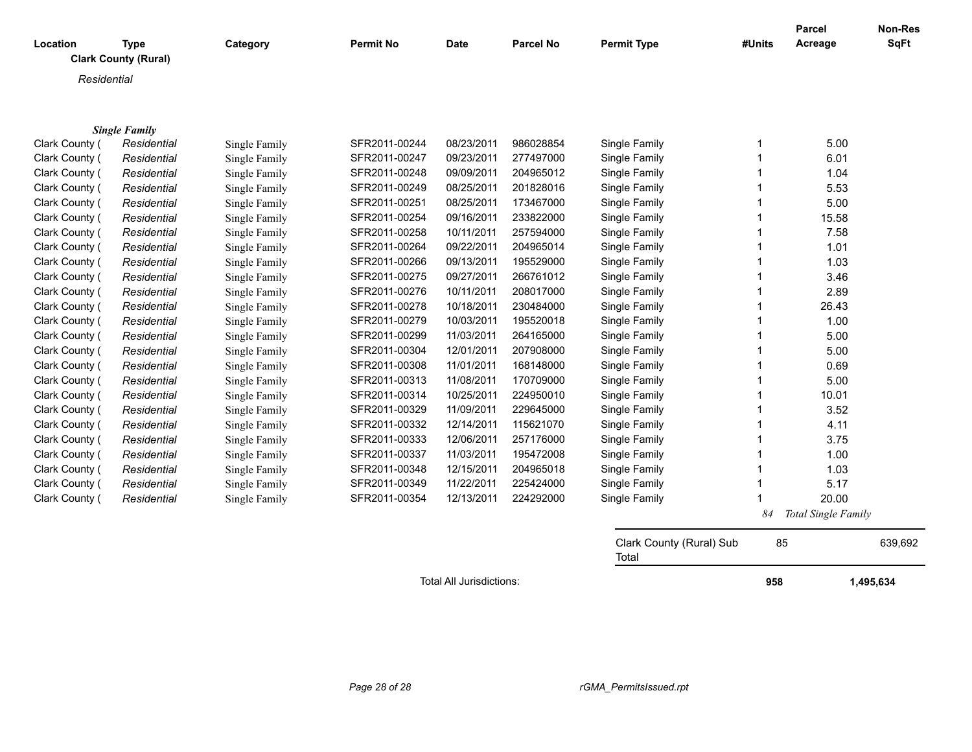| Location                         | Type<br><b>Clark County (Rural)</b> | Category                       | <b>Permit No</b>               | Date                     | <b>Parcel No</b>       | <b>Permit Type</b>             | #Units | <b>Parcel</b><br>Acreage | <b>Non-Res</b><br><b>SqFt</b> |
|----------------------------------|-------------------------------------|--------------------------------|--------------------------------|--------------------------|------------------------|--------------------------------|--------|--------------------------|-------------------------------|
| Residential                      |                                     |                                |                                |                          |                        |                                |        |                          |                               |
|                                  | <b>Single Family</b>                |                                |                                |                          |                        |                                |        |                          |                               |
| Clark County (<br>Clark County ( | Residential<br>Residential          | Single Family<br>Single Family | SFR2011-00244<br>SFR2011-00247 | 08/23/2011<br>09/23/2011 | 986028854<br>277497000 | Single Family<br>Single Family |        | 5.00<br>6.01             |                               |

|                | $\sim$  |
|----------------|---------|
| Clark County ( | Resider |
| Clark County ( | Resider |
| Clark County ( | Resider |
| Clark County ( | Resider |
| Clark County ( | Resider |
| Clark County ( | Resider |
| Clark County ( | Resider |
| Clark County ( | Resider |
| Clark County ( | Resider |
| Clark County ( | Resider |
| Clark County ( | Resider |
| Clark County ( | Resider |
| Clark County ( | Resider |
| Clark County ( | Resider |
| Clark County ( | Resider |
| Clark County ( | Resider |
| Clark County ( | Resider |
| Clark County ( | Resider |
| Clark County ( | Resider |
| Clark County ( | Resider |
| Clark County ( | Resider |
| Clark County ( | Resider |
| Clark County ( | Resider |
| Clark County ( | Resider |
| Clark County ( | Resider |

| Glark County ( | Residential | Single Family | SFRZUTI-UUZ44 | <u>UOIZJIZU I I</u> | 900∪∠000 <del>4</del> | Single Family |    | O.UU                |
|----------------|-------------|---------------|---------------|---------------------|-----------------------|---------------|----|---------------------|
| Clark County ( | Residential | Single Family | SFR2011-00247 | 09/23/2011          | 277497000             | Single Family |    | 6.01                |
| Clark County ( | Residential | Single Family | SFR2011-00248 | 09/09/2011          | 204965012             | Single Family |    | 1.04                |
| Clark County ( | Residential | Single Family | SFR2011-00249 | 08/25/2011          | 201828016             | Single Family |    | 5.53                |
| Clark County ( | Residential | Single Family | SFR2011-00251 | 08/25/2011          | 173467000             | Single Family |    | 5.00                |
| Clark County ( | Residential | Single Family | SFR2011-00254 | 09/16/2011          | 233822000             | Single Family |    | 15.58               |
| Clark County ( | Residential | Single Family | SFR2011-00258 | 10/11/2011          | 257594000             | Single Family |    | 7.58                |
| Clark County ( | Residential | Single Family | SFR2011-00264 | 09/22/2011          | 204965014             | Single Family |    | 1.01                |
| Clark County ( | Residential | Single Family | SFR2011-00266 | 09/13/2011          | 195529000             | Single Family |    | 1.03                |
| Clark County ( | Residential | Single Family | SFR2011-00275 | 09/27/2011          | 266761012             | Single Family |    | 3.46                |
| Clark County ( | Residential | Single Family | SFR2011-00276 | 10/11/2011          | 208017000             | Single Family |    | 2.89                |
| Clark County ( | Residential | Single Family | SFR2011-00278 | 10/18/2011          | 230484000             | Single Family |    | 26.43               |
| Clark County ( | Residential | Single Family | SFR2011-00279 | 10/03/2011          | 195520018             | Single Family |    | 1.00                |
| Clark County ( | Residential | Single Family | SFR2011-00299 | 11/03/2011          | 264165000             | Single Family |    | 5.00                |
| Clark County ( | Residential | Single Family | SFR2011-00304 | 12/01/2011          | 207908000             | Single Family |    | 5.00                |
| Clark County ( | Residential | Single Family | SFR2011-00308 | 11/01/2011          | 168148000             | Single Family |    | 0.69                |
| Clark County ( | Residential | Single Family | SFR2011-00313 | 11/08/2011          | 170709000             | Single Family |    | 5.00                |
| Clark County ( | Residential | Single Family | SFR2011-00314 | 10/25/2011          | 224950010             | Single Family |    | 10.01               |
| Clark County ( | Residential | Single Family | SFR2011-00329 | 11/09/2011          | 229645000             | Single Family |    | 3.52                |
| Clark County ( | Residential | Single Family | SFR2011-00332 | 12/14/2011          | 115621070             | Single Family |    | 4.11                |
| Clark County ( | Residential | Single Family | SFR2011-00333 | 12/06/2011          | 257176000             | Single Family |    | 3.75                |
| Clark County ( | Residential | Single Family | SFR2011-00337 | 11/03/2011          | 195472008             | Single Family |    | 1.00                |
| Clark County ( | Residential | Single Family | SFR2011-00348 | 12/15/2011          | 204965018             | Single Family |    | 1.03                |
| Clark County ( | Residential | Single Family | SFR2011-00349 | 11/22/2011          | 225424000             | Single Family |    | 5.17                |
| Clark County ( | Residential | Single Family | SFR2011-00354 | 12/13/2011          | 224292000             | Single Family |    | 20.00               |
|                |             |               |               |                     |                       |               | 84 | Total Single Family |

Clark County (Rural) Sub Total 85 639,692

Total All Jurisdictions: **1,495,634**